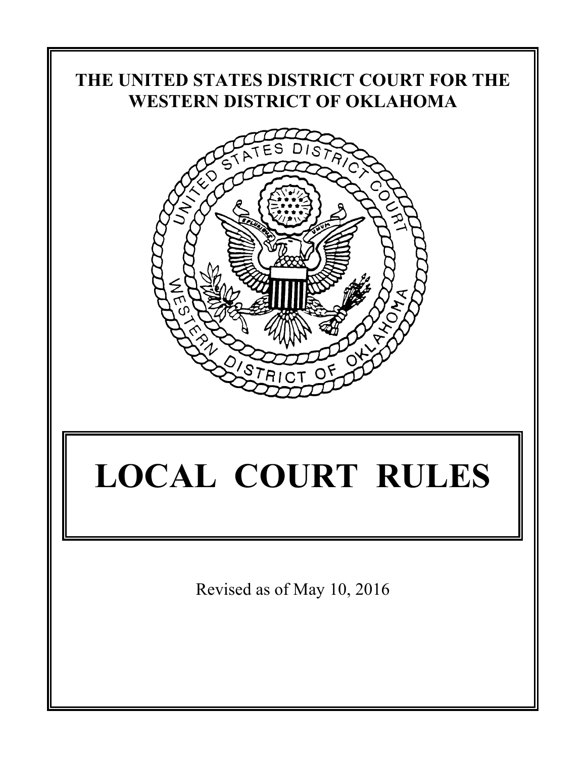

# **LOCAL COURT RULES**

Revised as of May 10, 2016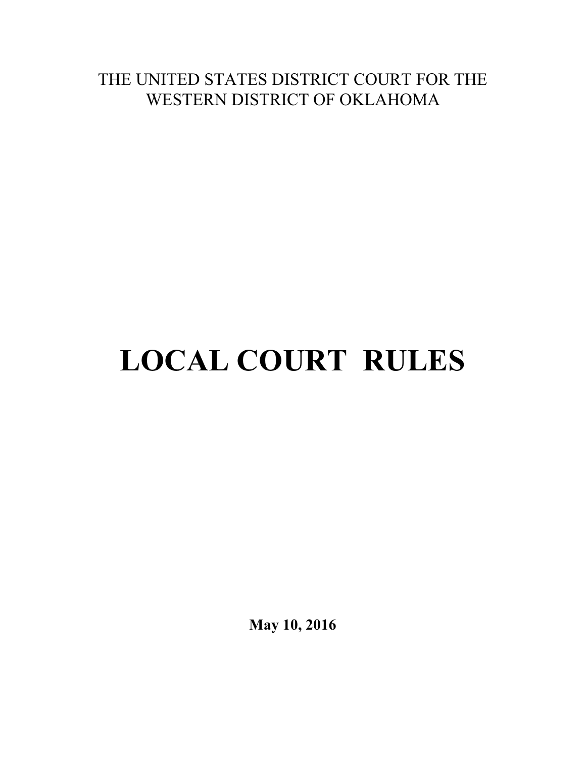# **LOCAL COURT RULES**

**May 10, 2016**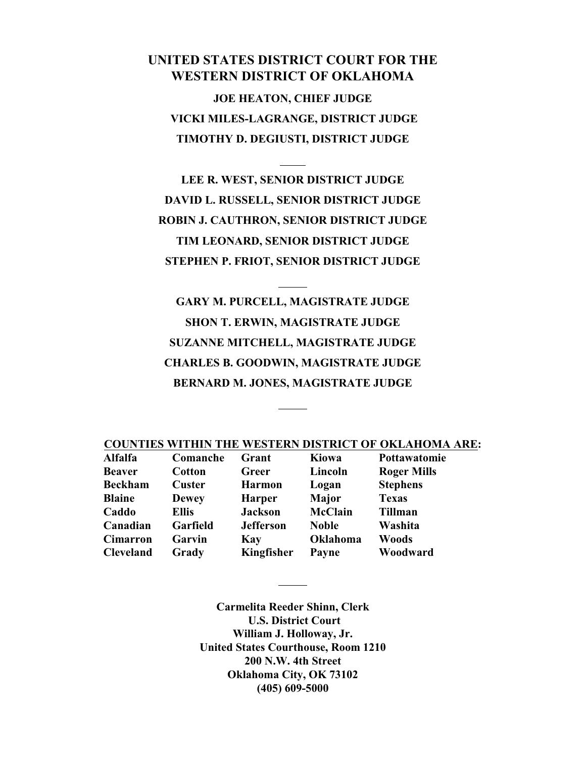**JOE HEATON, CHIEF JUDGE VICKI MILES-LAGRANGE, DISTRICT JUDGE TIMOTHY D. DEGIUSTI, DISTRICT JUDGE**

**LEE R. WEST, SENIOR DISTRICT JUDGE DAVID L. RUSSELL, SENIOR DISTRICT JUDGE ROBIN J. CAUTHRON, SENIOR DISTRICT JUDGE TIM LEONARD, SENIOR DISTRICT JUDGE STEPHEN P. FRIOT, SENIOR DISTRICT JUDGE**

**GARY M. PURCELL, MAGISTRATE JUDGE SHON T. ERWIN, MAGISTRATE JUDGE SUZANNE MITCHELL, MAGISTRATE JUDGE CHARLES B. GOODWIN, MAGISTRATE JUDGE BERNARD M. JONES, MAGISTRATE JUDGE**

|--|

| <b>Alfalfa</b>   | Comanche      | Grant            | Kiowa           | Pottawatomie       |
|------------------|---------------|------------------|-----------------|--------------------|
| <b>Beaver</b>    | <b>Cotton</b> | Greer            | Lincoln         | <b>Roger Mills</b> |
| <b>Beckham</b>   | <b>Custer</b> | <b>Harmon</b>    | Logan           | <b>Stephens</b>    |
| <b>Blaine</b>    | <b>Dewey</b>  | <b>Harper</b>    | Major           | <b>Texas</b>       |
| Caddo            | <b>Ellis</b>  | <b>Jackson</b>   | <b>McClain</b>  | <b>Tillman</b>     |
| Canadian         | Garfield      | <b>Jefferson</b> | <b>Noble</b>    | Washita            |
| <b>Cimarron</b>  | Garvin        | Kay              | <b>Oklahoma</b> | <b>Woods</b>       |
| <b>Cleveland</b> | Grady         | Kingfisher       | Payne           | Woodward           |

**Carmelita Reeder Shinn, Clerk U.S. District Court William J. Holloway, Jr. United States Courthouse, Room 1210 200 N.W. 4th Street Oklahoma City, OK 73102 (405) 609-5000**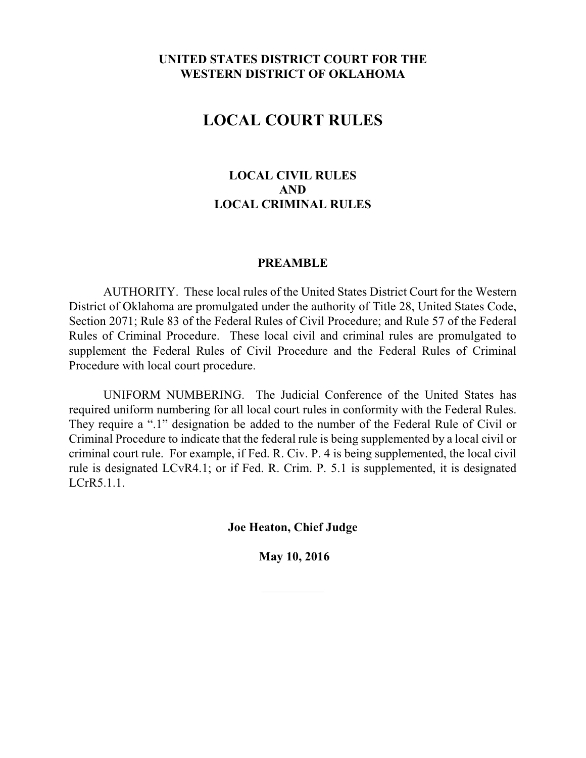# **LOCAL COURT RULES**

# **LOCAL CIVIL RULES AND LOCAL CRIMINAL RULES**

#### **PREAMBLE**

AUTHORITY. These local rules of the United States District Court for the Western District of Oklahoma are promulgated under the authority of Title 28, United States Code, Section 2071; Rule 83 of the Federal Rules of Civil Procedure; and Rule 57 of the Federal Rules of Criminal Procedure. These local civil and criminal rules are promulgated to supplement the Federal Rules of Civil Procedure and the Federal Rules of Criminal Procedure with local court procedure.

UNIFORM NUMBERING. The Judicial Conference of the United States has required uniform numbering for all local court rules in conformity with the Federal Rules. They require a ".1" designation be added to the number of the Federal Rule of Civil or Criminal Procedure to indicate that the federal rule is being supplemented by a local civil or criminal court rule. For example, if Fed. R. Civ. P. 4 is being supplemented, the local civil rule is designated LCvR4.1; or if Fed. R. Crim. P. 5.1 is supplemented, it is designated LCrR5.1.1.

**Joe Heaton, Chief Judge**

 **May 10, 2016**

 $\overline{a}$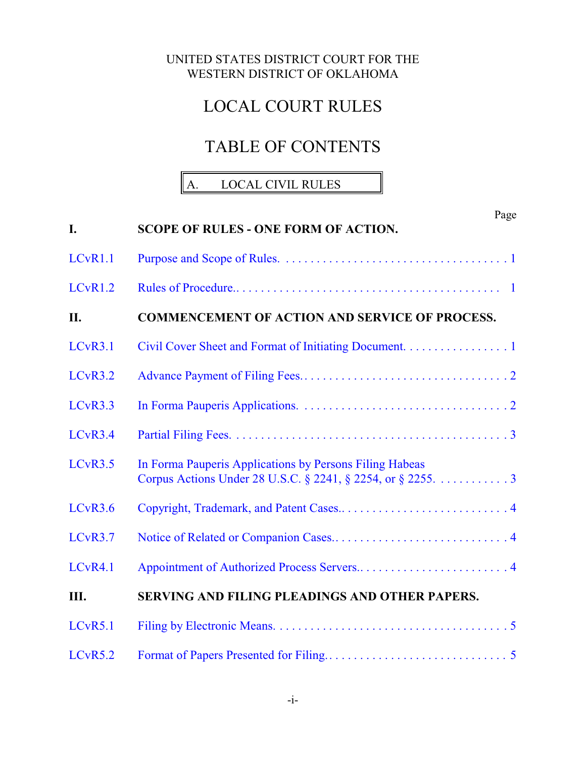# LOCAL COURT RULES

# TABLE OF CONTENTS

# A. LOCAL CIVIL RULES

| I.      | Page<br><b>SCOPE OF RULES - ONE FORM OF ACTION.</b>                                                                    |
|---------|------------------------------------------------------------------------------------------------------------------------|
| LCvR1.1 |                                                                                                                        |
| LCvR1.2 |                                                                                                                        |
| II.     | <b>COMMENCEMENT OF ACTION AND SERVICE OF PROCESS.</b>                                                                  |
| LCvR3.1 | Civil Cover Sheet and Format of Initiating Document. 1                                                                 |
| LCvR3.2 |                                                                                                                        |
| LCvR3.3 |                                                                                                                        |
| LCvR3.4 |                                                                                                                        |
| LCvR3.5 | In Forma Pauperis Applications by Persons Filing Habeas<br>Corpus Actions Under 28 U.S.C. § 2241, § 2254, or § 2255. 3 |
| LCvR3.6 |                                                                                                                        |
| LCvR3.7 |                                                                                                                        |
| LCvR4.1 |                                                                                                                        |
| Ш.      | SERVING AND FILING PLEADINGS AND OTHER PAPERS.                                                                         |
| LCvR5.1 |                                                                                                                        |
| LCvR5.2 |                                                                                                                        |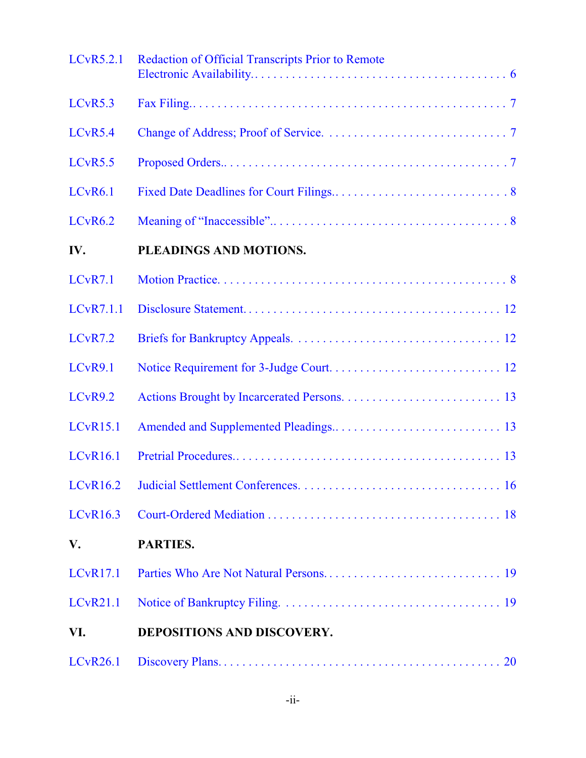| LC <sub>vR5.2.1</sub> | <b>Redaction of Official Transcripts Prior to Remote</b> |
|-----------------------|----------------------------------------------------------|
| LCvR5.3               |                                                          |
| LCvR5.4               |                                                          |
| LCvR5.5               |                                                          |
| LCvR6.1               |                                                          |
| LCvR6.2               |                                                          |
| IV.                   | PLEADINGS AND MOTIONS.                                   |
| LCvR7.1               |                                                          |
| LCvR7.1.1             |                                                          |
| LCvR7.2               |                                                          |
| LCvR9.1               |                                                          |
| LCvR9.2               |                                                          |
| LCvR15.1              |                                                          |
| <b>LCvR16.1</b>       |                                                          |
| <b>LCvR16.2</b>       |                                                          |
| LCvR16.3              |                                                          |
| V.                    | PARTIES.                                                 |
| <b>LCvR17.1</b>       |                                                          |
| LCvR21.1              |                                                          |
| VI.                   | <b>DEPOSITIONS AND DISCOVERY.</b>                        |
| LCvR26.1              |                                                          |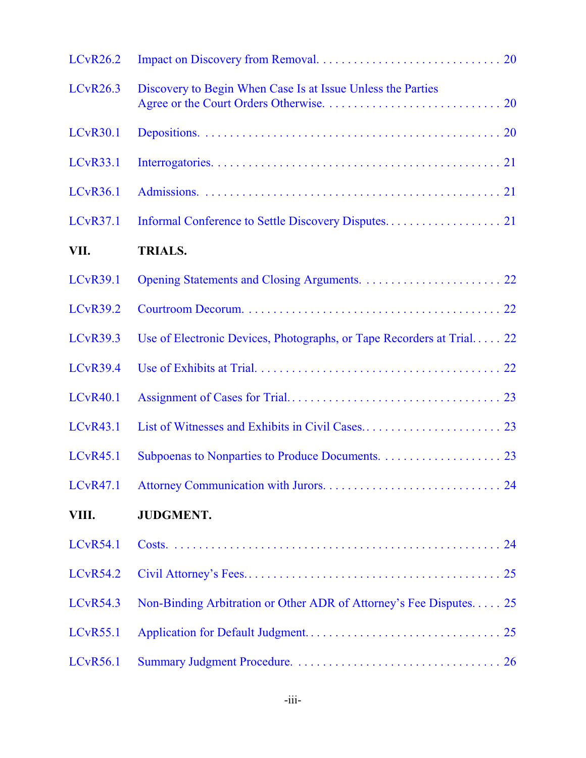| LCvR26.2        |                                                                       |
|-----------------|-----------------------------------------------------------------------|
| LCvR26.3        | Discovery to Begin When Case Is at Issue Unless the Parties           |
| <b>LCvR30.1</b> |                                                                       |
| <b>LCvR33.1</b> |                                                                       |
| <b>LCvR36.1</b> |                                                                       |
| <b>LCvR37.1</b> |                                                                       |
| VII.            | <b>TRIALS.</b>                                                        |
| <b>LCvR39.1</b> |                                                                       |
| <b>LCvR39.2</b> |                                                                       |
| <b>LCvR39.3</b> | Use of Electronic Devices, Photographs, or Tape Recorders at Trial 22 |
| <b>LCvR39.4</b> |                                                                       |
| <b>LCvR40.1</b> |                                                                       |
| <b>LCvR43.1</b> |                                                                       |
| <b>LCvR45.1</b> |                                                                       |
| <b>LCvR47.1</b> |                                                                       |
| VIII.           | <b>JUDGMENT.</b>                                                      |
| <b>LCvR54.1</b> |                                                                       |
| <b>LCvR54.2</b> |                                                                       |
| <b>LCvR54.3</b> | Non-Binding Arbitration or Other ADR of Attorney's Fee Disputes 25    |
| <b>LCvR55.1</b> |                                                                       |
| <b>LCvR56.1</b> |                                                                       |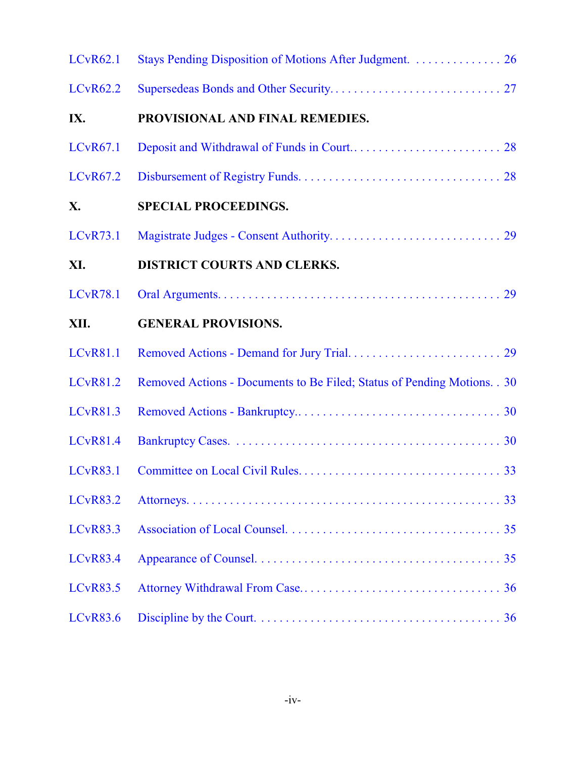| <b>LCvR62.1</b> | Stays Pending Disposition of Motions After Judgment. 26                  |
|-----------------|--------------------------------------------------------------------------|
| LCvR62.2        |                                                                          |
| IX.             | PROVISIONAL AND FINAL REMEDIES.                                          |
| <b>LCvR67.1</b> |                                                                          |
| <b>LCvR67.2</b> |                                                                          |
| X.              | SPECIAL PROCEEDINGS.                                                     |
| <b>LCvR73.1</b> |                                                                          |
| XI.             | <b>DISTRICT COURTS AND CLERKS.</b>                                       |
| <b>LCvR78.1</b> |                                                                          |
| XII.            | <b>GENERAL PROVISIONS.</b>                                               |
| <b>LCvR81.1</b> |                                                                          |
| LCvR81.2        | Removed Actions - Documents to Be Filed; Status of Pending Motions. . 30 |
| LCvR81.3        |                                                                          |
| <b>LCvR81.4</b> |                                                                          |
| <b>LCvR83.1</b> |                                                                          |
| <b>LCvR83.2</b> |                                                                          |
| <b>LCvR83.3</b> |                                                                          |
| <b>LCvR83.4</b> |                                                                          |
| <b>LCvR83.5</b> |                                                                          |
| <b>LCvR83.6</b> |                                                                          |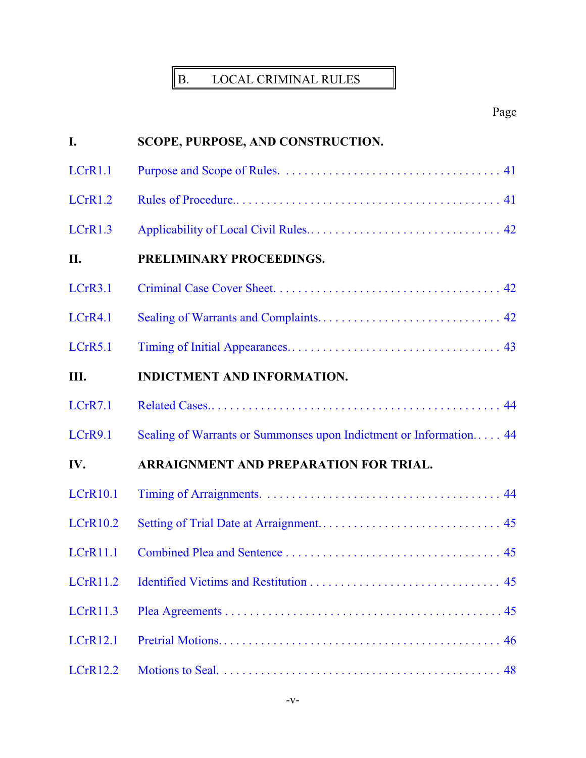# B. LOCAL CRIMINAL RULES

| $\mathbf{I}$ .  | SCOPE, PURPOSE, AND CONSTRUCTION.                                  |
|-----------------|--------------------------------------------------------------------|
| LCrR1.1         |                                                                    |
| LCrR1.2         |                                                                    |
| LCrR1.3         |                                                                    |
| II.             | PRELIMINARY PROCEEDINGS.                                           |
| LCrR3.1         |                                                                    |
| LCrR4.1         |                                                                    |
| LCrR5.1         |                                                                    |
| III.            | <b>INDICTMENT AND INFORMATION.</b>                                 |
| LCrR7.1         |                                                                    |
| LCrR9.1         | Sealing of Warrants or Summonses upon Indictment or Information 44 |
| IV.             | ARRAIGNMENT AND PREPARATION FOR TRIAL.                             |
| LCrR10.1        |                                                                    |
| <b>LCrR10.2</b> |                                                                    |
| <b>LCrR11.1</b> |                                                                    |
| LCrR11.2        |                                                                    |
| LCrR11.3        |                                                                    |
| <b>LCrR12.1</b> |                                                                    |
| <b>LCrR12.2</b> |                                                                    |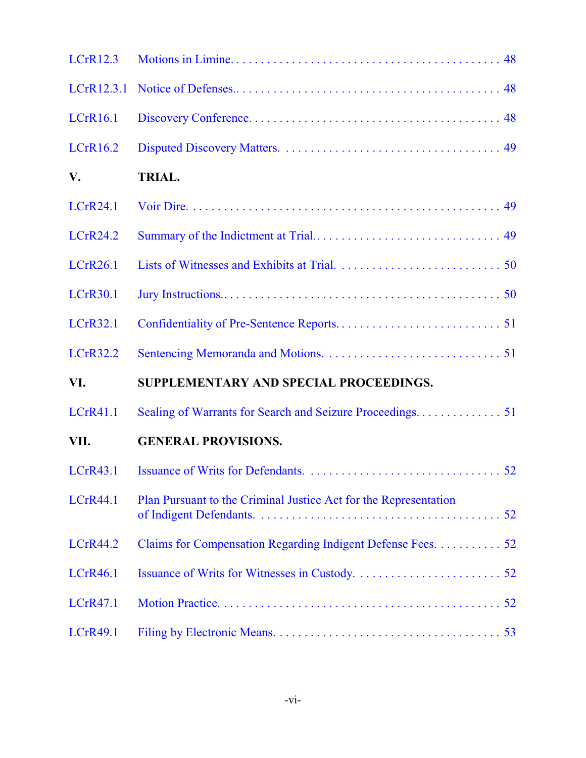| <b>LCrR12.3</b> |                                                                  |
|-----------------|------------------------------------------------------------------|
| LCrR12.3.1      |                                                                  |
| <b>LCrR16.1</b> |                                                                  |
| LCrR16.2        |                                                                  |
| V.              | TRIAL.                                                           |
| <b>LCrR24.1</b> |                                                                  |
| LCrR24.2        |                                                                  |
| <b>LCrR26.1</b> |                                                                  |
| <b>LCrR30.1</b> |                                                                  |
| <b>LCrR32.1</b> |                                                                  |
| LCrR32.2        |                                                                  |
| VI.             | SUPPLEMENTARY AND SPECIAL PROCEEDINGS.                           |
| <b>LCrR41.1</b> |                                                                  |
| VII.            | <b>GENERAL PROVISIONS.</b>                                       |
| <b>LCrR43.1</b> |                                                                  |
| LCrR44.1        | Plan Pursuant to the Criminal Justice Act for the Representation |
| LCrR44.2        | Claims for Compensation Regarding Indigent Defense Fees. 52      |
|                 |                                                                  |
| <b>LCrR46.1</b> |                                                                  |
| <b>LCrR47.1</b> |                                                                  |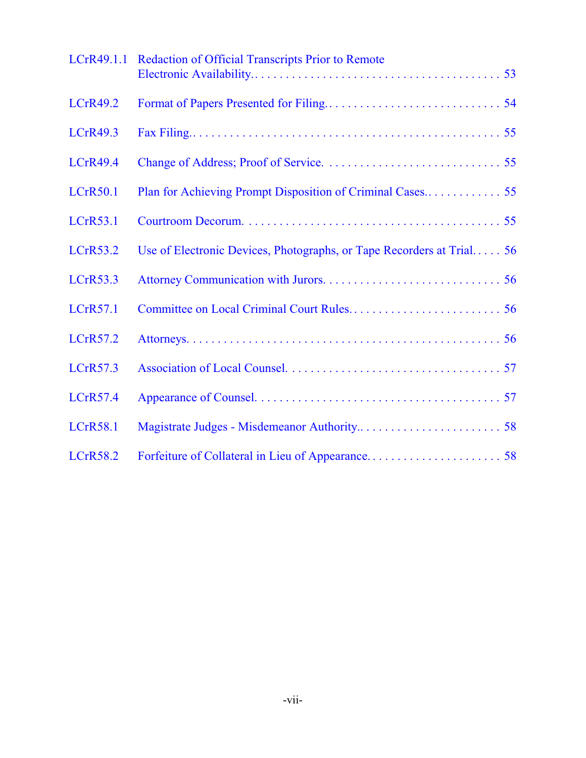| LCrR49.1.1      | Redaction of Official Transcripts Prior to Remote                     |
|-----------------|-----------------------------------------------------------------------|
| <b>LCrR49.2</b> |                                                                       |
| <b>LCrR49.3</b> |                                                                       |
| <b>LCrR49.4</b> |                                                                       |
| <b>LCrR50.1</b> |                                                                       |
| <b>LCrR53.1</b> |                                                                       |
| <b>LCrR53.2</b> | Use of Electronic Devices, Photographs, or Tape Recorders at Trial 56 |
| <b>LCrR53.3</b> |                                                                       |
| <b>LCrR57.1</b> |                                                                       |
| LCrR57.2        |                                                                       |
| <b>LCrR57.3</b> |                                                                       |
| <b>LCrR57.4</b> |                                                                       |
| <b>LCrR58.1</b> |                                                                       |
| <b>LCrR58.2</b> |                                                                       |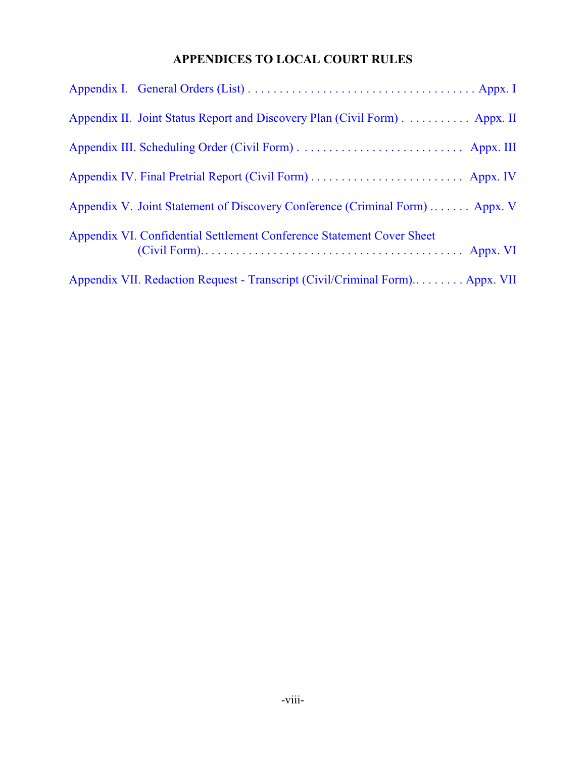# **APPENDICES TO LOCAL COURT RULES**

| Appendix II. Joint Status Report and Discovery Plan (Civil Form) Appx. II    |
|------------------------------------------------------------------------------|
|                                                                              |
| Appendix IV. Final Pretrial Report (Civil Form)  Appx. IV                    |
| Appendix V. Joint Statement of Discovery Conference (Criminal Form)  Appx. V |
| Appendix VI. Confidential Settlement Conference Statement Cover Sheet        |
| Appendix VII. Redaction Request - Transcript (Civil/Criminal Form) Appx. VII |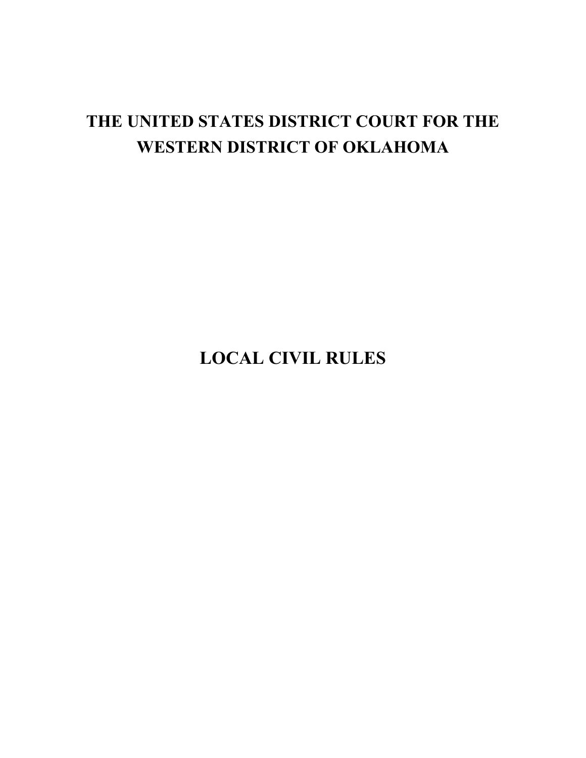**LOCAL CIVIL RULES**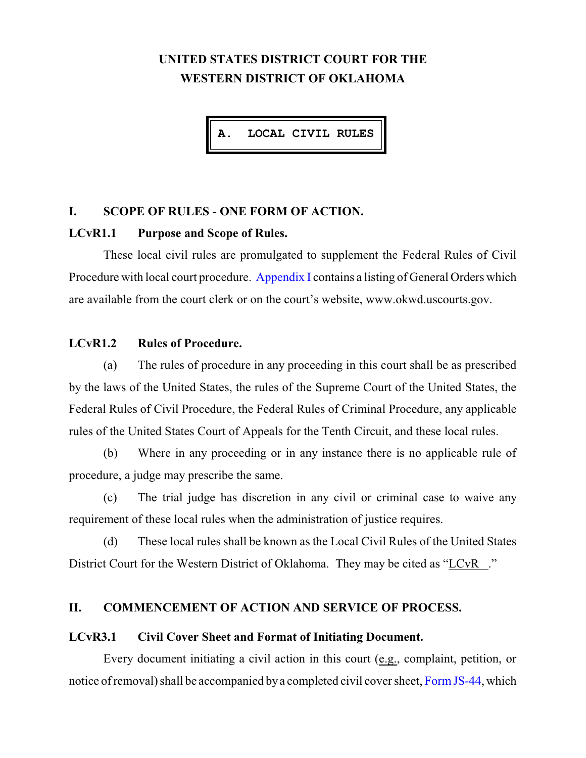**A. LOCAL CIVIL RULES**

## **I. SCOPE OF RULES - ONE FORM OF ACTION.**

#### <span id="page-13-0"></span>**LCvR1.1 Purpose and Scope of Rules.**

These local civil rules are promulgated to supplement the Federal Rules of Civil Procedure with local court procedure. [Appendix I](#page-72-0) contains a listing of General Orders which are available from the court clerk or on the court's website, www.okwd.uscourts.gov.

# <span id="page-13-1"></span>**LCvR1.2 Rules of Procedure.**

(a) The rules of procedure in any proceeding in this court shall be as prescribed by the laws of the United States, the rules of the Supreme Court of the United States, the Federal Rules of Civil Procedure, the Federal Rules of Criminal Procedure, any applicable rules of the United States Court of Appeals for the Tenth Circuit, and these local rules.

(b) Where in any proceeding or in any instance there is no applicable rule of procedure, a judge may prescribe the same.

(c) The trial judge has discretion in any civil or criminal case to waive any requirement of these local rules when the administration of justice requires.

(d) These local rules shall be known as the Local Civil Rules of the United States District Court for the Western District of Oklahoma. They may be cited as "LCvR ."

# **II. COMMENCEMENT OF ACTION AND SERVICE OF PROCESS.**

#### <span id="page-13-2"></span>**LCvR3.1 Civil Cover Sheet and Format of Initiating Document.**

Every document initiating a civil action in this court (e.g., complaint, petition, or notice of removal) shall be accompanied by a completed civil cover sheet, Form JS-44, which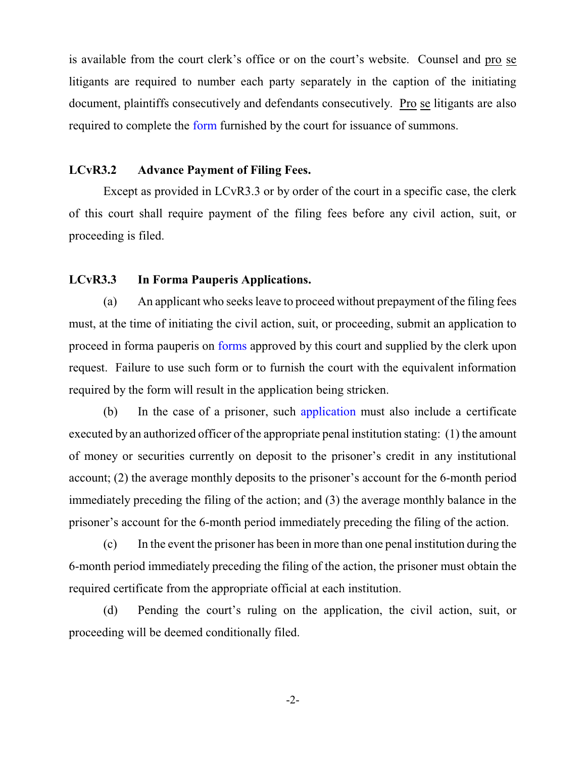is available from the court clerk's office or on the court's website. Counsel and pro se litigants are required to number each party separately in the caption of the initiating document, plaintiffs consecutively and defendants consecutively. Pro se litigants are also required to complete the [form](http://www.okwd.uscourts.gov/wp-content/uploads/2015/03/ao440.pdf) furnished by the court for issuance of summons.

## <span id="page-14-0"></span>**LCvR3.2 Advance Payment of Filing Fees.**

Except as provided in LCvR3.3 or by order of the court in a specific case, the clerk of this court shall require payment of the filing fees before any civil action, suit, or proceeding is filed.

#### <span id="page-14-1"></span>**LCvR3.3 In Forma Pauperis Applications.**

(a) An applicant who seeks leave to proceed without prepayment of the filing fees must, at the time of initiating the civil action, suit, or proceeding, submit an application to proceed in forma pauperis on [forms](http://www.okwd.uscourts.gov/wp-content/uploads/2015/03/IFP_non-prisoner_2014.pdf) approved by this court and supplied by the clerk upon request. Failure to use such form or to furnish the court with the equivalent information required by the form will result in the application being stricken.

(b) In the case of a prisoner, such [application](http://www.okwd.uscourts.gov/wp-content/uploads/2014/09/IFP_prisoner.pdf) must also include a certificate executed by an authorized officer of the appropriate penal institution stating: (1) the amount of money or securities currently on deposit to the prisoner's credit in any institutional account; (2) the average monthly deposits to the prisoner's account for the 6-month period immediately preceding the filing of the action; and (3) the average monthly balance in the prisoner's account for the 6-month period immediately preceding the filing of the action.

(c) In the event the prisoner has been in more than one penal institution during the 6-month period immediately preceding the filing of the action, the prisoner must obtain the required certificate from the appropriate official at each institution.

(d) Pending the court's ruling on the application, the civil action, suit, or proceeding will be deemed conditionally filed.

-2-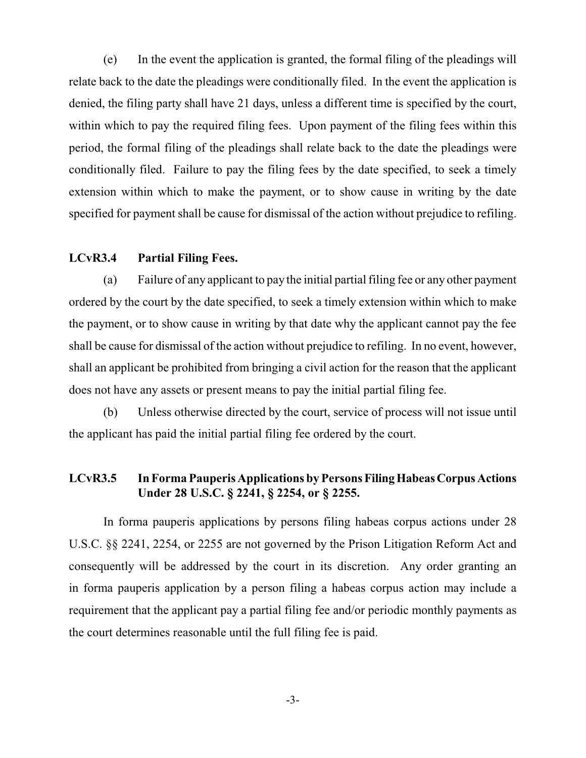(e) In the event the application is granted, the formal filing of the pleadings will relate back to the date the pleadings were conditionally filed. In the event the application is denied, the filing party shall have 21 days, unless a different time is specified by the court, within which to pay the required filing fees. Upon payment of the filing fees within this period, the formal filing of the pleadings shall relate back to the date the pleadings were conditionally filed. Failure to pay the filing fees by the date specified, to seek a timely extension within which to make the payment, or to show cause in writing by the date specified for payment shall be cause for dismissal of the action without prejudice to refiling.

#### <span id="page-15-0"></span>**LCvR3.4 Partial Filing Fees.**

(a) Failure of any applicant to pay the initial partial filing fee or any other payment ordered by the court by the date specified, to seek a timely extension within which to make the payment, or to show cause in writing by that date why the applicant cannot pay the fee shall be cause for dismissal of the action without prejudice to refiling. In no event, however, shall an applicant be prohibited from bringing a civil action for the reason that the applicant does not have any assets or present means to pay the initial partial filing fee.

(b) Unless otherwise directed by the court, service of process will not issue until the applicant has paid the initial partial filing fee ordered by the court.

# <span id="page-15-1"></span>**LCvR3.5 In Forma Pauperis Applications by PersonsFilingHabeasCorpusActions Under 28 U.S.C. § 2241, § 2254, or § 2255.**

In forma pauperis applications by persons filing habeas corpus actions under 28 U.S.C. §§ 2241, 2254, or 2255 are not governed by the Prison Litigation Reform Act and consequently will be addressed by the court in its discretion. Any order granting an in forma pauperis application by a person filing a habeas corpus action may include a requirement that the applicant pay a partial filing fee and/or periodic monthly payments as the court determines reasonable until the full filing fee is paid.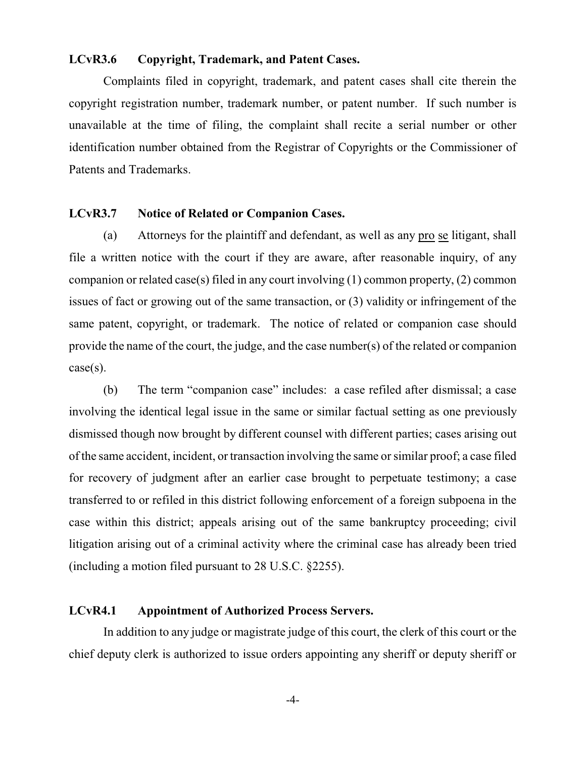# <span id="page-16-0"></span>**LCvR3.6 Copyright, Trademark, and Patent Cases.**

Complaints filed in copyright, trademark, and patent cases shall cite therein the copyright registration number, trademark number, or patent number. If such number is unavailable at the time of filing, the complaint shall recite a serial number or other identification number obtained from the Registrar of Copyrights or the Commissioner of Patents and Trademarks.

#### <span id="page-16-1"></span>**LCvR3.7 Notice of Related or Companion Cases.**

(a) Attorneys for the plaintiff and defendant, as well as any pro se litigant, shall file a written notice with the court if they are aware, after reasonable inquiry, of any companion or related case(s) filed in any court involving (1) common property, (2) common issues of fact or growing out of the same transaction, or (3) validity or infringement of the same patent, copyright, or trademark. The notice of related or companion case should provide the name of the court, the judge, and the case number(s) of the related or companion  $case(s)$ .

(b) The term "companion case" includes: a case refiled after dismissal; a case involving the identical legal issue in the same or similar factual setting as one previously dismissed though now brought by different counsel with different parties; cases arising out of the same accident, incident, or transaction involving the same or similar proof; a case filed for recovery of judgment after an earlier case brought to perpetuate testimony; a case transferred to or refiled in this district following enforcement of a foreign subpoena in the case within this district; appeals arising out of the same bankruptcy proceeding; civil litigation arising out of a criminal activity where the criminal case has already been tried (including a motion filed pursuant to 28 U.S.C. §2255).

#### <span id="page-16-2"></span>**LCvR4.1 Appointment of Authorized Process Servers.**

In addition to any judge or magistrate judge of this court, the clerk of this court or the chief deputy clerk is authorized to issue orders appointing any sheriff or deputy sheriff or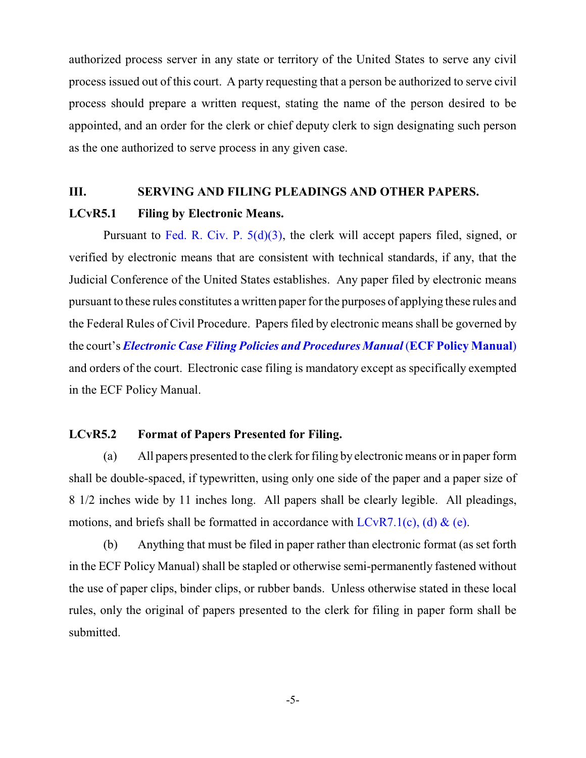authorized process server in any state or territory of the United States to serve any civil process issued out of this court. A party requesting that a person be authorized to serve civil process should prepare a written request, stating the name of the person desired to be appointed, and an order for the clerk or chief deputy clerk to sign designating such person as the one authorized to serve process in any given case.

# **III. SERVING AND FILING PLEADINGS AND OTHER PAPERS.**

#### <span id="page-17-0"></span>**LCvR5.1 Filing by Electronic Means.**

Pursuant to Fed. R. Civ. P.  $5(d)(3)$ , the clerk will accept papers filed, signed, or verified by electronic means that are consistent with technical standards, if any, that the Judicial Conference of the United States establishes. Any paper filed by electronic means pursuant to these rules constitutes a written paper for the purposes of applying these rules and the Federal Rules of Civil Procedure. Papers filed by electronic means shall be governed by the court's *[Electronic Case Filing Policies and Procedures Manual](http://www.okwd.uscourts.gov/wp-content/uploads/2015/04/ECFPoliciesProceduresManual5-1-15.pdf)* (**ECF Policy Manual**) and orders of the court. Electronic case filing is mandatory except as specifically exempted in the ECF Policy Manual.

# <span id="page-17-1"></span>**LCvR5.2 Format of Papers Presented for Filing.**

(a) All papers presented to the clerk for filing by electronic means or in paper form shall be double-spaced, if typewritten, using only one side of the paper and a paper size of 8 1/2 inches wide by 11 inches long. All papers shall be clearly legible. All pleadings, motions, and briefs shall be formatted in accordance with  $LCvR7.1(c)$ [, \(d\)](#page-21-1) [& \(e\)](#page-21-2).

(b) Anything that must be filed in paper rather than electronic format (as set forth in the ECF Policy Manual) shall be stapled or otherwise semi-permanently fastened without the use of paper clips, binder clips, or rubber bands. Unless otherwise stated in these local rules, only the original of papers presented to the clerk for filing in paper form shall be submitted.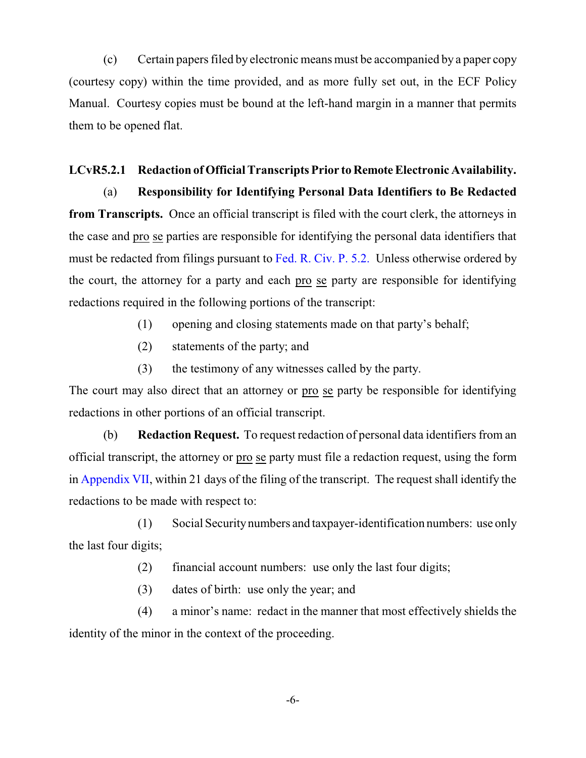(c) Certain papers filed by electronic means must be accompanied by a paper copy (courtesy copy) within the time provided, and as more fully set out, in the ECF Policy Manual. Courtesy copies must be bound at the left-hand margin in a manner that permits them to be opened flat.

#### <span id="page-18-0"></span>**LCvR5.2.1 Redaction of Official Transcripts Prior to Remote Electronic Availability.**

(a) **Responsibility for Identifying Personal Data Identifiers to Be Redacted from Transcripts.** Once an official transcript is filed with the court clerk, the attorneys in the case and pro se parties are responsible for identifying the personal data identifiers that must be redacted from filings pursuant to [Fed. R. Civ. P. 5.2.](http://www.law.cornell.edu/rules/frcp/rule_5.2) Unless otherwise ordered by the court, the attorney for a party and each pro se party are responsible for identifying redactions required in the following portions of the transcript:

(1) opening and closing statements made on that party's behalf;

- (2) statements of the party; and
- (3) the testimony of any witnesses called by the party.

The court may also direct that an attorney or pro se party be responsible for identifying redactions in other portions of an official transcript.

(b) **Redaction Request.** To request redaction of personal data identifiers from an official transcript, the attorney or pro se party must file a redaction request, using the form in [Appendix VII](#page-88-0), within 21 days of the filing of the transcript. The request shall identify the redactions to be made with respect to:

(1) Social Securitynumbers and taxpayer-identification numbers: use only the last four digits;

(2) financial account numbers: use only the last four digits;

(3) dates of birth: use only the year; and

(4) a minor's name: redact in the manner that most effectively shields the identity of the minor in the context of the proceeding.

-6-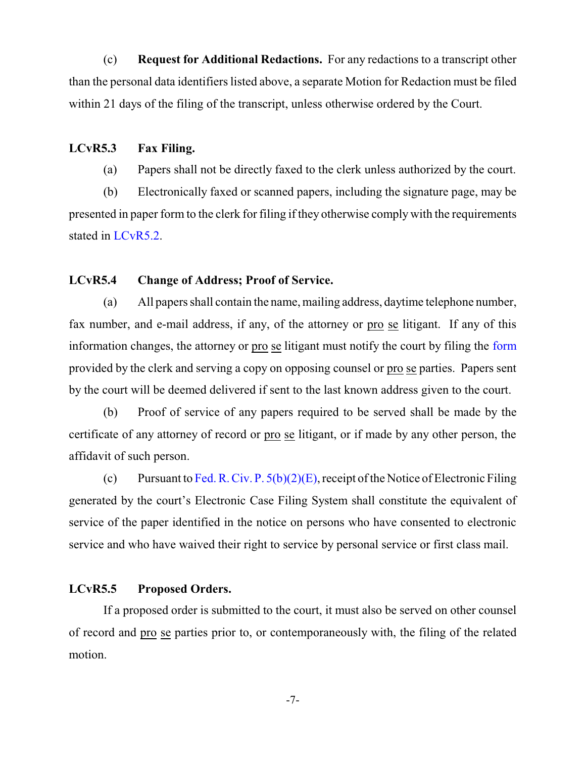(c) **Request for Additional Redactions.** For any redactions to a transcript other than the personal data identifiers listed above, a separate Motion for Redaction must be filed within 21 days of the filing of the transcript, unless otherwise ordered by the Court.

# <span id="page-19-0"></span>**LCvR5.3 Fax Filing.**

(a) Papers shall not be directly faxed to the clerk unless authorized by the court.

(b) Electronically faxed or scanned papers, including the signature page, may be presented in paper form to the clerk for filing if they otherwise comply with the requirements stated in [LCvR5.2](#page-17-1).

# <span id="page-19-1"></span>**LCvR5.4 Change of Address; Proof of Service.**

(a) All papers shall contain the name, mailing address, daytime telephone number, fax number, and e-mail address, if any, of the attorney or pro se litigant. If any of this information changes, the attorney or pro se litigant must notify the court by filing the [form](http://www.okwd.uscourts.gov/wp-content/uploads/2014/09/Attorney-Change-of-Address.pdf) provided by the clerk and serving a copy on opposing counsel or pro se parties. Papers sent by the court will be deemed delivered if sent to the last known address given to the court.

(b) Proof of service of any papers required to be served shall be made by the certificate of any attorney of record or pro se litigant, or if made by any other person, the affidavit of such person.

(c) Pursuant to Fed. R. Civ. P.  $5(b)(2)(E)$ , receipt of the Notice of Electronic Filing generated by the court's Electronic Case Filing System shall constitute the equivalent of service of the paper identified in the notice on persons who have consented to electronic service and who have waived their right to service by personal service or first class mail.

#### <span id="page-19-2"></span>**LCvR5.5 Proposed Orders.**

If a proposed order is submitted to the court, it must also be served on other counsel of record and pro se parties prior to, or contemporaneously with, the filing of the related motion.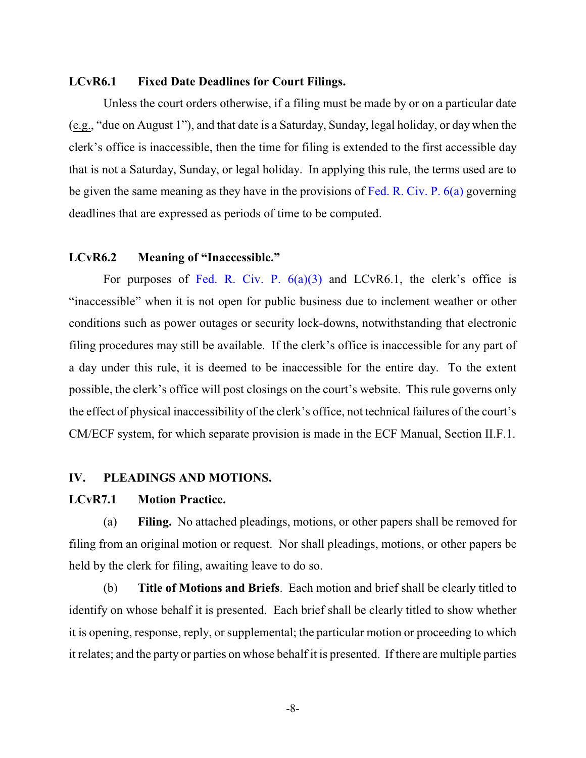#### <span id="page-20-0"></span>**LCvR6.1 Fixed Date Deadlines for Court Filings.**

Unless the court orders otherwise, if a filing must be made by or on a particular date (e.g., "due on August 1"), and that date is a Saturday, Sunday, legal holiday, or day when the clerk's office is inaccessible, then the time for filing is extended to the first accessible day that is not a Saturday, Sunday, or legal holiday. In applying this rule, the terms used are to be given the same meaning as they have in the provisions of [Fed. R. Civ. P. 6\(a\)](http://www.law.cornell.edu/rules/frcp/rule_6) governing deadlines that are expressed as periods of time to be computed.

#### <span id="page-20-1"></span>**LCvR6.2 Meaning of "Inaccessible."**

For purposes of [Fed. R. Civ.](http://www.law.cornell.edu/rules/frcp/rule_6) P.  $6(a)(3)$  and LCvR6.1, the clerk's office is "inaccessible" when it is not open for public business due to inclement weather or other conditions such as power outages or security lock-downs, notwithstanding that electronic filing procedures may still be available. If the clerk's office is inaccessible for any part of a day under this rule, it is deemed to be inaccessible for the entire day. To the extent possible, the clerk's office will post closings on the court's website. This rule governs only the effect of physical inaccessibility of the clerk's office, not technical failures of the court's CM/ECF system, for which separate provision is made in the ECF Manual, Section II.F.1.

#### **IV. PLEADINGS AND MOTIONS.**

#### <span id="page-20-2"></span>**LCvR7.1 Motion Practice.**

(a) **Filing.** No attached pleadings, motions, or other papers shall be removed for filing from an original motion or request. Nor shall pleadings, motions, or other papers be held by the clerk for filing, awaiting leave to do so.

(b) **Title of Motions and Briefs**. Each motion and brief shall be clearly titled to identify on whose behalf it is presented. Each brief shall be clearly titled to show whether it is opening, response, reply, or supplemental; the particular motion or proceeding to which it relates; and the party or parties on whose behalf it is presented. If there are multiple parties

-8-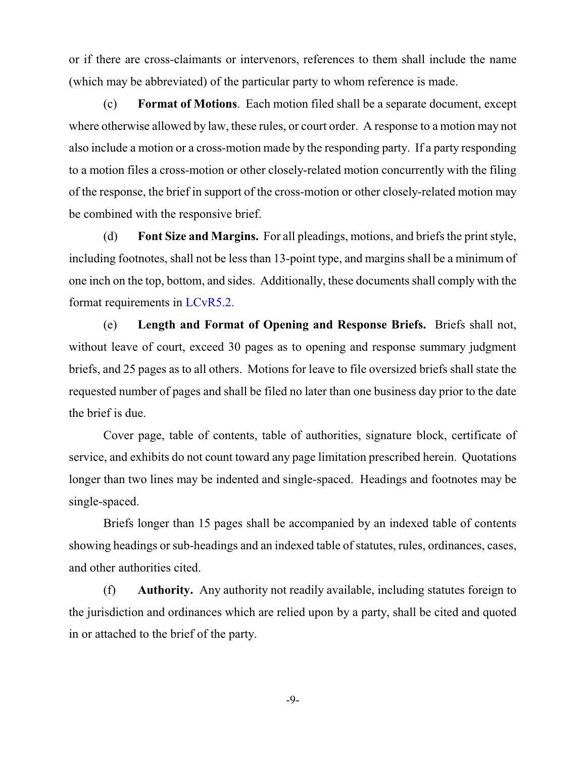or if there are cross-claimants or intervenors, references to them shall include the name (which may be abbreviated) of the particular party to whom reference is made.

<span id="page-21-0"></span>(c) **Format of Motions**. Each motion filed shall be a separate document, except where otherwise allowed by law, these rules, or court order. A response to a motion may not also include a motion or a cross-motion made by the responding party. If a party responding to a motion files a cross-motion or other closely-related motion concurrently with the filing of the response, the brief in support of the cross-motion or other closely-related motion may be combined with the responsive brief.

<span id="page-21-1"></span>(d) **Font Size and Margins.** For all pleadings, motions, and briefsthe print style, including footnotes, shall not be less than 13-point type, and margins shall be a minimum of one inch on the top, bottom, and sides. Additionally, these documents shall comply with the format requirements in [LCvR5.2.](#page-17-1)

<span id="page-21-2"></span>(e) **Length and Format of Opening and Response Briefs.** Briefs shall not, without leave of court, exceed 30 pages as to opening and response summary judgment briefs, and 25 pages as to all others. Motions for leave to file oversized briefs shall state the requested number of pages and shall be filed no later than one business day prior to the date the brief is due.

Cover page, table of contents, table of authorities, signature block, certificate of service, and exhibits do not count toward any page limitation prescribed herein. Quotations longer than two lines may be indented and single-spaced. Headings and footnotes may be single-spaced.

Briefs longer than 15 pages shall be accompanied by an indexed table of contents showing headings or sub-headings and an indexed table of statutes, rules, ordinances, cases, and other authorities cited.

(f) **Authority.** Any authority not readily available, including statutes foreign to the jurisdiction and ordinances which are relied upon by a party, shall be cited and quoted in or attached to the brief of the party.

-9-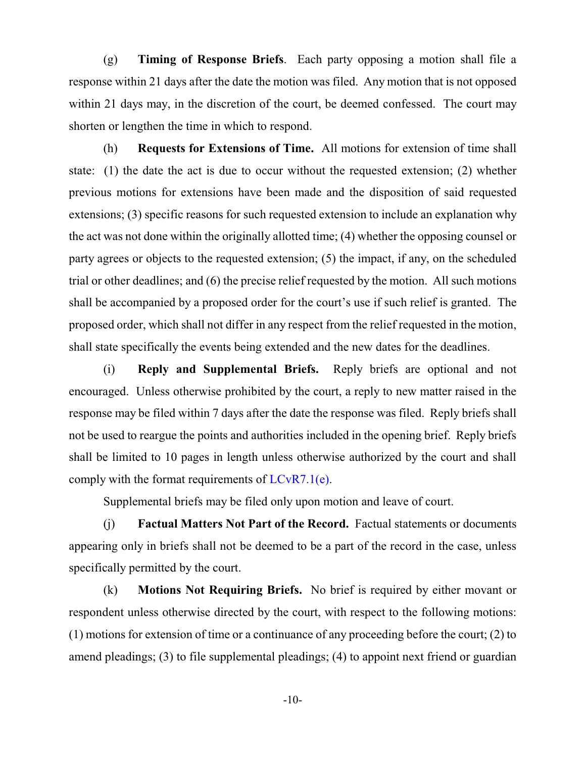(g) **Timing of Response Briefs**. Each party opposing a motion shall file a response within 21 days after the date the motion was filed. Any motion that is not opposed within 21 days may, in the discretion of the court, be deemed confessed. The court may shorten or lengthen the time in which to respond.

(h) **Requests for Extensions of Time.** All motions for extension of time shall state: (1) the date the act is due to occur without the requested extension; (2) whether previous motions for extensions have been made and the disposition of said requested extensions; (3) specific reasons for such requested extension to include an explanation why the act was not done within the originally allotted time; (4) whether the opposing counsel or party agrees or objects to the requested extension; (5) the impact, if any, on the scheduled trial or other deadlines; and (6) the precise relief requested by the motion. All such motions shall be accompanied by a proposed order for the court's use if such relief is granted. The proposed order, which shall not differ in any respect from the relief requested in the motion, shall state specifically the events being extended and the new dates for the deadlines.

(i) **Reply and Supplemental Briefs.** Reply briefs are optional and not encouraged. Unless otherwise prohibited by the court, a reply to new matter raised in the response may be filed within 7 days after the date the response was filed. Reply briefs shall not be used to reargue the points and authorities included in the opening brief. Reply briefs shall be limited to 10 pages in length unless otherwise authorized by the court and shall comply with the format requirements of [LCvR7.1\(e\)](#page-21-2).

Supplemental briefs may be filed only upon motion and leave of court.

(j) **Factual Matters Not Part of the Record.** Factual statements or documents appearing only in briefs shall not be deemed to be a part of the record in the case, unless specifically permitted by the court.

(k) **Motions Not Requiring Briefs.** No brief is required by either movant or respondent unless otherwise directed by the court, with respect to the following motions: (1) motions for extension of time or a continuance of any proceeding before the court; (2) to amend pleadings; (3) to file supplemental pleadings; (4) to appoint next friend or guardian

-10-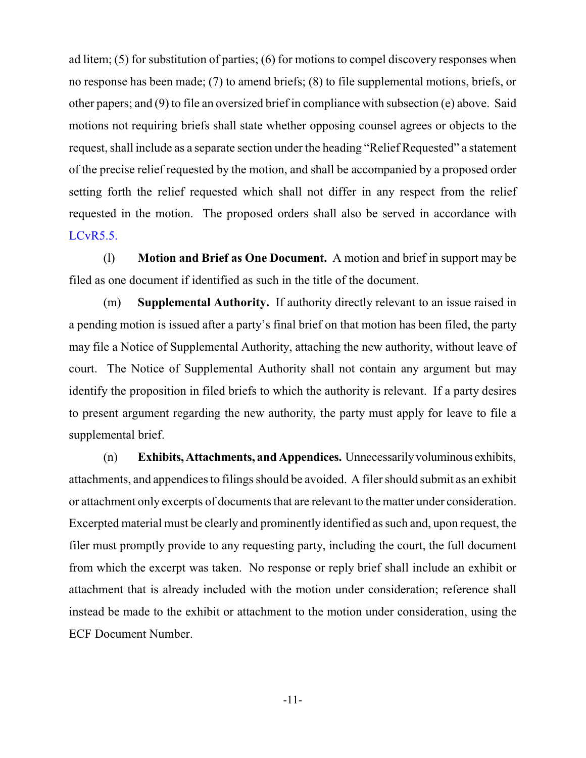ad litem; (5) for substitution of parties; (6) for motions to compel discovery responses when no response has been made; (7) to amend briefs; (8) to file supplemental motions, briefs, or other papers; and (9) to file an oversized brief in compliance with subsection (e) above. Said motions not requiring briefs shall state whether opposing counsel agrees or objects to the request, shall include as a separate section under the heading "Relief Requested" a statement of the precise relief requested by the motion, and shall be accompanied by a proposed order setting forth the relief requested which shall not differ in any respect from the relief requested in the motion. The proposed orders shall also be served in accordance with [LCvR5.5.](#page-19-2)

(l) **Motion and Brief as One Document.** A motion and brief in support may be filed as one document if identified as such in the title of the document.

(m) **Supplemental Authority.** If authority directly relevant to an issue raised in a pending motion is issued after a party's final brief on that motion has been filed, the party may file a Notice of Supplemental Authority, attaching the new authority, without leave of court. The Notice of Supplemental Authority shall not contain any argument but may identify the proposition in filed briefs to which the authority is relevant. If a party desires to present argument regarding the new authority, the party must apply for leave to file a supplemental brief.

(n) **Exhibits,Attachments, and Appendices.** Unnecessarilyvoluminous exhibits, attachments, and appendices to filings should be avoided. A filer should submit as an exhibit or attachment only excerpts of documents that are relevant to the matter under consideration. Excerpted material must be clearly and prominently identified as such and, upon request, the filer must promptly provide to any requesting party, including the court, the full document from which the excerpt was taken. No response or reply brief shall include an exhibit or attachment that is already included with the motion under consideration; reference shall instead be made to the exhibit or attachment to the motion under consideration, using the ECF Document Number.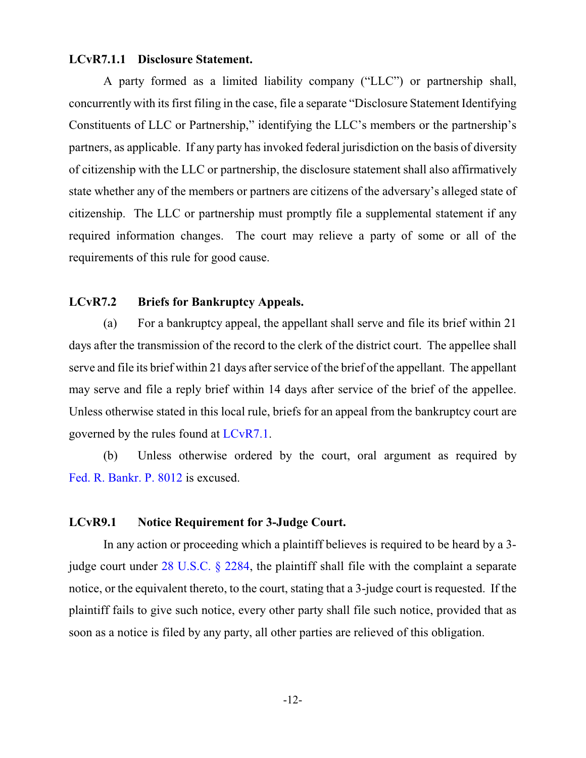#### <span id="page-24-0"></span>**LCvR7.1.1 Disclosure Statement.**

A party formed as a limited liability company ("LLC") or partnership shall, concurrently with its first filing in the case, file a separate "Disclosure Statement Identifying Constituents of LLC or Partnership," identifying the LLC's members or the partnership's partners, as applicable. If any party has invoked federal jurisdiction on the basis of diversity of citizenship with the LLC or partnership, the disclosure statement shall also affirmatively state whether any of the members or partners are citizens of the adversary's alleged state of citizenship. The LLC or partnership must promptly file a supplemental statement if any required information changes. The court may relieve a party of some or all of the requirements of this rule for good cause.

#### <span id="page-24-1"></span>**LCvR7.2 Briefs for Bankruptcy Appeals.**

(a) For a bankruptcy appeal, the appellant shall serve and file its brief within 21 days after the transmission of the record to the clerk of the district court. The appellee shall serve and file its brief within 21 days after service of the brief of the appellant. The appellant may serve and file a reply brief within 14 days after service of the brief of the appellee. Unless otherwise stated in this local rule, briefs for an appeal from the bankruptcy court are governed by the rules found at [LCvR7.1](#page-20-2).

(b) Unless otherwise ordered by the court, oral argument as required by [Fed. R. Bankr. P. 8012](http://www.law.cornell.edu/rules/frbp/rule_8012) is excused.

#### <span id="page-24-2"></span>**LCvR9.1 Notice Requirement for 3-Judge Court.**

In any action or proceeding which a plaintiff believes is required to be heard by a 3 judge court under [28 U.S.C. § 2284](http://www.law.cornell.edu/uscode/text/28/2284), the plaintiff shall file with the complaint a separate notice, or the equivalent thereto, to the court, stating that a 3-judge court is requested. If the plaintiff fails to give such notice, every other party shall file such notice, provided that as soon as a notice is filed by any party, all other parties are relieved of this obligation.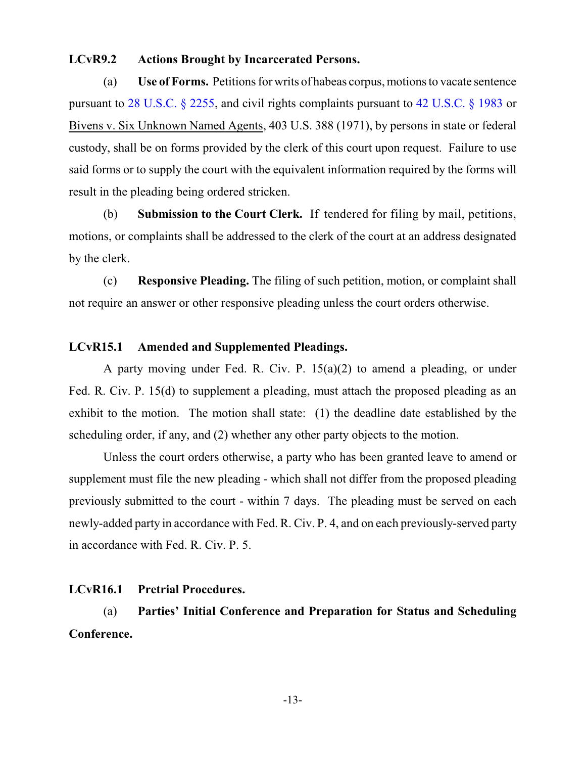#### <span id="page-25-0"></span>**LCvR9.2 Actions Brought by Incarcerated Persons.**

(a) **Use of Forms.** Petitions for writs of habeas corpus, motions to vacate sentence pursuant to [28 U.S.C. §](http://www.law.cornell.edu/uscode/text/28/2255) 2255, and civil rights complaints pursuant to [42 U.S.C. § 1983](http://www.law.cornell.edu/uscode/text/42/1983) or Bivens v. Six Unknown Named Agents, 403 U.S. 388 (1971), by persons in state or federal custody, shall be on forms provided by the clerk of this court upon request. Failure to use said forms or to supply the court with the equivalent information required by the forms will result in the pleading being ordered stricken.

(b) **Submission to the Court Clerk.** If tendered for filing by mail, petitions, motions, or complaints shall be addressed to the clerk of the court at an address designated by the clerk.

(c) **Responsive Pleading.** The filing of such petition, motion, or complaint shall not require an answer or other responsive pleading unless the court orders otherwise.

#### <span id="page-25-1"></span>**LCvR15.1 Amended and Supplemented Pleadings.**

A party moving under Fed. R. Civ. P. 15(a)(2) to amend a pleading, or under Fed. R. Civ. P. 15(d) to supplement a pleading, must attach the proposed pleading as an exhibit to the motion. The motion shall state: (1) the deadline date established by the scheduling order, if any, and (2) whether any other party objects to the motion.

Unless the court orders otherwise, a party who has been granted leave to amend or supplement must file the new pleading - which shall not differ from the proposed pleading previously submitted to the court - within 7 days. The pleading must be served on each newly-added party in accordance with Fed. R. Civ. P. 4, and on each previously-served party in accordance with Fed. R. Civ. P. 5.

#### <span id="page-25-2"></span>**LCvR16.1 Pretrial Procedures.**

(a) **Parties' Initial Conference and Preparation for Status and Scheduling Conference.**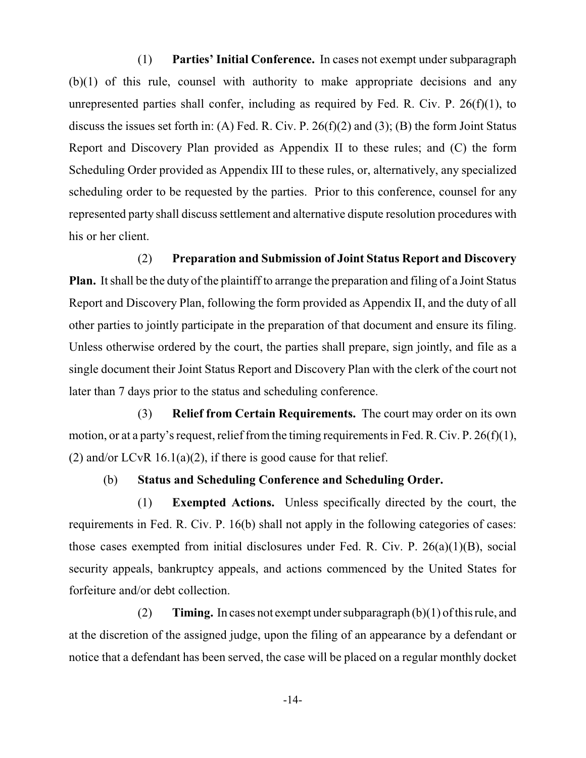(1) **Parties' Initial Conference.** In cases not exempt under subparagraph (b)(1) of this rule, counsel with authority to make appropriate decisions and any unrepresented parties shall confer, including as required by Fed. R. Civ. P.  $26(f)(1)$ , to discuss the issues set forth in: (A) Fed. R. Civ. P. 26(f)(2) and (3); (B) the form Joint Status Report and Discovery Plan provided as Appendix II to these rules; and (C) the form Scheduling Order provided as Appendix III to these rules, or, alternatively, any specialized scheduling order to be requested by the parties. Prior to this conference, counsel for any represented party shall discuss settlement and alternative dispute resolution procedures with his or her client.

(2) **Preparation and Submission of Joint Status Report and Discovery Plan.** It shall be the duty of the plaintiff to arrange the preparation and filing of a Joint Status Report and Discovery Plan, following the form provided as Appendix II, and the duty of all other parties to jointly participate in the preparation of that document and ensure its filing. Unless otherwise ordered by the court, the parties shall prepare, sign jointly, and file as a single document their Joint Status Report and Discovery Plan with the clerk of the court not later than 7 days prior to the status and scheduling conference.

(3) **Relief from Certain Requirements.** The court may order on its own motion, or at a party's request, relief from the timing requirements in Fed. R. Civ. P. 26(f)(1), (2) and/or LCvR  $16.1(a)(2)$ , if there is good cause for that relief.

## (b) **Status and Scheduling Conference and Scheduling Order.**

(1) **Exempted Actions.** Unless specifically directed by the court, the requirements in Fed. R. Civ. P. 16(b) shall not apply in the following categories of cases: those cases exempted from initial disclosures under Fed. R. Civ. P. 26(a)(1)(B), social security appeals, bankruptcy appeals, and actions commenced by the United States for forfeiture and/or debt collection.

(2) **Timing.** In cases not exempt under subparagraph (b)(1) ofthis rule, and at the discretion of the assigned judge, upon the filing of an appearance by a defendant or notice that a defendant has been served, the case will be placed on a regular monthly docket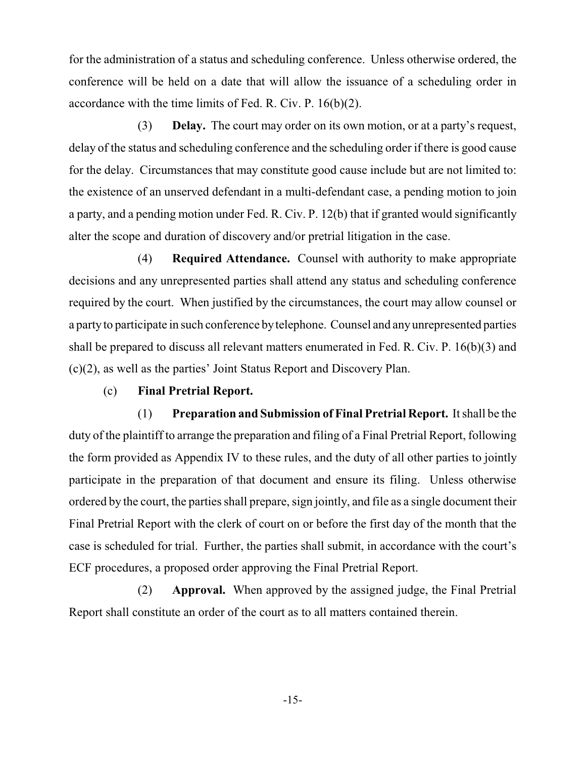for the administration of a status and scheduling conference. Unless otherwise ordered, the conference will be held on a date that will allow the issuance of a scheduling order in accordance with the time limits of Fed. R. Civ. P. 16(b)(2).

(3) **Delay.** The court may order on its own motion, or at a party's request, delay of the status and scheduling conference and the scheduling order if there is good cause for the delay. Circumstances that may constitute good cause include but are not limited to: the existence of an unserved defendant in a multi-defendant case, a pending motion to join a party, and a pending motion under Fed. R. Civ. P. 12(b) that if granted would significantly alter the scope and duration of discovery and/or pretrial litigation in the case.

(4) **Required Attendance.** Counsel with authority to make appropriate decisions and any unrepresented parties shall attend any status and scheduling conference required by the court. When justified by the circumstances, the court may allow counsel or a party to participate in such conference bytelephone. Counsel and anyunrepresented parties shall be prepared to discuss all relevant matters enumerated in Fed. R. Civ. P. 16(b)(3) and (c)(2), as well as the parties' Joint Status Report and Discovery Plan.

## (c) **Final Pretrial Report.**

(1) **Preparation and Submission of Final Pretrial Report.** It shall be the duty of the plaintiff to arrange the preparation and filing of a Final Pretrial Report, following the form provided as Appendix IV to these rules, and the duty of all other parties to jointly participate in the preparation of that document and ensure its filing. Unless otherwise ordered by the court, the parties shall prepare, sign jointly, and file as a single document their Final Pretrial Report with the clerk of court on or before the first day of the month that the case is scheduled for trial. Further, the parties shall submit, in accordance with the court's ECF procedures, a proposed order approving the Final Pretrial Report.

(2) **Approval.** When approved by the assigned judge, the Final Pretrial Report shall constitute an order of the court as to all matters contained therein.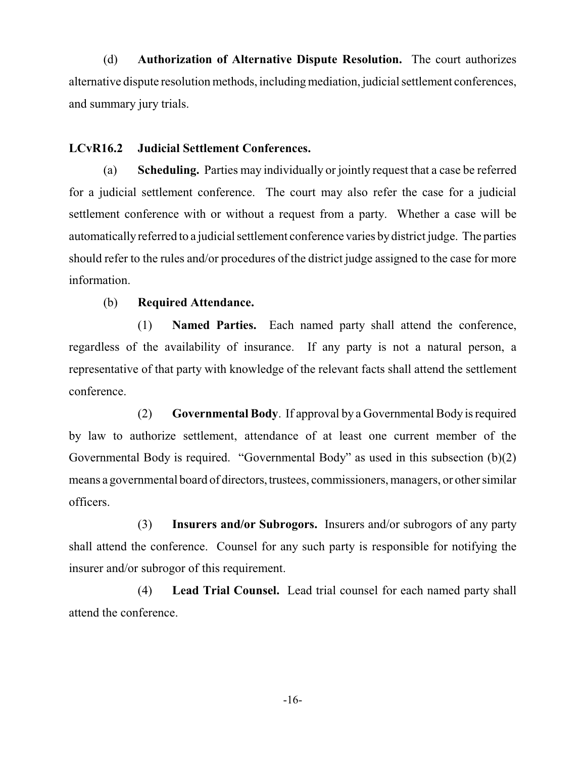(d) **Authorization of Alternative Dispute Resolution.** The court authorizes alternative dispute resolution methods, including mediation, judicial settlement conferences, and summary jury trials.

# <span id="page-28-0"></span>**LCvR16.2 Judicial Settlement Conferences.**

(a) **Scheduling.** Parties may individually or jointly request that a case be referred for a judicial settlement conference. The court may also refer the case for a judicial settlement conference with or without a request from a party. Whether a case will be automatically referred to a judicial settlement conference varies bydistrict judge. The parties should refer to the rules and/or procedures of the district judge assigned to the case for more information.

#### (b) **Required Attendance.**

(1) **Named Parties.** Each named party shall attend the conference, regardless of the availability of insurance. If any party is not a natural person, a representative of that party with knowledge of the relevant facts shall attend the settlement conference.

(2) **Governmental Body**. If approval by a Governmental Body is required by law to authorize settlement, attendance of at least one current member of the Governmental Body is required. "Governmental Body" as used in this subsection (b)(2) means a governmental board of directors, trustees, commissioners, managers, or other similar officers.

(3) **Insurers and/or Subrogors.** Insurers and/or subrogors of any party shall attend the conference. Counsel for any such party is responsible for notifying the insurer and/or subrogor of this requirement.

(4) **Lead Trial Counsel.** Lead trial counsel for each named party shall attend the conference.

-16-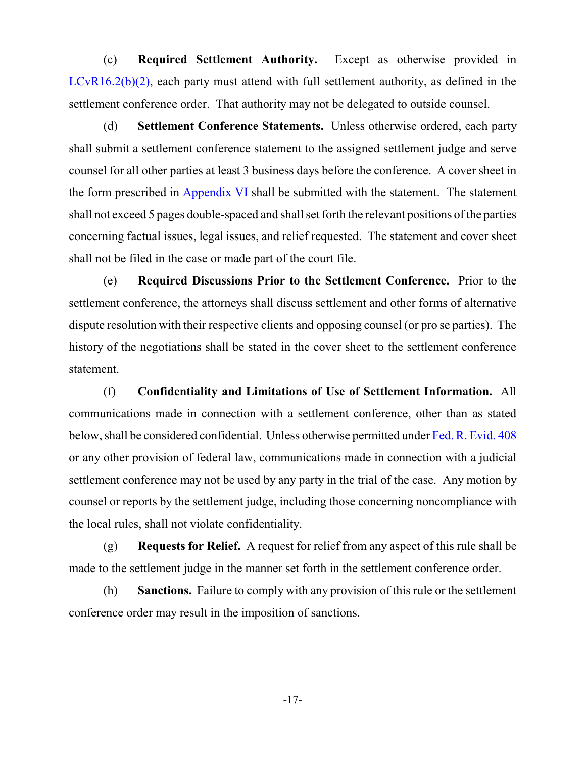(c) **Required Settlement Authority.** Except as otherwise provided in  $LCvR16.2(b)(2)$ , each party must attend with full settlement authority, as defined in the settlement conference order. That authority may not be delegated to outside counsel.

(d) **Settlement Conference Statements.** Unless otherwise ordered, each party shall submit a settlement conference statement to the assigned settlement judge and serve counsel for all other parties at least 3 business days before the conference. A cover sheet in the form prescribed in [Appendix VI](#page-87-0) shall be submitted with the statement. The statement shall not exceed 5 pages double-spaced and shall set forth the relevant positions of the parties concerning factual issues, legal issues, and relief requested. The statement and cover sheet shall not be filed in the case or made part of the court file.

(e) **Required Discussions Prior to the Settlement Conference.** Prior to the settlement conference, the attorneys shall discuss settlement and other forms of alternative dispute resolution with their respective clients and opposing counsel (or pro se parties). The history of the negotiations shall be stated in the cover sheet to the settlement conference statement.

(f) **Confidentiality and Limitations of Use of Settlement Information.** All communications made in connection with a settlement conference, other than as stated below, shall be considered confidential. Unless otherwise permitted under [Fed. R. Evid. 408](http://www.law.cornell.edu/rules/fre/rule_408) or any other provision of federal law, communications made in connection with a judicial settlement conference may not be used by any party in the trial of the case. Any motion by counsel or reports by the settlement judge, including those concerning noncompliance with the local rules, shall not violate confidentiality.

(g) **Requests for Relief.** A request for relief from any aspect of this rule shall be made to the settlement judge in the manner set forth in the settlement conference order.

<span id="page-29-0"></span>(h) **Sanctions.** Failure to comply with any provision of this rule or the settlement conference order may result in the imposition of sanctions.

-17-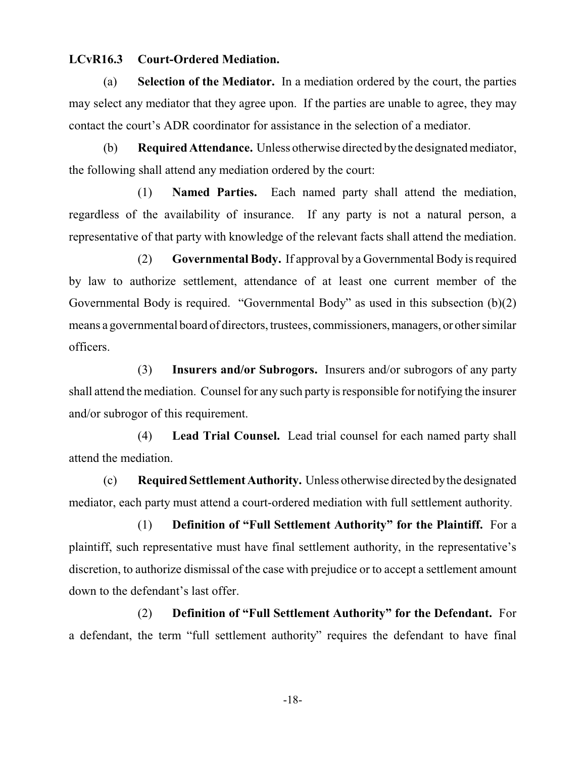#### **LCvR16.3 Court-Ordered Mediation.**

(a) **Selection of the Mediator.** In a mediation ordered by the court, the parties may select any mediator that they agree upon. If the parties are unable to agree, they may contact the court's ADR coordinator for assistance in the selection of a mediator.

(b) **Required Attendance.** Unless otherwise directed bythe designated mediator, the following shall attend any mediation ordered by the court:

(1) **Named Parties.** Each named party shall attend the mediation, regardless of the availability of insurance. If any party is not a natural person, a representative of that party with knowledge of the relevant facts shall attend the mediation.

(2) **Governmental Body.** If approval by a Governmental Body is required by law to authorize settlement, attendance of at least one current member of the Governmental Body is required. "Governmental Body" as used in this subsection (b)(2) means a governmental board of directors, trustees, commissioners, managers, or other similar officers.

(3) **Insurers and/or Subrogors.** Insurers and/or subrogors of any party shall attend the mediation. Counsel for any such party is responsible for notifying the insurer and/or subrogor of this requirement.

(4) **Lead Trial Counsel.** Lead trial counsel for each named party shall attend the mediation.

(c) **Required SettlementAuthority.** Unless otherwise directed bythe designated mediator, each party must attend a court-ordered mediation with full settlement authority.

(1) **Definition of "Full Settlement Authority" for the Plaintiff.** For a plaintiff, such representative must have final settlement authority, in the representative's discretion, to authorize dismissal of the case with prejudice or to accept a settlement amount down to the defendant's last offer.

(2) **Definition of "Full Settlement Authority" for the Defendant.** For a defendant, the term "full settlement authority" requires the defendant to have final

-18-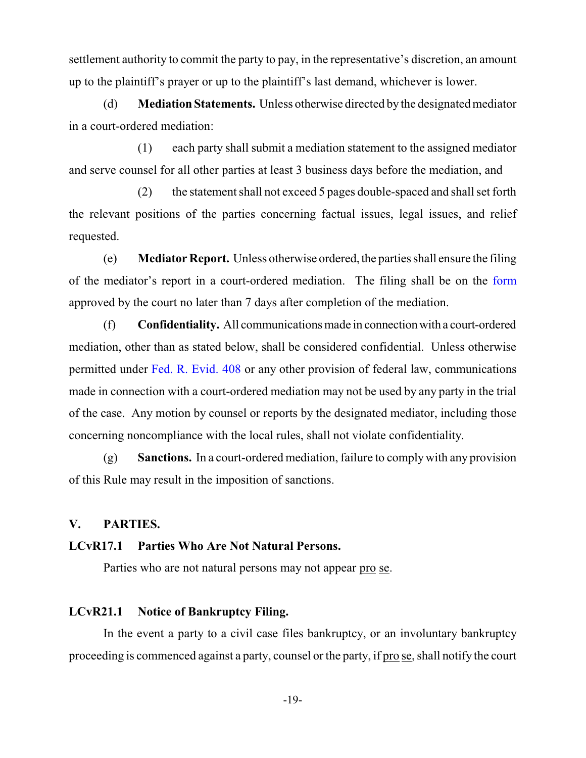settlement authority to commit the party to pay, in the representative's discretion, an amount up to the plaintiff's prayer or up to the plaintiff's last demand, whichever is lower.

(d) **Mediation Statements.** Unless otherwise directed by the designated mediator in a court-ordered mediation:

(1) each party shall submit a mediation statement to the assigned mediator and serve counsel for all other parties at least 3 business days before the mediation, and

(2) the statement shall not exceed 5 pages double-spaced and shall set forth the relevant positions of the parties concerning factual issues, legal issues, and relief requested.

(e) **Mediator Report.** Unless otherwise ordered,the parties shall ensure the filing of the mediator's report in a court-ordered mediation. The filing shall be on the [form](http://www.okwd.uscourts.gov/files/adr/adrrep.pdf) approved by the court no later than 7 days after completion of the mediation.

(f) **Confidentiality.** All communications made in connectionwith a court-ordered mediation, other than as stated below, shall be considered confidential. Unless otherwise permitted under [Fed. R.](http://www.law.cornell.edu/rules/fre/rule_408) Evid. 408 or any other provision of federal law, communications made in connection with a court-ordered mediation may not be used by any party in the trial of the case. Any motion by counsel or reports by the designated mediator, including those concerning noncompliance with the local rules, shall not violate confidentiality.

(g) **Sanctions.** In a court-ordered mediation, failure to complywith any provision of this Rule may result in the imposition of sanctions.

#### **V. PARTIES.**

#### <span id="page-31-0"></span>**LCvR17.1 Parties Who Are Not Natural Persons.**

Parties who are not natural persons may not appear pro se.

#### <span id="page-31-1"></span>**LCvR21.1 Notice of Bankruptcy Filing.**

In the event a party to a civil case files bankruptcy, or an involuntary bankruptcy proceeding is commenced against a party, counsel or the party, if pro se, shall notify the court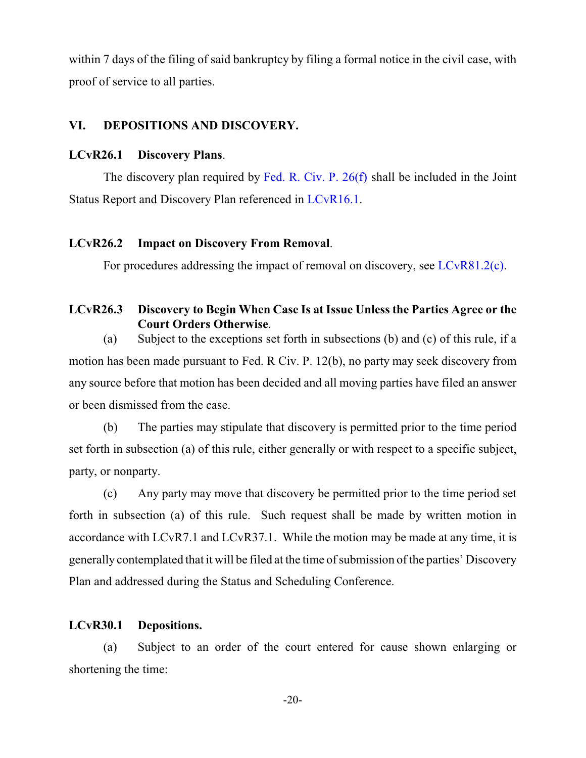within 7 days of the filing of said bankruptcy by filing a formal notice in the civil case, with proof of service to all parties.

#### **VI. DEPOSITIONS AND DISCOVERY.**

#### <span id="page-32-0"></span>**LCvR26.1 Discovery Plans**.

The discovery plan required by [Fed. R. Civ. P. 26\(f\)](http://www.law.cornell.edu/rules/frcp/rule_26) shall be included in the Joint Status Report and Discovery Plan referenced in [LCvR16.1](#page-25-2).

#### <span id="page-32-1"></span>**LCvR26.2 Impact on Discovery From Removal**.

For procedures addressing the impact of removal on discovery, see [LCvR81.2\(c\)](#page-41-3).

# <span id="page-32-2"></span>**LCvR26.3 Discovery to Begin When Case Is at Issue Unless the Parties Agree or the Court Orders Otherwise**.

(a) Subject to the exceptions set forth in subsections (b) and (c) of this rule, if a motion has been made pursuant to Fed. R Civ. P. 12(b), no party may seek discovery from any source before that motion has been decided and all moving parties have filed an answer or been dismissed from the case.

(b) The parties may stipulate that discovery is permitted prior to the time period set forth in subsection (a) of this rule, either generally or with respect to a specific subject, party, or nonparty.

(c) Any party may move that discovery be permitted prior to the time period set forth in subsection (a) of this rule. Such request shall be made by written motion in accordance with LCvR7.1 and LCvR37.1. While the motion may be made at any time, it is generally contemplated that it will be filed at the time of submission of the parties' Discovery Plan and addressed during the Status and Scheduling Conference.

#### <span id="page-32-3"></span>**LCvR30.1 Depositions.**

(a) Subject to an order of the court entered for cause shown enlarging or shortening the time:

-20-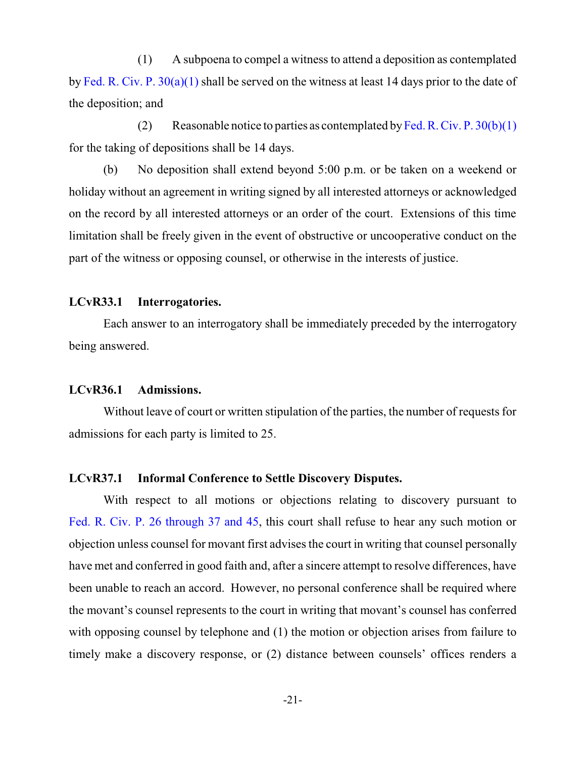(1) A subpoena to compel a witness to attend a deposition as contemplated by [Fed. R. Civ. P. 30\(a\)\(1\)](http://www.law.cornell.edu/rules/frcp/rule_30) shall be served on the witness at least 14 days prior to the date of the deposition; and

(2) Reasonable notice to parties as contemplated by Fed. R. Civ. P.  $30(b)(1)$ for the taking of depositions shall be 14 days.

(b) No deposition shall extend beyond 5:00 p.m. or be taken on a weekend or holiday without an agreement in writing signed by all interested attorneys or acknowledged on the record by all interested attorneys or an order of the court. Extensions of this time limitation shall be freely given in the event of obstructive or uncooperative conduct on the part of the witness or opposing counsel, or otherwise in the interests of justice.

#### <span id="page-33-0"></span>**LCvR33.1 Interrogatories.**

Each answer to an interrogatory shall be immediately preceded by the interrogatory being answered.

#### <span id="page-33-1"></span>**LCvR36.1 Admissions.**

Without leave of court or written stipulation of the parties, the number of requests for admissions for each party is limited to 25.

#### <span id="page-33-2"></span>**LCvR37.1 Informal Conference to Settle Discovery Disputes.**

With respect to all motions or objections relating to discovery pursuant to [Fed. R. Civ. P. 26 through 37 and 45](http://www.law.cornell.edu/rules/frcp), this court shall refuse to hear any such motion or objection unless counsel for movant first advises the court in writing that counsel personally have met and conferred in good faith and, after a sincere attempt to resolve differences, have been unable to reach an accord. However, no personal conference shall be required where the movant's counsel represents to the court in writing that movant's counsel has conferred with opposing counsel by telephone and  $(1)$  the motion or objection arises from failure to timely make a discovery response, or (2) distance between counsels' offices renders a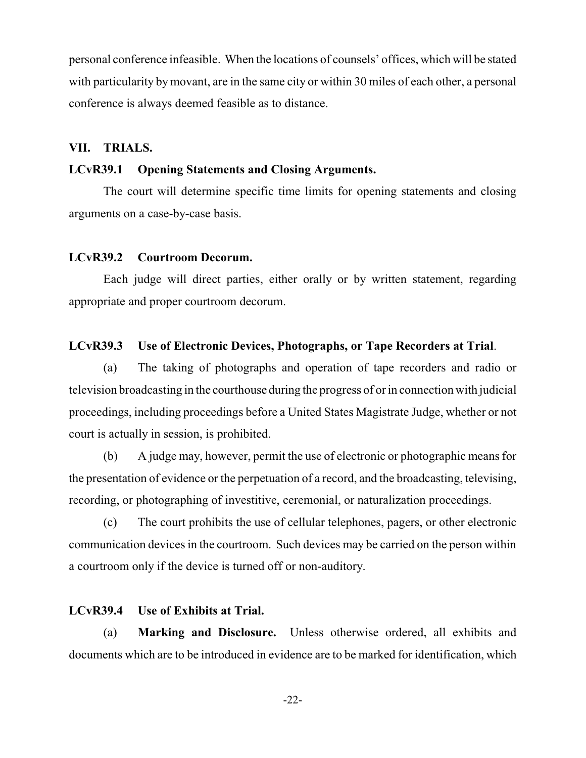personal conference infeasible. When the locations of counsels' offices, which will be stated with particularity by movant, are in the same city or within 30 miles of each other, a personal conference is always deemed feasible as to distance.

#### **VII. TRIALS.**

#### <span id="page-34-0"></span>**LCvR39.1 Opening Statements and Closing Arguments.**

The court will determine specific time limits for opening statements and closing arguments on a case-by-case basis.

#### <span id="page-34-1"></span>**LCvR39.2 Courtroom Decorum.**

Each judge will direct parties, either orally or by written statement, regarding appropriate and proper courtroom decorum.

#### <span id="page-34-2"></span>**LCvR39.3 Use of Electronic Devices, Photographs, or Tape Recorders at Trial**.

(a) The taking of photographs and operation of tape recorders and radio or television broadcasting in the courthouse during the progress of or in connection with judicial proceedings, including proceedings before a United States Magistrate Judge, whether or not court is actually in session, is prohibited.

(b) A judge may, however, permit the use of electronic or photographic means for the presentation of evidence or the perpetuation of a record, and the broadcasting, televising, recording, or photographing of investitive, ceremonial, or naturalization proceedings.

(c) The court prohibits the use of cellular telephones, pagers, or other electronic communication devices in the courtroom. Such devices may be carried on the person within a courtroom only if the device is turned off or non-auditory.

#### <span id="page-34-3"></span>**LCvR39.4 Use of Exhibits at Trial.**

(a) **Marking and Disclosure.** Unless otherwise ordered, all exhibits and documents which are to be introduced in evidence are to be marked for identification, which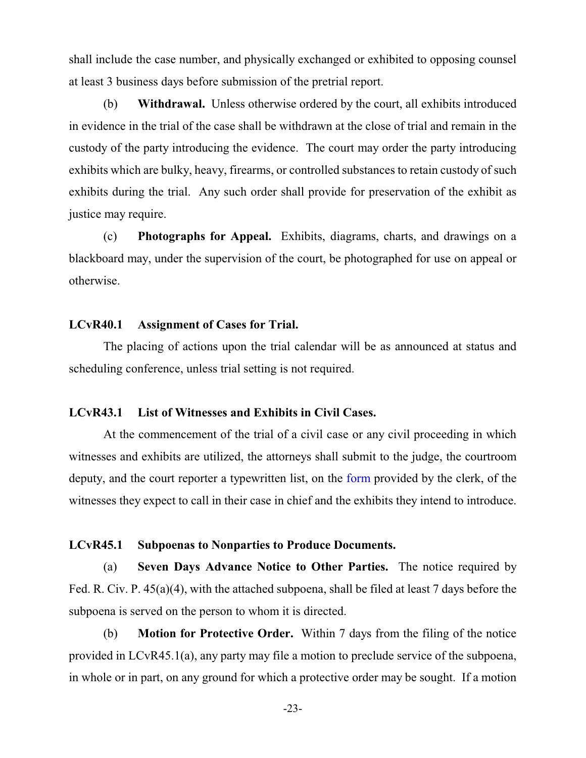shall include the case number, and physically exchanged or exhibited to opposing counsel at least 3 business days before submission of the pretrial report.

(b) **Withdrawal.** Unless otherwise ordered by the court, all exhibits introduced in evidence in the trial of the case shall be withdrawn at the close of trial and remain in the custody of the party introducing the evidence. The court may order the party introducing exhibits which are bulky, heavy, firearms, or controlled substances to retain custody of such exhibits during the trial. Any such order shall provide for preservation of the exhibit as justice may require.

(c) **Photographs for Appeal.** Exhibits, diagrams, charts, and drawings on a blackboard may, under the supervision of the court, be photographed for use on appeal or otherwise.

#### <span id="page-35-0"></span>**LCvR40.1 Assignment of Cases for Trial.**

The placing of actions upon the trial calendar will be as announced at status and scheduling conference, unless trial setting is not required.

# <span id="page-35-1"></span>**LCvR43.1 List of Witnesses and Exhibits in Civil Cases.**

At the commencement of the trial of a civil case or any civil proceeding in which witnesses and exhibits are utilized, the attorneys shall submit to the judge, the courtroom deputy, and the court reporter a typewritten list, on the [form](http://www.okwd.uscourts.gov/wp-content/uploads/2015/03/ao187.pdf) provided by the clerk, of the witnesses they expect to call in their case in chief and the exhibits they intend to introduce.

#### <span id="page-35-2"></span>**LCvR45.1 Subpoenas to Nonparties to Produce Documents.**

(a) **Seven Days Advance Notice to Other Parties.** The notice required by Fed. R. Civ. P. 45(a)(4), with the attached subpoena, shall be filed at least 7 days before the subpoena is served on the person to whom it is directed.

(b) **Motion for Protective Order.** Within 7 days from the filing of the notice provided in LCvR45.1(a), any party may file a motion to preclude service of the subpoena, in whole or in part, on any ground for which a protective order may be sought. If a motion

-23-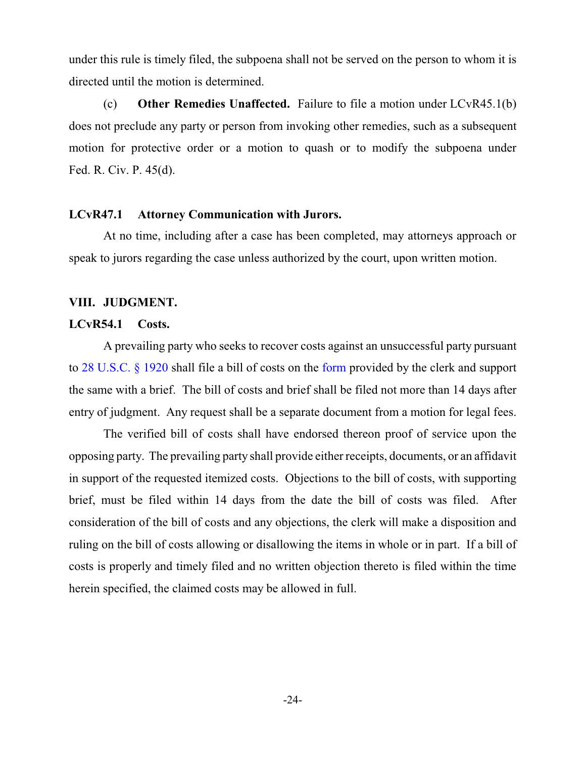under this rule is timely filed, the subpoena shall not be served on the person to whom it is directed until the motion is determined.

(c) **Other Remedies Unaffected.** Failure to file a motion under LCvR45.1(b) does not preclude any party or person from invoking other remedies, such as a subsequent motion for protective order or a motion to quash or to modify the subpoena under Fed. R. Civ. P. 45(d).

#### **LCvR47.1 Attorney Communication with Jurors.**

At no time, including after a case has been completed, may attorneys approach or speak to jurors regarding the case unless authorized by the court, upon written motion.

#### **VIII. JUDGMENT.**

#### **LCvR54.1 Costs.**

A prevailing party who seeks to recover costs against an unsuccessful party pursuant to [28 U.S.C. § 1920](http://www.law.cornell.edu/uscode/text/28/1920) shall file a bill of costs on the [form](http://www.okwd.uscourts.gov/wp-content/uploads/2015/03/ao133.pdf) provided by the clerk and support the same with a brief. The bill of costs and brief shall be filed not more than 14 days after entry of judgment. Any request shall be a separate document from a motion for legal fees.

The verified bill of costs shall have endorsed thereon proof of service upon the opposing party. The prevailing party shall provide either receipts, documents, or an affidavit in support of the requested itemized costs. Objections to the bill of costs, with supporting brief, must be filed within 14 days from the date the bill of costs was filed. After consideration of the bill of costs and any objections, the clerk will make a disposition and ruling on the bill of costs allowing or disallowing the items in whole or in part. If a bill of costs is properly and timely filed and no written objection thereto is filed within the time herein specified, the claimed costs may be allowed in full.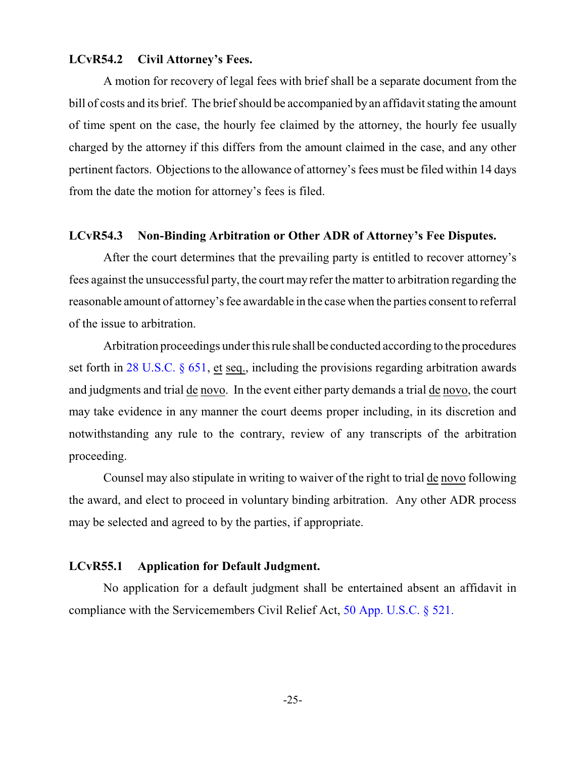#### **LCvR54.2 Civil Attorney's Fees.**

A motion for recovery of legal fees with brief shall be a separate document from the bill of costs and its brief. The brief should be accompanied by an affidavit stating the amount of time spent on the case, the hourly fee claimed by the attorney, the hourly fee usually charged by the attorney if this differs from the amount claimed in the case, and any other pertinent factors. Objections to the allowance of attorney's fees must be filed within 14 days from the date the motion for attorney's fees is filed.

#### **LCvR54.3 Non-Binding Arbitration or Other ADR of Attorney's Fee Disputes.**

After the court determines that the prevailing party is entitled to recover attorney's fees against the unsuccessful party, the court may refer the matter to arbitration regarding the reasonable amount of attorney's fee awardable in the case when the parties consent to referral of the issue to arbitration.

Arbitration proceedings under thisrule shall be conducted according to the procedures set forth in [28 U.S.C. §](http://www.law.cornell.edu/uscode/text/28/651) 651, et seq., including the provisions regarding arbitration awards and judgments and trial de novo. In the event either party demands a trial de novo, the court may take evidence in any manner the court deems proper including, in its discretion and notwithstanding any rule to the contrary, review of any transcripts of the arbitration proceeding.

Counsel may also stipulate in writing to waiver of the right to trial de novo following the award, and elect to proceed in voluntary binding arbitration. Any other ADR process may be selected and agreed to by the parties, if appropriate.

#### **LCvR55.1 Application for Default Judgment.**

No application for a default judgment shall be entertained absent an affidavit in compliance with the Servicemembers Civil Relief Act, [50 App. U.S.C. § 521.](http://www.law.cornell.edu/uscode/html/uscode50a/usc_sec_50a_00000521----000-.html)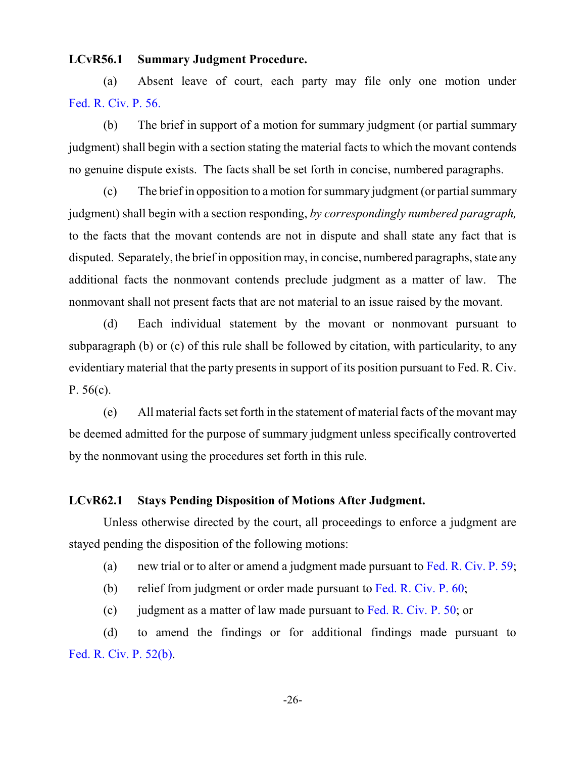#### **LCvR56.1 Summary Judgment Procedure.**

(a) Absent leave of court, each party may file only one motion under [Fed. R. Civ. P. 56.](http://www.law.cornell.edu/rules/frcp/rule_56)

(b) The brief in support of a motion for summary judgment (or partial summary judgment) shall begin with a section stating the material facts to which the movant contends no genuine dispute exists. The facts shall be set forth in concise, numbered paragraphs.

(c) The brief in opposition to a motion for summary judgment (or partial summary judgment) shall begin with a section responding, *by correspondingly numbered paragraph,* to the facts that the movant contends are not in dispute and shall state any fact that is disputed. Separately, the brief in opposition may, in concise, numbered paragraphs, state any additional facts the nonmovant contends preclude judgment as a matter of law. The nonmovant shall not present facts that are not material to an issue raised by the movant.

(d) Each individual statement by the movant or nonmovant pursuant to subparagraph (b) or (c) of this rule shall be followed by citation, with particularity, to any evidentiary material that the party presents in support of its position pursuant to Fed. R. Civ. P. 56(c).

(e) All material facts set forth in the statement of material facts of the movant may be deemed admitted for the purpose of summary judgment unless specifically controverted by the nonmovant using the procedures set forth in this rule.

#### **LCvR62.1 Stays Pending Disposition of Motions After Judgment.**

Unless otherwise directed by the court, all proceedings to enforce a judgment are stayed pending the disposition of the following motions:

- (a) new trial or to alter or amend a judgment made pursuant to [Fed. R. Civ. P. 59](http://www.law.cornell.edu/rules/frcp/rule_59);
- (b) relief from judgment or order made pursuant to [Fed. R. Civ. P. 60](http://www.law.cornell.edu/rules/frcp/rule_60);
- (c) judgment as a matter of law made pursuant to Fed. R. Civ. P.  $50$ ; or

(d) to amend the findings or for additional findings made pursuant to [Fed. R. Civ. P. 52\(b\)](http://www.law.cornell.edu/rules/frcp/rule_52).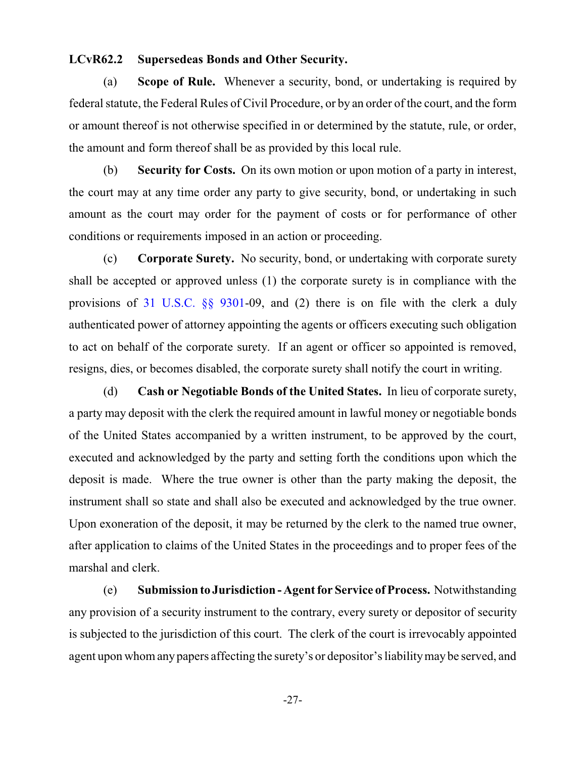#### <span id="page-39-0"></span>**LCvR62.2 Supersedeas Bonds and Other Security.**

(a) **Scope of Rule.** Whenever a security, bond, or undertaking is required by federal statute, the Federal Rules of Civil Procedure, or by an order of the court, and the form or amount thereof is not otherwise specified in or determined by the statute, rule, or order, the amount and form thereof shall be as provided by this local rule.

(b) **Security for Costs.** On its own motion or upon motion of a party in interest, the court may at any time order any party to give security, bond, or undertaking in such amount as the court may order for the payment of costs or for performance of other conditions or requirements imposed in an action or proceeding.

(c) **Corporate Surety.** No security, bond, or undertaking with corporate surety shall be accepted or approved unless (1) the corporate surety is in compliance with the provisions of [31 U.S.C. §§ 9301](http://www.law.cornell.edu/uscode/text/31/9301)-09, and (2) there is on file with the clerk a duly authenticated power of attorney appointing the agents or officers executing such obligation to act on behalf of the corporate surety. If an agent or officer so appointed is removed, resigns, dies, or becomes disabled, the corporate surety shall notify the court in writing.

(d) **Cash or Negotiable Bonds of the United States.** In lieu of corporate surety, a party may deposit with the clerk the required amount in lawful money or negotiable bonds of the United States accompanied by a written instrument, to be approved by the court, executed and acknowledged by the party and setting forth the conditions upon which the deposit is made. Where the true owner is other than the party making the deposit, the instrument shall so state and shall also be executed and acknowledged by the true owner. Upon exoneration of the deposit, it may be returned by the clerk to the named true owner, after application to claims of the United States in the proceedings and to proper fees of the marshal and clerk.

(e) **Submission to Jurisdiction - Agent for Service of Process.** Notwithstanding any provision of a security instrument to the contrary, every surety or depositor of security is subjected to the jurisdiction of this court. The clerk of the court is irrevocably appointed agent upon whomany papers affecting the surety's or depositor's liabilitymay be served, and

-27-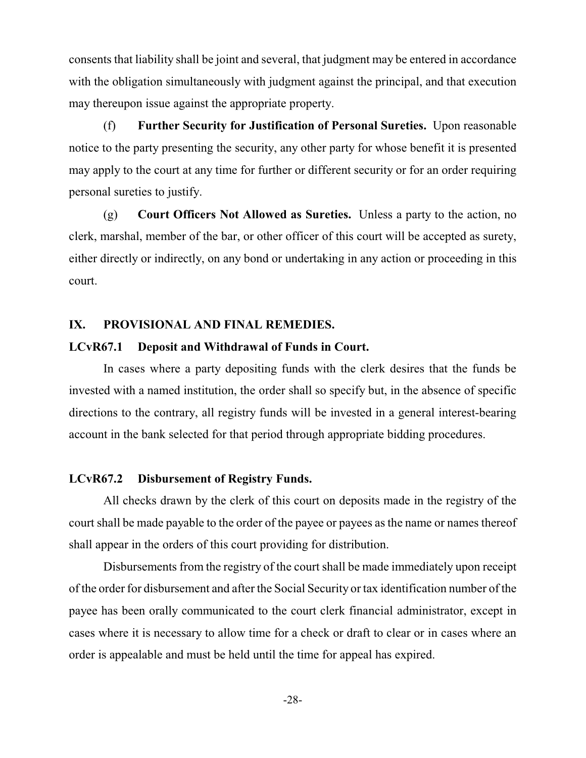consents that liability shall be joint and several, that judgment may be entered in accordance with the obligation simultaneously with judgment against the principal, and that execution may thereupon issue against the appropriate property.

(f) **Further Security for Justification of Personal Sureties.** Upon reasonable notice to the party presenting the security, any other party for whose benefit it is presented may apply to the court at any time for further or different security or for an order requiring personal sureties to justify.

(g) **Court Officers Not Allowed as Sureties.** Unless a party to the action, no clerk, marshal, member of the bar, or other officer of this court will be accepted as surety, either directly or indirectly, on any bond or undertaking in any action or proceeding in this court.

#### **IX. PROVISIONAL AND FINAL REMEDIES.**

#### <span id="page-40-0"></span>**LCvR67.1 Deposit and Withdrawal of Funds in Court.**

In cases where a party depositing funds with the clerk desires that the funds be invested with a named institution, the order shall so specify but, in the absence of specific directions to the contrary, all registry funds will be invested in a general interest-bearing account in the bank selected for that period through appropriate bidding procedures.

#### <span id="page-40-1"></span>**LCvR67.2 Disbursement of Registry Funds.**

All checks drawn by the clerk of this court on deposits made in the registry of the court shall be made payable to the order of the payee or payees as the name or names thereof shall appear in the orders of this court providing for distribution.

Disbursements from the registry of the court shall be made immediately upon receipt of the order for disbursement and after the Social Security or tax identification number of the payee has been orally communicated to the court clerk financial administrator, except in cases where it is necessary to allow time for a check or draft to clear or in cases where an order is appealable and must be held until the time for appeal has expired.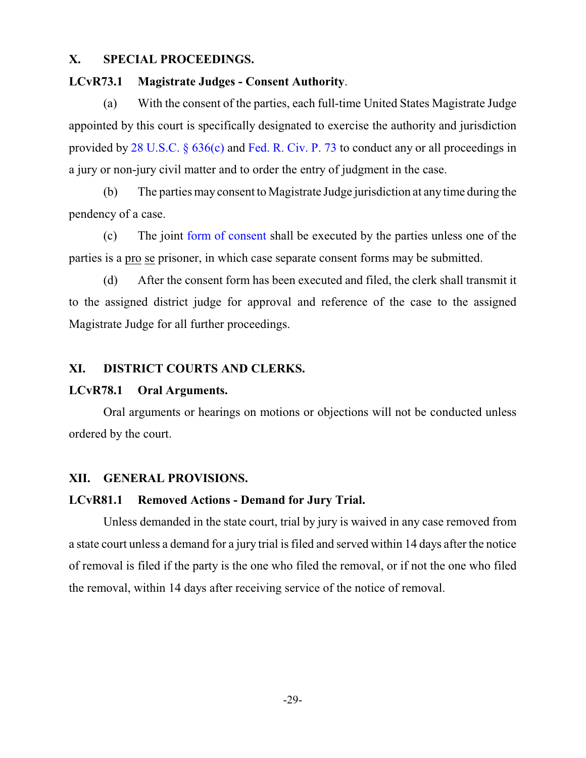#### **X. SPECIAL PROCEEDINGS.**

#### **LCvR73.1 Magistrate Judges - Consent Authority**.

(a) With the consent of the parties, each full-time United States Magistrate Judge appointed by this court is specifically designated to exercise the authority and jurisdiction provided by [28 U.S.C. § 636\(c\)](http://www.law.cornell.edu/uscode/text/28/636) and [Fed. R. Civ. P. 73](http://www.law.cornell.edu/rules/frcp/rule_73) to conduct any or all proceedings in a jury or non-jury civil matter and to order the entry of judgment in the case.

(b) The parties may consent to Magistrate Judge jurisdiction at any time during the pendency of a case.

(c) The joint form of [consent](http://www.okwd.uscourts.gov/wp-content/uploads/2015/03/303.pdf) shall be executed by the parties unless one of the parties is a pro se prisoner, in which case separate consent forms may be submitted.

(d) After the consent form has been executed and filed, the clerk shall transmit it to the assigned district judge for approval and reference of the case to the assigned Magistrate Judge for all further proceedings.

#### **XI. DISTRICT COURTS AND CLERKS.**

#### **LCvR78.1 Oral Arguments.**

Oral arguments or hearings on motions or objections will not be conducted unless ordered by the court.

#### **XII. GENERAL PROVISIONS.**

#### **LCvR81.1 Removed Actions - Demand for Jury Trial.**

Unless demanded in the state court, trial by jury is waived in any case removed from a state court unless a demand for a jury trial is filed and served within 14 days after the notice of removal is filed if the party is the one who filed the removal, or if not the one who filed the removal, within 14 days after receiving service of the notice of removal.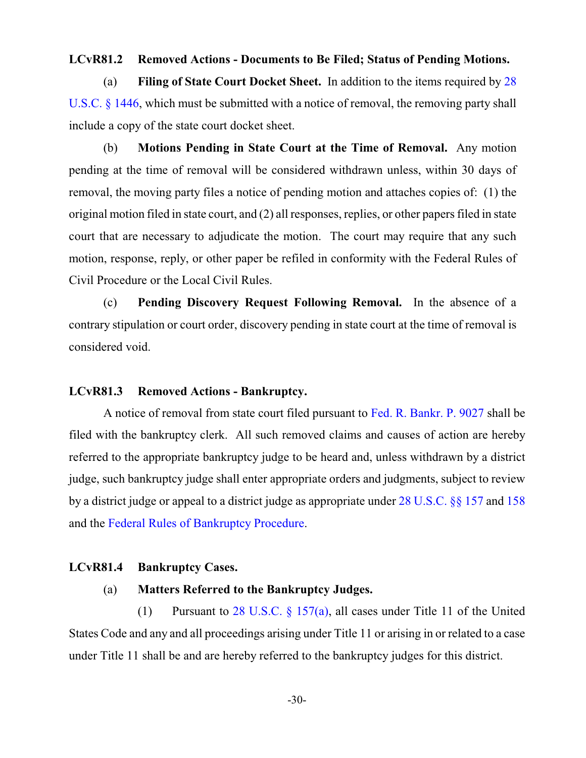#### **LCvR81.2 Removed Actions - Documents to Be Filed; Status of Pending Motions.**

(a) **Filing of State Court Docket Sheet.** In addition to the items required by [28](http://www.law.cornell.edu/uscode/text/28/1446) [U.S.C. § 1446](http://www.law.cornell.edu/uscode/text/28/1446), which must be submitted with a notice of removal, the removing party shall include a copy of the state court docket sheet.

(b) **Motions Pending in State Court at the Time of Removal.** Any motion pending at the time of removal will be considered withdrawn unless, within 30 days of removal, the moving party files a notice of pending motion and attaches copies of: (1) the original motion filed in state court, and (2) all responses, replies, or other papers filed in state court that are necessary to adjudicate the motion. The court may require that any such motion, response, reply, or other paper be refiled in conformity with the Federal Rules of Civil Procedure or the Local Civil Rules.

(c) **Pending Discovery Request Following Removal.** In the absence of a contrary stipulation or court order, discovery pending in state court at the time of removal is considered void.

#### **LCvR81.3 Removed Actions - Bankruptcy.**

A notice of removal from state court filed pursuant to [Fed. R. Bankr. P. 9027](http://www.law.cornell.edu/rules/frbp/rule_9027) shall be filed with the bankruptcy clerk. All such removed claims and causes of action are hereby referred to the appropriate bankruptcy judge to be heard and, unless withdrawn by a district judge, such bankruptcy judge shall enter appropriate orders and judgments, subject to review by a district judge or appeal to a district judge as appropriate under [28 U.S.C. §§ 157](http://www.law.cornell.edu/uscode/text/28/157) and [158](http://www.law.cornell.edu/uscode/text/28/158) and the [Federal Rules of Bankruptcy Procedure](http://www.law.cornell.edu/rules/frbp).

#### **LCvR81.4 Bankruptcy Cases.**

#### (a) **Matters Referred to the Bankruptcy Judges.**

(1) Pursuant to [28 U.S.C. § 157\(a\)](http://www.law.cornell.edu/uscode/text/28/157), all cases under Title 11 of the United States Code and any and all proceedings arising under Title 11 or arising in or related to a case under Title 11 shall be and are hereby referred to the bankruptcy judges for this district.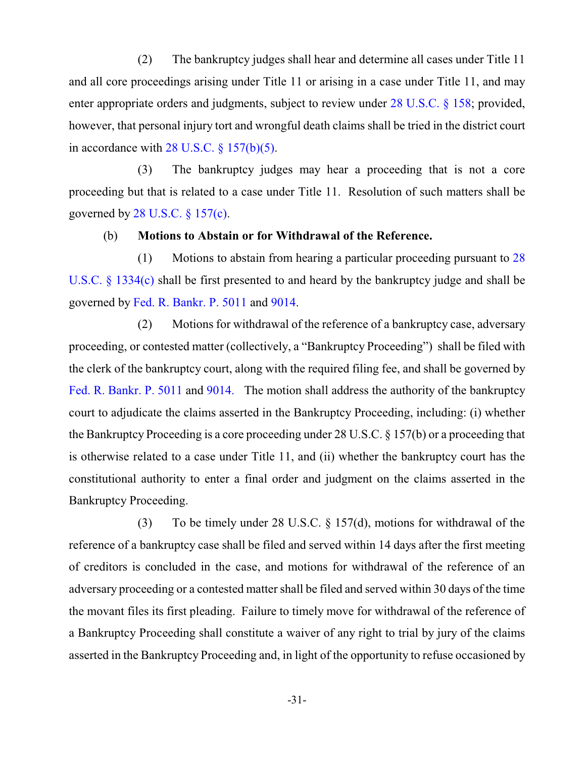(2) The bankruptcy judges shall hear and determine all cases under Title 11 and all core proceedings arising under Title 11 or arising in a case under Title 11, and may enter appropriate orders and judgments, subject to review under 28 [U.S.C. § 158](http://www.law.cornell.edu/uscode/text/28/158); provided, however, that personal injury tort and wrongful death claims shall be tried in the district court in accordance with 28 U.S.C.  $\S 157(b)(5)$ .

(3) The bankruptcy judges may hear a proceeding that is not a core proceeding but that is related to a case under Title 11. Resolution of such matters shall be governed by  $28$  U.S.C.  $\S$  157(c).

#### (b) **Motions to Abstain or for Withdrawal of the Reference.**

(1) Motions to abstain from hearing a particular proceeding pursuant to [28](http://www.law.cornell.edu/uscode/text/28/1334) U.S.C. [§ 1334\(c\)](http://www.law.cornell.edu/uscode/text/28/1334) shall be first presented to and heard by the bankruptcy judge and shall be governed by [Fed. R. Bankr. P. 5011](http://www.law.cornell.edu/rules/frbp/rule_5011) and [9014](http://www.law.cornell.edu/rules/frbp/rule_9014).

(2) Motions for withdrawal of the reference of a bankruptcy case, adversary proceeding, or contested matter (collectively, a "Bankruptcy Proceeding") shall be filed with the clerk of the bankruptcy court, along with the required filing fee, and shall be governed by [Fed. R. Bankr. P. 5011](http://www.law.cornell.edu/rules/frbp/rule_5011) and [9014.](http://www.law.cornell.edu/rules/frbp/rule_9014) The motion shall address the authority of the bankruptcy court to adjudicate the claims asserted in the Bankruptcy Proceeding, including: (i) whether the Bankruptcy Proceeding is a core proceeding under 28 U.S.C. § 157(b) or a proceeding that is otherwise related to a case under Title 11, and (ii) whether the bankruptcy court has the constitutional authority to enter a final order and judgment on the claims asserted in the Bankruptcy Proceeding.

(3) To be timely under 28 U.S.C. § 157(d), motions for withdrawal of the reference of a bankruptcy case shall be filed and served within 14 days after the first meeting of creditors is concluded in the case, and motions for withdrawal of the reference of an adversary proceeding or a contested matter shall be filed and served within 30 days of the time the movant files its first pleading. Failure to timely move for withdrawal of the reference of a Bankruptcy Proceeding shall constitute a waiver of any right to trial by jury of the claims asserted in the Bankruptcy Proceeding and, in light of the opportunity to refuse occasioned by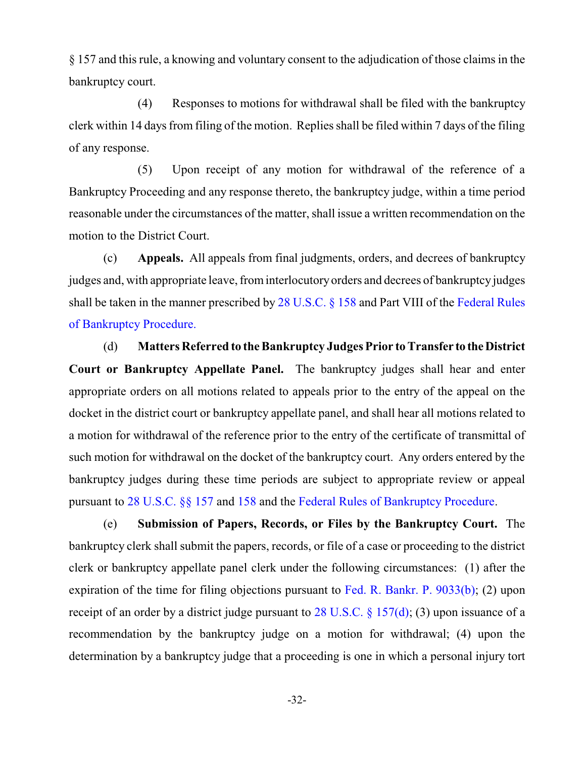§ 157 and this rule, a knowing and voluntary consent to the adjudication of those claims in the bankruptcy court.

(4) Responses to motions for withdrawal shall be filed with the bankruptcy clerk within 14 days from filing of the motion. Replies shall be filed within 7 days of the filing of any response.

(5) Upon receipt of any motion for withdrawal of the reference of a Bankruptcy Proceeding and any response thereto, the bankruptcy judge, within a time period reasonable under the circumstances of the matter, shall issue a written recommendation on the motion to the District Court.

(c) **Appeals.** All appeals from final judgments, orders, and decrees of bankruptcy judges and, with appropriate leave, frominterlocutoryorders and decrees of bankruptcy judges shall be taken in the manner prescribed by [28 U.S.C. §](http://www.law.cornell.edu/uscode/text/28/158) 158 and Part VIII of the [Federal Rules](http://www.law.cornell.edu/rules/frbp) [of Bankruptcy Procedure](http://www.law.cornell.edu/rules/frbp).

(d) **Matters Referred to the Bankruptcy Judges Prior to Transfer to theDistrict Court or Bankruptcy Appellate Panel.** The bankruptcy judges shall hear and enter appropriate orders on all motions related to appeals prior to the entry of the appeal on the docket in the district court or bankruptcy appellate panel, and shall hear all motions related to a motion for withdrawal of the reference prior to the entry of the certificate of transmittal of such motion for withdrawal on the docket of the bankruptcy court. Any orders entered by the bankruptcy judges during these time periods are subject to appropriate review or appeal pursuant to [28 U.S.C. §§ 157](http://www.law.cornell.edu/uscode/text/28/157) and [158](http://www.law.cornell.edu/uscode/text/28/158) and the Federal Rules of [Bankruptcy Procedure](http://www.law.cornell.edu/rules/frbp).

(e) **Submission of Papers, Records, or Files by the Bankruptcy Court.** The bankruptcy clerk shall submit the papers, records, or file of a case or proceeding to the district clerk or bankruptcy appellate panel clerk under the following circumstances: (1) after the expiration of the time for filing objections pursuant to [Fed. R. Bankr. P. 9033\(b\)](http://www.law.cornell.edu/rules/frbp/rule_9033); (2) upon receipt of an order by a district judge pursuant to [28 U.S.C. §](http://www.law.cornell.edu/uscode/text/28/157) 157(d); (3) upon issuance of a recommendation by the bankruptcy judge on a motion for withdrawal; (4) upon the determination by a bankruptcy judge that a proceeding is one in which a personal injury tort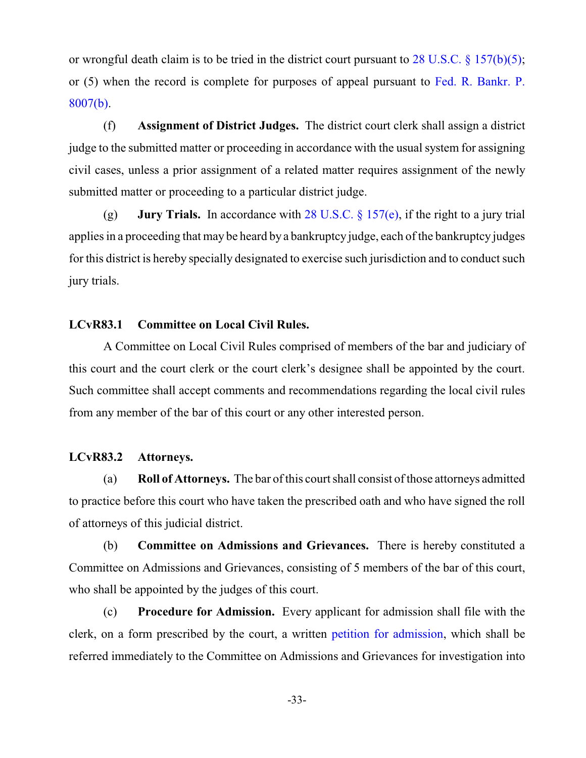or wrongful death claim is to be tried in the district court pursuant to  $28 \text{ U.S.C.} \& 157(\text{b})(5)$ ; or (5) when the record is complete for purposes of appeal pursuant to [Fed. R. Bankr. P.](http://www.law.cornell.edu/rules/frbp/rule_8007) [8007\(b\)](http://www.law.cornell.edu/rules/frbp/rule_8007).

(f) **Assignment of District Judges.** The district court clerk shall assign a district judge to the submitted matter or proceeding in accordance with the usual system for assigning civil cases, unless a prior assignment of a related matter requires assignment of the newly submitted matter or proceeding to a particular district judge.

(g) **Jury Trials.** In accordance with [28 U.S.C. § 157\(e\)](http://www.law.cornell.edu/uscode/text/28/157), if the right to a jury trial applies in a proceeding that may be heard by a bankruptcy judge, each of the bankruptcy judges for this district is hereby specially designated to exercise such jurisdiction and to conduct such jury trials.

#### **LCvR83.1 Committee on Local Civil Rules.**

A Committee on Local Civil Rules comprised of members of the bar and judiciary of this court and the court clerk or the court clerk's designee shall be appointed by the court. Such committee shall accept comments and recommendations regarding the local civil rules from any member of the bar of this court or any other interested person.

#### <span id="page-45-0"></span>**LCvR83.2 Attorneys.**

(a) **Roll of Attorneys.** The bar of this court shall consist of those attorneys admitted to practice before this court who have taken the prescribed oath and who have signed the roll of attorneys of this judicial district.

(b) **Committee on Admissions and Grievances.** There is hereby constituted a Committee on Admissions and Grievances, consisting of 5 members of the bar of this court, who shall be appointed by the judges of this court.

(c) **Procedure for Admission.** Every applicant for admission shall file with the clerk, on a form prescribed by the court, a written [petition for admission](http://www.okwd.uscourts.gov/files/forms/070_a.pdf), which shall be referred immediately to the Committee on Admissions and Grievances for investigation into

-33-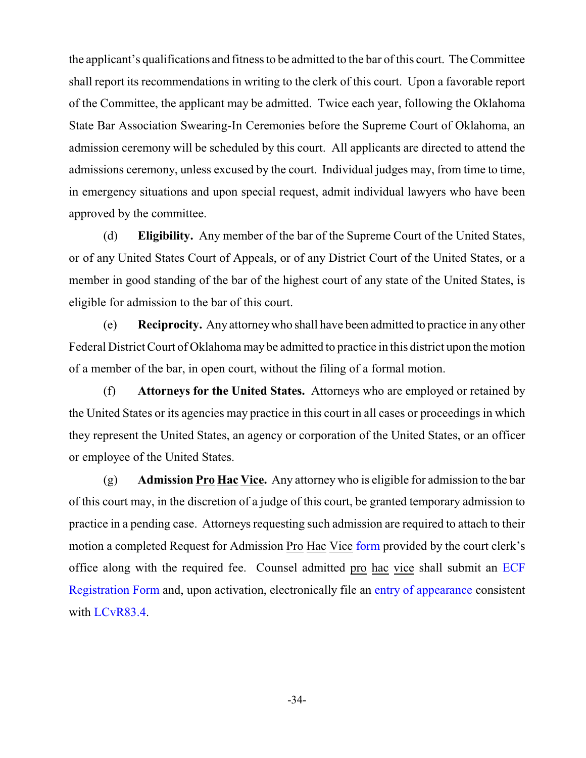the applicant's qualifications and fitness to be admitted to the bar of this court. The Committee shall report its recommendations in writing to the clerk of this court. Upon a favorable report of the Committee, the applicant may be admitted. Twice each year, following the Oklahoma State Bar Association Swearing-In Ceremonies before the Supreme Court of Oklahoma, an admission ceremony will be scheduled by this court. All applicants are directed to attend the admissions ceremony, unless excused by the court. Individual judges may, from time to time, in emergency situations and upon special request, admit individual lawyers who have been approved by the committee.

(d) **Eligibility.** Any member of the bar of the Supreme Court of the United States, or of any United States Court of Appeals, or of any District Court of the United States, or a member in good standing of the bar of the highest court of any state of the United States, is eligible for admission to the bar of this court.

(e) **Reciprocity.** Any attorneywho shall have been admitted to practice in any other Federal District Court of Oklahoma may be admitted to practice in this district upon the motion of a member of the bar, in open court, without the filing of a formal motion.

(f) **Attorneys for the United States.** Attorneys who are employed or retained by the United States or its agencies may practice in this court in all cases or proceedings in which they represent the United States, an agency or corporation of the United States, or an officer or employee of the United States.

(g) **Admission Pro Hac Vice.** Any attorney who is eligible for admission to the bar of this court may, in the discretion of a judge of this court, be granted temporary admission to practice in a pending case. Attorneys requesting such admission are required to attach to their motion a completed Request for Admission Pro Hac Vice [form](http://www.okwd.uscourts.gov/wp-content/uploads/2015/03/005.pdf) provided by the court clerk's office along with the required fee. Counsel admitted pro hac vice shall submit an [ECF](http://www.okwd.uscourts.gov/wp-content/uploads/ecf_egistration_form_2017.pdf) [Registration Form](http://www.okwd.uscourts.gov/wp-content/uploads/ecf_egistration_form_2017.pdf) and, upon activation, electronically file an entry of [appearance](http://www.okwd.uscourts.gov/files/forms/ao458.pdf) consistent with [LCvR83.4](#page-47-0).

-34-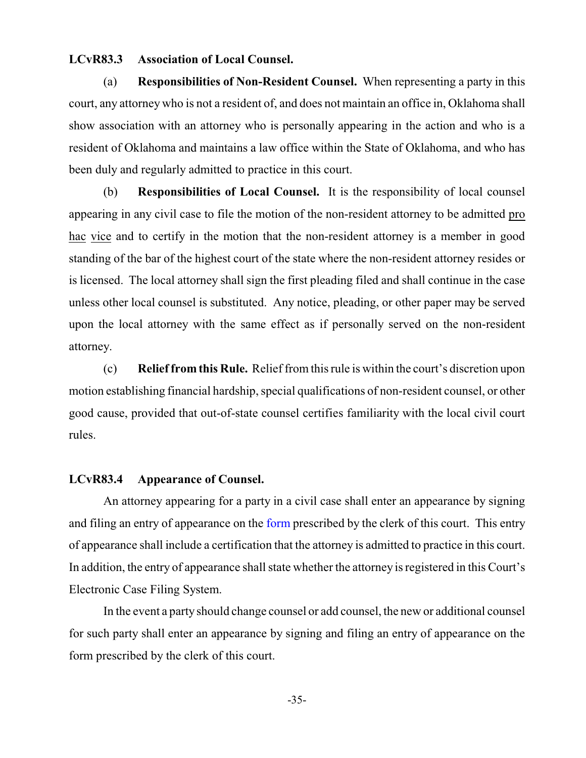#### **LCvR83.3 Association of Local Counsel.**

(a) **Responsibilities of Non-Resident Counsel.** When representing a party in this court, any attorney who is not a resident of, and does not maintain an office in, Oklahoma shall show association with an attorney who is personally appearing in the action and who is a resident of Oklahoma and maintains a law office within the State of Oklahoma, and who has been duly and regularly admitted to practice in this court.

(b) **Responsibilities of Local Counsel.** It is the responsibility of local counsel appearing in any civil case to file the motion of the non-resident attorney to be admitted pro hac vice and to certify in the motion that the non-resident attorney is a member in good standing of the bar of the highest court of the state where the non-resident attorney resides or is licensed. The local attorney shall sign the first pleading filed and shall continue in the case unless other local counsel is substituted. Any notice, pleading, or other paper may be served upon the local attorney with the same effect as if personally served on the non-resident attorney.

(c) **Relief from this Rule.** Relief from this rule is within the court's discretion upon motion establishing financial hardship, special qualifications of non-resident counsel, or other good cause, provided that out-of-state counsel certifies familiarity with the local civil court rules.

#### <span id="page-47-0"></span>**LCvR83.4 Appearance of Counsel.**

An attorney appearing for a party in a civil case shall enter an appearance by signing and filing an entry of appearance on the [form](http://www.okwd.uscourts.gov/files/forms/ao458.pdf) prescribed by the clerk of this court. This entry of appearance shall include a certification that the attorney is admitted to practice in this court. In addition, the entry of appearance shall state whether the attorney is registered in this Court's Electronic Case Filing System.

In the event a party should change counsel or add counsel, the new or additional counsel for such party shall enter an appearance by signing and filing an entry of appearance on the form prescribed by the clerk of this court.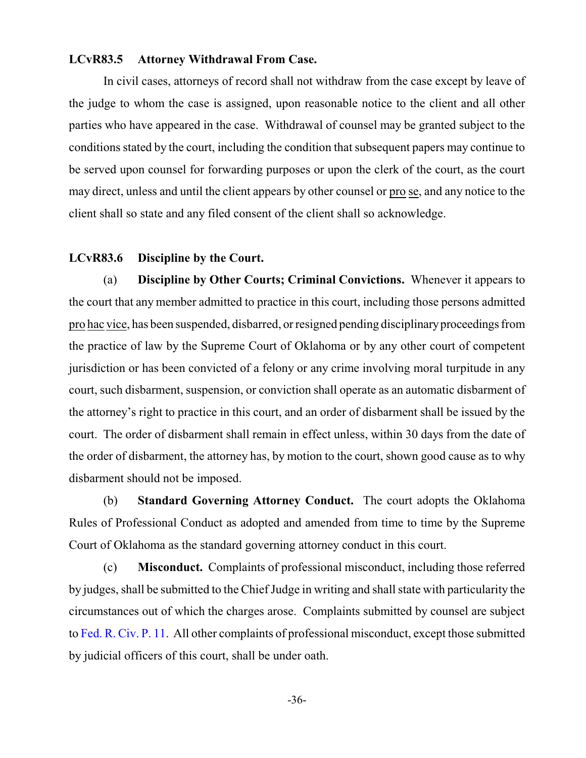#### <span id="page-48-0"></span>**LCvR83.5 Attorney Withdrawal From Case.**

In civil cases, attorneys of record shall not withdraw from the case except by leave of the judge to whom the case is assigned, upon reasonable notice to the client and all other parties who have appeared in the case. Withdrawal of counsel may be granted subject to the conditions stated by the court, including the condition that subsequent papers may continue to be served upon counsel for forwarding purposes or upon the clerk of the court, as the court may direct, unless and until the client appears by other counsel or pro se, and any notice to the client shall so state and any filed consent of the client shall so acknowledge.

#### <span id="page-48-1"></span>**LCvR83.6 Discipline by the Court.**

(a) **Discipline by Other Courts; Criminal Convictions.** Whenever it appears to the court that any member admitted to practice in this court, including those persons admitted pro hac vice, has been suspended, disbarred, or resigned pending disciplinaryproceedings from the practice of law by the Supreme Court of Oklahoma or by any other court of competent jurisdiction or has been convicted of a felony or any crime involving moral turpitude in any court, such disbarment, suspension, or conviction shall operate as an automatic disbarment of the attorney's right to practice in this court, and an order of disbarment shall be issued by the court. The order of disbarment shall remain in effect unless, within 30 days from the date of the order of disbarment, the attorney has, by motion to the court, shown good cause as to why disbarment should not be imposed.

(b) **Standard Governing Attorney Conduct.** The court adopts the Oklahoma Rules of Professional Conduct as adopted and amended from time to time by the Supreme Court of Oklahoma as the standard governing attorney conduct in this court.

(c) **Misconduct.** Complaints of professional misconduct, including those referred by judges, shall be submitted to the ChiefJudge in writing and shall state with particularity the circumstances out of which the charges arose. Complaints submitted by counsel are subject to [Fed. R. Civ. P. 11](http://www.law.cornell.edu/rules/frcp/rule_11). All other complaints of professional misconduct, except those submitted by judicial officers of this court, shall be under oath.

-36-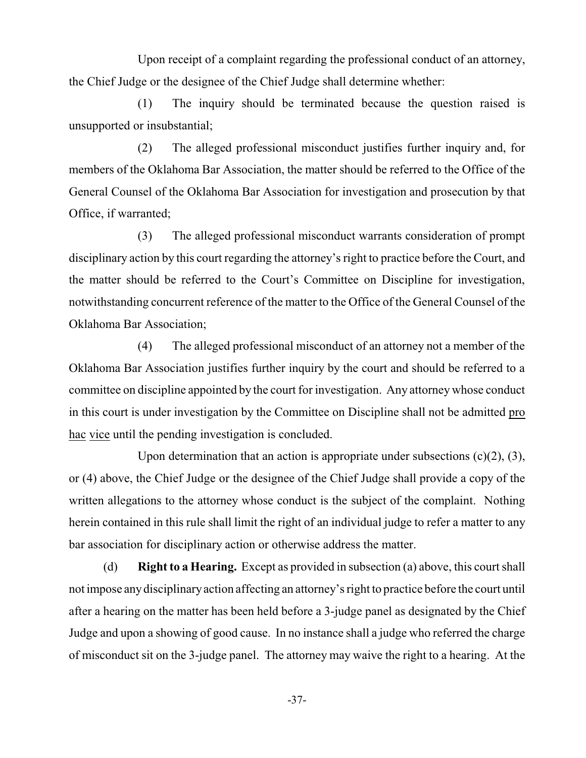Upon receipt of a complaint regarding the professional conduct of an attorney, the Chief Judge or the designee of the Chief Judge shall determine whether:

(1) The inquiry should be terminated because the question raised is unsupported or insubstantial;

(2) The alleged professional misconduct justifies further inquiry and, for members of the Oklahoma Bar Association, the matter should be referred to the Office of the General Counsel of the Oklahoma Bar Association for investigation and prosecution by that Office, if warranted;

(3) The alleged professional misconduct warrants consideration of prompt disciplinary action by this court regarding the attorney's right to practice before the Court, and the matter should be referred to the Court's Committee on Discipline for investigation, notwithstanding concurrent reference of the matter to the Office of the General Counsel of the Oklahoma Bar Association;

(4) The alleged professional misconduct of an attorney not a member of the Oklahoma Bar Association justifies further inquiry by the court and should be referred to a committee on discipline appointed by the court for investigation. Any attorney whose conduct in this court is under investigation by the Committee on Discipline shall not be admitted pro hac vice until the pending investigation is concluded.

Upon determination that an action is appropriate under subsections  $(c)(2)$ ,  $(3)$ , or (4) above, the Chief Judge or the designee of the Chief Judge shall provide a copy of the written allegations to the attorney whose conduct is the subject of the complaint. Nothing herein contained in this rule shall limit the right of an individual judge to refer a matter to any bar association for disciplinary action or otherwise address the matter.

(d) **Right to a Hearing.** Except as provided in subsection (a) above, this court shall not impose anydisciplinaryaction affecting an attorney's right to practice before the court until after a hearing on the matter has been held before a 3-judge panel as designated by the Chief Judge and upon a showing of good cause. In no instance shall a judge who referred the charge of misconduct sit on the 3-judge panel. The attorney may waive the right to a hearing. At the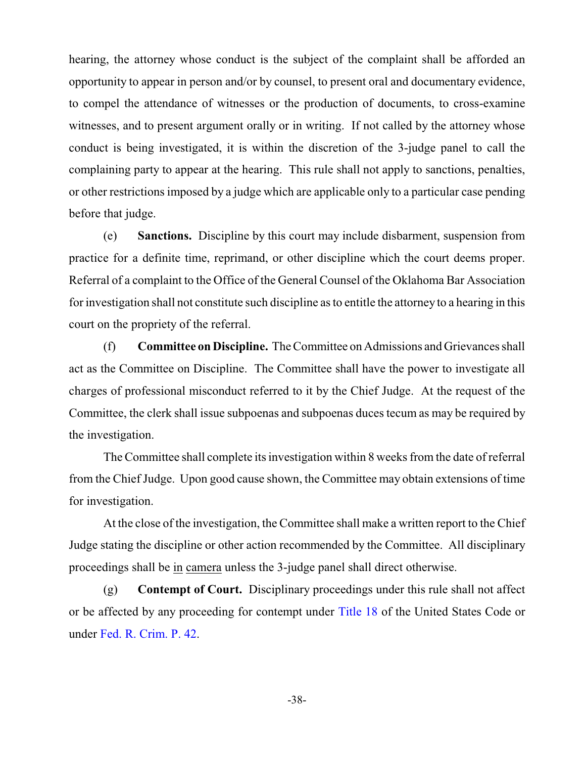hearing, the attorney whose conduct is the subject of the complaint shall be afforded an opportunity to appear in person and/or by counsel, to present oral and documentary evidence, to compel the attendance of witnesses or the production of documents, to cross-examine witnesses, and to present argument orally or in writing. If not called by the attorney whose conduct is being investigated, it is within the discretion of the 3-judge panel to call the complaining party to appear at the hearing. This rule shall not apply to sanctions, penalties, or other restrictions imposed by a judge which are applicable only to a particular case pending before that judge.

(e) **Sanctions.** Discipline by this court may include disbarment, suspension from practice for a definite time, reprimand, or other discipline which the court deems proper. Referral of a complaint to the Office of the General Counsel of the Oklahoma Bar Association for investigation shall not constitute such discipline as to entitle the attorney to a hearing in this court on the propriety of the referral.

(f) **Committee on Discipline.** The Committee on Admissions and Grievances shall act as the Committee on Discipline. The Committee shall have the power to investigate all charges of professional misconduct referred to it by the Chief Judge. At the request of the Committee, the clerk shall issue subpoenas and subpoenas duces tecum as may be required by the investigation.

The Committee shall complete its investigation within 8 weeks from the date of referral from the Chief Judge. Upon good cause shown, the Committee may obtain extensions of time for investigation.

At the close of the investigation, the Committee shall make a written report to the Chief Judge stating the discipline or other action recommended by the Committee. All disciplinary proceedings shall be in camera unless the 3-judge panel shall direct otherwise.

(g) **Contempt of Court.** Disciplinary proceedings under this rule shall not affect or be affected by any proceeding for contempt under [Title 18](http://www.law.cornell.edu/uscode/text/18) of the United States Code or under [Fed. R. Crim. P. 42](http://www.law.cornell.edu/rules/frcrmp/rule_42).

-38-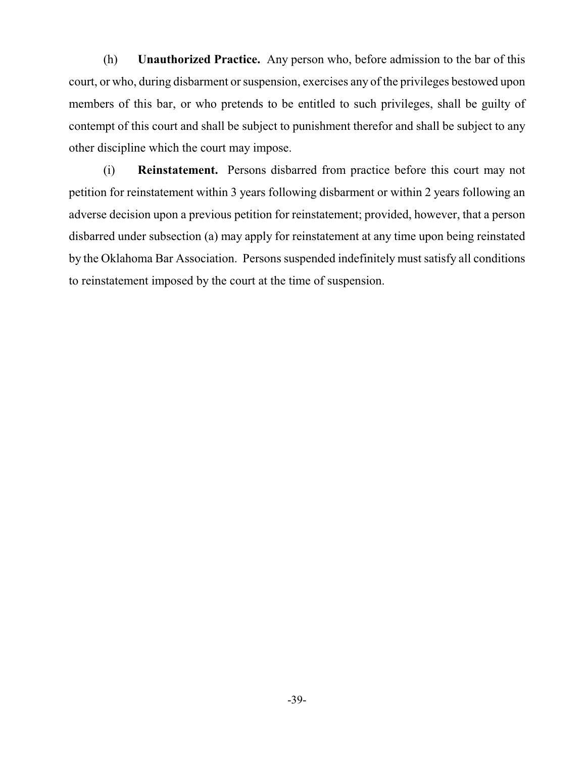(h) **Unauthorized Practice.** Any person who, before admission to the bar of this court, or who, during disbarment or suspension, exercises any of the privileges bestowed upon members of this bar, or who pretends to be entitled to such privileges, shall be guilty of contempt of this court and shall be subject to punishment therefor and shall be subject to any other discipline which the court may impose.

(i) **Reinstatement.** Persons disbarred from practice before this court may not petition for reinstatement within 3 years following disbarment or within 2 years following an adverse decision upon a previous petition for reinstatement; provided, however, that a person disbarred under subsection (a) may apply for reinstatement at any time upon being reinstated by the Oklahoma Bar Association. Persons suspended indefinitely must satisfy all conditions to reinstatement imposed by the court at the time of suspension.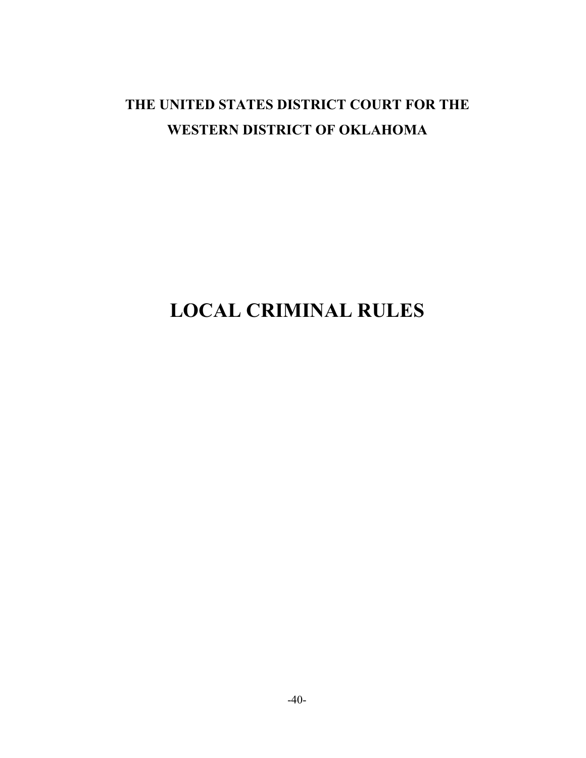## **THE UNITED STATES DISTRICT COURT FOR THE WESTERN DISTRICT OF OKLAHOMA**

# **LOCAL CRIMINAL RULES**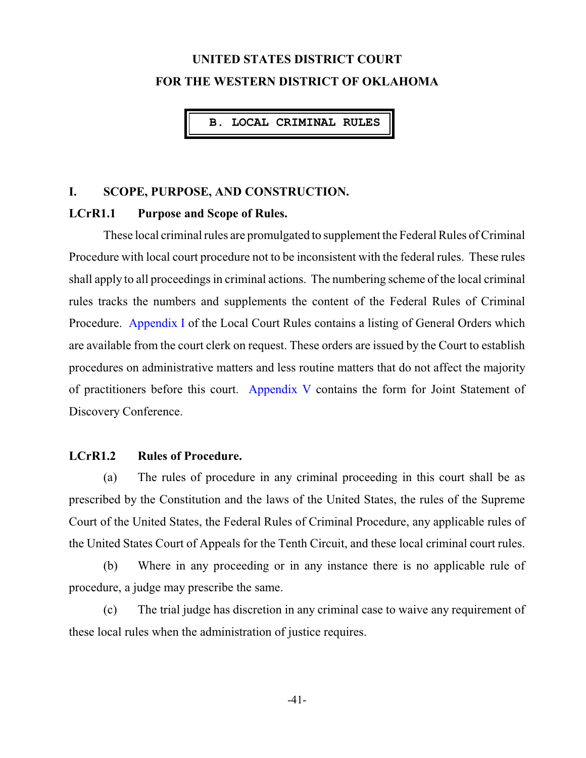## **UNITED STATES DISTRICT COURT FOR THE WESTERN DISTRICT OF OKLAHOMA**

**B. LOCAL CRIMINAL RULES**

#### **I. SCOPE, PURPOSE, AND CONSTRUCTION.**

#### **LCrR1.1 Purpose and Scope of Rules.**

These local criminal rules are promulgated to supplement the Federal Rules of Criminal Procedure with local court procedure not to be inconsistent with the federal rules. These rules shall apply to all proceedings in criminal actions. The numbering scheme of the local criminal rules tracks the numbers and supplements the content of the Federal Rules of Criminal Procedure. [Appendix I](#page-72-0) of the Local Court Rules contains a listing of General Orders which are available from the court clerk on request. These orders are issued by the Court to establish procedures on administrative matters and less routine matters that do not affect the majority of practitioners before this court. [Appendix V](#page-84-0) contains the form for Joint Statement of Discovery Conference.

#### **LCrR1.2 Rules of Procedure.**

(a) The rules of procedure in any criminal proceeding in this court shall be as prescribed by the Constitution and the laws of the United States, the rules of the Supreme Court of the United States, the Federal Rules of Criminal Procedure, any applicable rules of the United States Court of Appeals for the Tenth Circuit, and these local criminal court rules.

(b) Where in any proceeding or in any instance there is no applicable rule of procedure, a judge may prescribe the same.

(c) The trial judge has discretion in any criminal case to waive any requirement of these local rules when the administration of justice requires.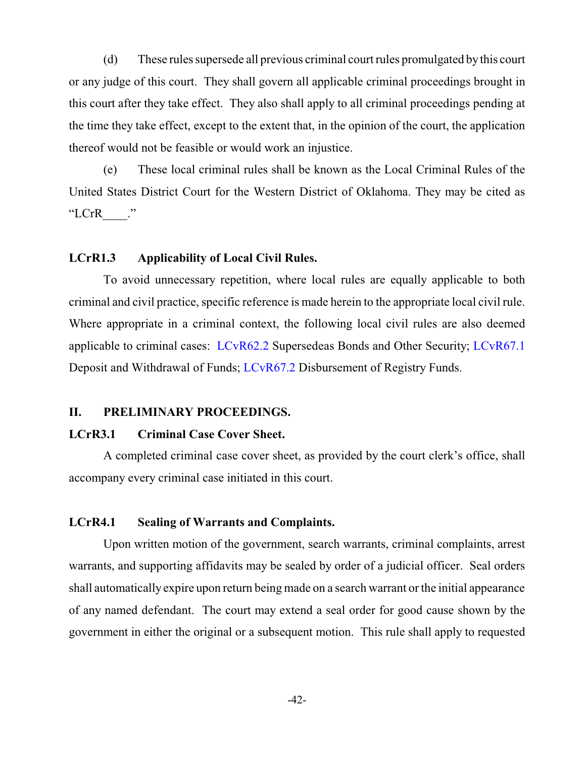(d) These rules supersede all previous criminal court rules promulgated bythis court or any judge of this court. They shall govern all applicable criminal proceedings brought in this court after they take effect. They also shall apply to all criminal proceedings pending at the time they take effect, except to the extent that, in the opinion of the court, the application thereof would not be feasible or would work an injustice.

(e) These local criminal rules shall be known as the Local Criminal Rules of the United States District Court for the Western District of Oklahoma. They may be cited as "LCrR\_\_\_\_."

#### **LCrR1.3 Applicability of Local Civil Rules.**

To avoid unnecessary repetition, where local rules are equally applicable to both criminal and civil practice, specific reference is made herein to the appropriate local civil rule. Where appropriate in a criminal context, the following local civil rules are also deemed applicable to criminal cases: [LCvR62.2](#page-39-0) Supersedeas Bonds and Other Security; [LCvR67.1](#page-40-0) Deposit and Withdrawal of Funds; [LCvR67.2](#page-40-1) Disbursement of Registry Funds.

#### **II. PRELIMINARY PROCEEDINGS.**

#### **LCrR3.1 Criminal Case Cover Sheet.**

A completed criminal case cover sheet, as provided by the court clerk's office, shall accompany every criminal case initiated in this court.

#### <span id="page-54-0"></span>**LCrR4.1 Sealing of Warrants and Complaints.**

Upon written motion of the government, search warrants, criminal complaints, arrest warrants, and supporting affidavits may be sealed by order of a judicial officer. Seal orders shall automatically expire upon return being made on a search warrant or the initial appearance of any named defendant. The court may extend a seal order for good cause shown by the government in either the original or a subsequent motion. This rule shall apply to requested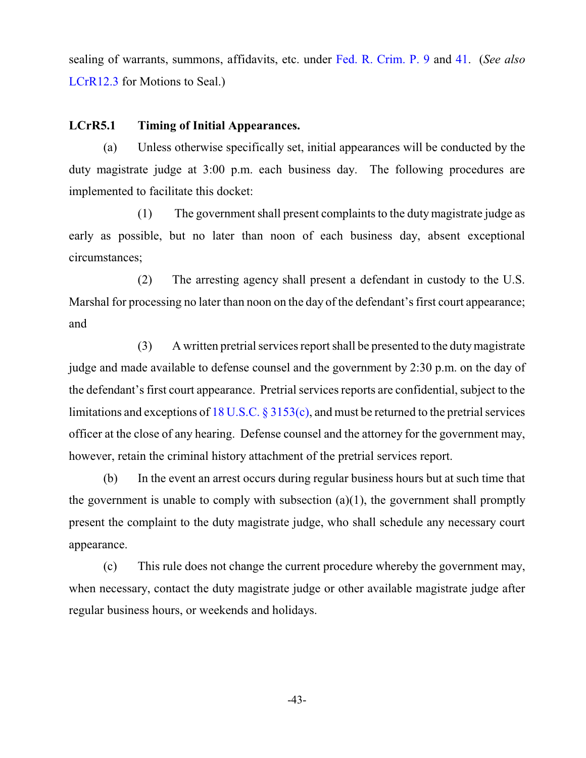sealing of warrants, summons, affidavits, etc. under [Fed. R. Crim. P. 9](http://www.law.cornell.edu/rules/frcrmp/rule_9) and [41](http://www.law.cornell.edu/rules/frcrmp/rule_41). (*See also* [LCrR12.3](#page-60-0) for Motions to Seal.)

#### **LCrR5.1 Timing of Initial Appearances.**

(a) Unless otherwise specifically set, initial appearances will be conducted by the duty magistrate judge at 3:00 p.m. each business day. The following procedures are implemented to facilitate this docket:

(1) The government shall present complaints to the dutymagistrate judge as early as possible, but no later than noon of each business day, absent exceptional circumstances;

(2) The arresting agency shall present a defendant in custody to the U.S. Marshal for processing no later than noon on the day of the defendant's first court appearance; and

(3) A written pretrial services report shall be presented to the dutymagistrate judge and made available to defense counsel and the government by 2:30 p.m. on the day of the defendant's first court appearance. Pretrial services reports are confidential, subject to the limitations and exceptions of [18 U.S.C. § 3153\(c\)](http://www.law.cornell.edu/uscode/text/18/3153), and must be returned to the pretrial services officer at the close of any hearing. Defense counsel and the attorney for the government may, however, retain the criminal history attachment of the pretrial services report.

(b) In the event an arrest occurs during regular business hours but at such time that the government is unable to comply with subsection  $(a)(1)$ , the government shall promptly present the complaint to the duty magistrate judge, who shall schedule any necessary court appearance.

(c) This rule does not change the current procedure whereby the government may, when necessary, contact the duty magistrate judge or other available magistrate judge after regular business hours, or weekends and holidays.

-43-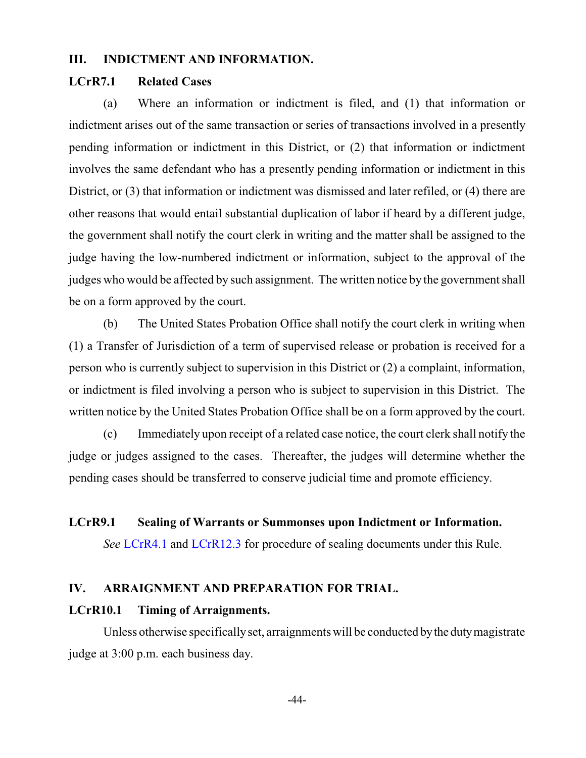#### **III. INDICTMENT AND INFORMATION.**

#### **LCrR7.1 Related Cases**

(a) Where an information or indictment is filed, and (1) that information or indictment arises out of the same transaction or series of transactions involved in a presently pending information or indictment in this District, or (2) that information or indictment involves the same defendant who has a presently pending information or indictment in this District, or (3) that information or indictment was dismissed and later refiled, or (4) there are other reasons that would entail substantial duplication of labor if heard by a different judge, the government shall notify the court clerk in writing and the matter shall be assigned to the judge having the low-numbered indictment or information, subject to the approval of the judges who would be affected by such assignment. The written notice by the government shall be on a form approved by the court.

(b) The United States Probation Office shall notify the court clerk in writing when (1) a Transfer of Jurisdiction of a term of supervised release or probation is received for a person who is currently subject to supervision in this District or (2) a complaint, information, or indictment is filed involving a person who is subject to supervision in this District. The written notice by the United States Probation Office shall be on a form approved by the court.

(c) Immediately upon receipt of a related case notice, the court clerk shall notify the judge or judges assigned to the cases. Thereafter, the judges will determine whether the pending cases should be transferred to conserve judicial time and promote efficiency.

#### **LCrR9.1 Sealing of Warrants or Summonses upon Indictment or Information.**

*See* [LCrR4.1](#page-54-0) an[d LCrR12.3](#page-60-0) for procedure of sealing documents under this Rule.

#### **IV. ARRAIGNMENT AND PREPARATION FOR TRIAL.**

#### **LCrR10.1 Timing of Arraignments.**

Unless otherwise specificallyset, arraignments will be conducted bythe dutymagistrate judge at 3:00 p.m. each business day.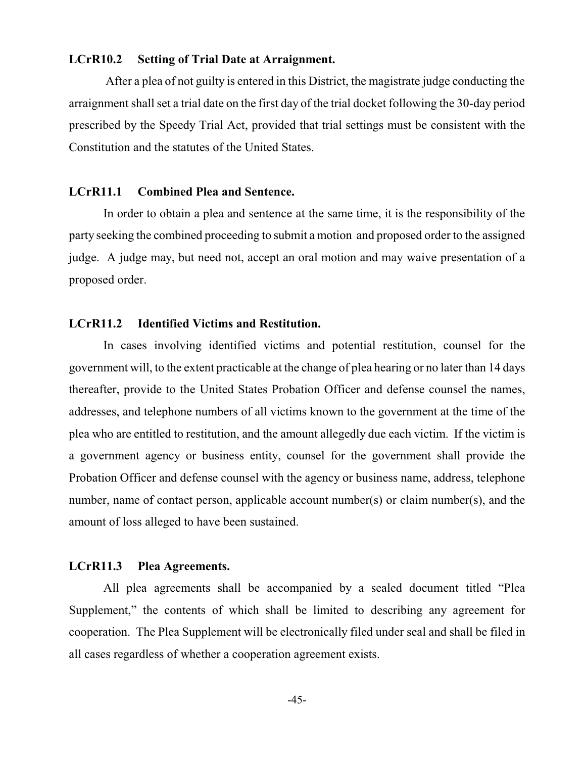#### **LCrR10.2 Setting of Trial Date at Arraignment.**

After a plea of not guilty is entered in this District, the magistrate judge conducting the arraignment shall set a trial date on the first day of the trial docket following the 30-day period prescribed by the Speedy Trial Act, provided that trial settings must be consistent with the Constitution and the statutes of the United States.

#### **LCrR11.1 Combined Plea and Sentence.**

In order to obtain a plea and sentence at the same time, it is the responsibility of the party seeking the combined proceeding to submit a motion and proposed order to the assigned judge. A judge may, but need not, accept an oral motion and may waive presentation of a proposed order.

#### **LCrR11.2 Identified Victims and Restitution.**

In cases involving identified victims and potential restitution, counsel for the government will, to the extent practicable at the change of plea hearing or no later than 14 days thereafter, provide to the United States Probation Officer and defense counsel the names, addresses, and telephone numbers of all victims known to the government at the time of the plea who are entitled to restitution, and the amount allegedly due each victim. If the victim is a government agency or business entity, counsel for the government shall provide the Probation Officer and defense counsel with the agency or business name, address, telephone number, name of contact person, applicable account number(s) or claim number(s), and the amount of loss alleged to have been sustained.

#### **LCrR11.3 Plea Agreements.**

All plea agreements shall be accompanied by a sealed document titled "Plea Supplement," the contents of which shall be limited to describing any agreement for cooperation. The Plea Supplement will be electronically filed under seal and shall be filed in all cases regardless of whether a cooperation agreement exists.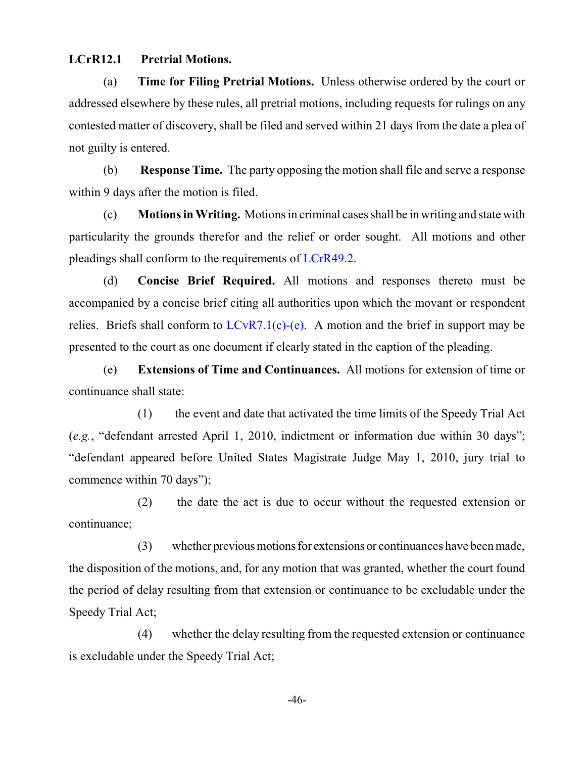#### <span id="page-58-0"></span>**LCrR12.1 Pretrial Motions.**

(a) **Time for Filing Pretrial Motions.** Unless otherwise ordered by the court or addressed elsewhere by these rules, all pretrial motions, including requests for rulings on any contested matter of discovery, shall be filed and served within 21 days from the date a plea of not guilty is entered.

(b) **Response Time.** The party opposing the motion shall file and serve a response within 9 days after the motion is filed.

(c) **Motions in Writing.** Motions in criminal cases shall be in writing and state with particularity the grounds therefor and the relief or order sought. All motions and other pleadings shall conform to the requirements of [LCrR49.2](#page-66-0).

(d) **Concise Brief Required.** All motions and responses thereto must be accompanied by a concise brief citing all authorities upon which the movant or respondent relies. Briefs shall conform to  $LCvR7.1(c)$ -(e). A motion and the brief in support may be presented to the court as one document if clearly stated in the caption of the pleading.

(e) **Extensions of Time and Continuances.** All motions for extension of time or continuance shall state:

(1) the event and date that activated the time limits of the Speedy Trial Act (*e.g.*, "defendant arrested April 1, 2010, indictment or information due within 30 days"; "defendant appeared before United States Magistrate Judge May 1, 2010, jury trial to commence within 70 days");

(2) the date the act is due to occur without the requested extension or continuance;

(3) whether previous motions for extensions or continuances have been made, the disposition of the motions, and, for any motion that was granted, whether the court found the period of delay resulting from that extension or continuance to be excludable under the Speedy Trial Act;

(4) whether the delay resulting from the requested extension or continuance is excludable under the Speedy Trial Act;

-46-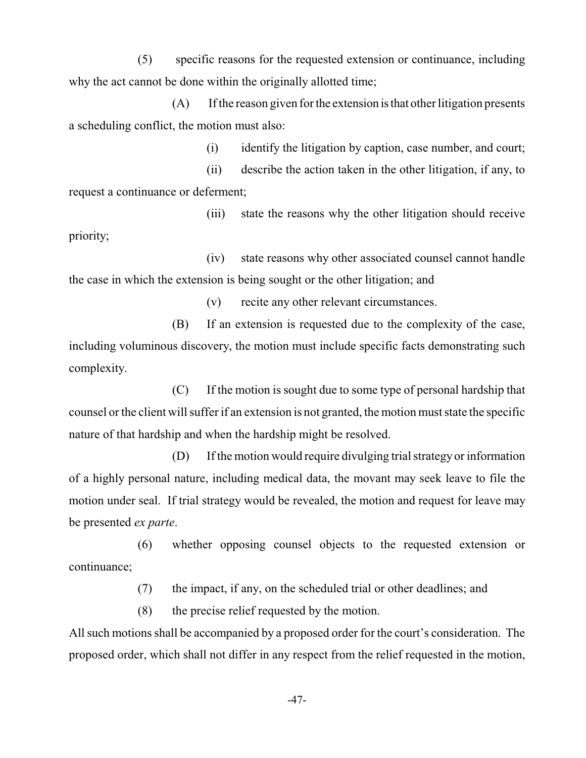(5) specific reasons for the requested extension or continuance, including why the act cannot be done within the originally allotted time;

(A) Ifthe reason given for the extension isthat other litigation presents a scheduling conflict, the motion must also:

(i) identify the litigation by caption, case number, and court;

(ii) describe the action taken in the other litigation, if any, to request a continuance or deferment;

(iii) state the reasons why the other litigation should receive priority;

(iv) state reasons why other associated counsel cannot handle the case in which the extension is being sought or the other litigation; and

(v) recite any other relevant circumstances.

(B) If an extension is requested due to the complexity of the case, including voluminous discovery, the motion must include specific facts demonstrating such complexity.

(C) If the motion is sought due to some type of personal hardship that counsel or the client will suffer if an extension is not granted, the motion must state the specific nature of that hardship and when the hardship might be resolved.

(D) If the motion would require divulging trial strategy or information of a highly personal nature, including medical data, the movant may seek leave to file the motion under seal. If trial strategy would be revealed, the motion and request for leave may be presented *ex parte*.

(6) whether opposing counsel objects to the requested extension or continuance;

(7) the impact, if any, on the scheduled trial or other deadlines; and

(8) the precise relief requested by the motion.

All such motions shall be accompanied by a proposed order for the court's consideration. The proposed order, which shall not differ in any respect from the relief requested in the motion,

-47-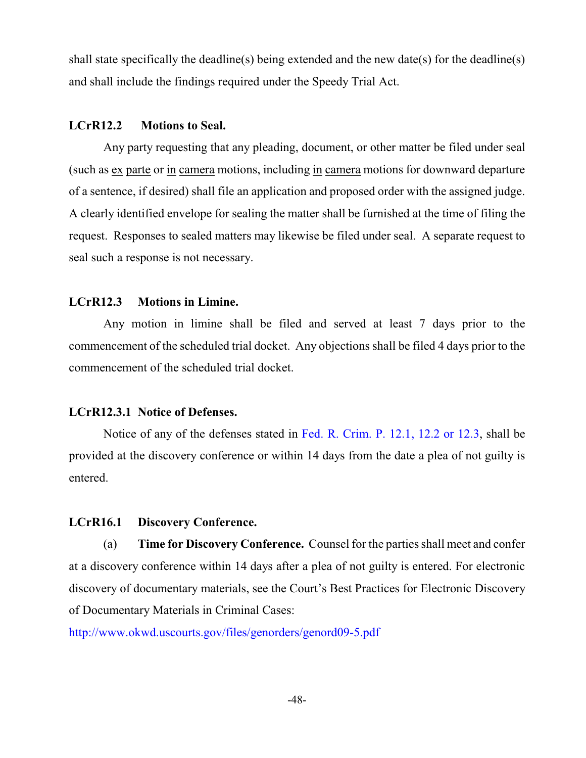shall state specifically the deadline(s) being extended and the new date(s) for the deadline(s) and shall include the findings required under the Speedy Trial Act.

#### **LCrR12.2 Motions to Seal.**

Any party requesting that any pleading, document, or other matter be filed under seal (such as ex parte or in camera motions, including in camera motions for downward departure of a sentence, if desired) shall file an application and proposed order with the assigned judge. A clearly identified envelope for sealing the matter shall be furnished at the time of filing the request. Responses to sealed matters may likewise be filed under seal. A separate request to seal such a response is not necessary.

#### <span id="page-60-0"></span>**LCrR12.3 Motions in Limine.**

Any motion in limine shall be filed and served at least 7 days prior to the commencement of the scheduled trial docket. Any objections shall be filed 4 days prior to the commencement of the scheduled trial docket.

#### **LCrR12.3.1 Notice of Defenses.**

Notice of any of the defenses stated in Fed. R. [Crim. P. 12.1](http://www.law.cornell.edu/rules/frcrmp/rule_12.1), [12.2](http://www.law.cornell.edu/rules/frcrmp/rule_12.2) or [12.3](http://www.law.cornell.edu/rules/frcrmp/rule_12.3), shall be provided at the discovery conference or within 14 days from the date a plea of not guilty is entered.

#### **LCrR16.1 Discovery Conference.**

(a) **Time for Discovery Conference.** Counsel for the parties shall meet and confer at a discovery conference within 14 days after a plea of not guilty is entered. For electronic discovery of documentary materials, see the Court's Best Practices for Electronic Discovery of Documentary Materials in Criminal Cases:

<http://www.okwd.uscourts.gov/files/genorders/genord09-5.pdf>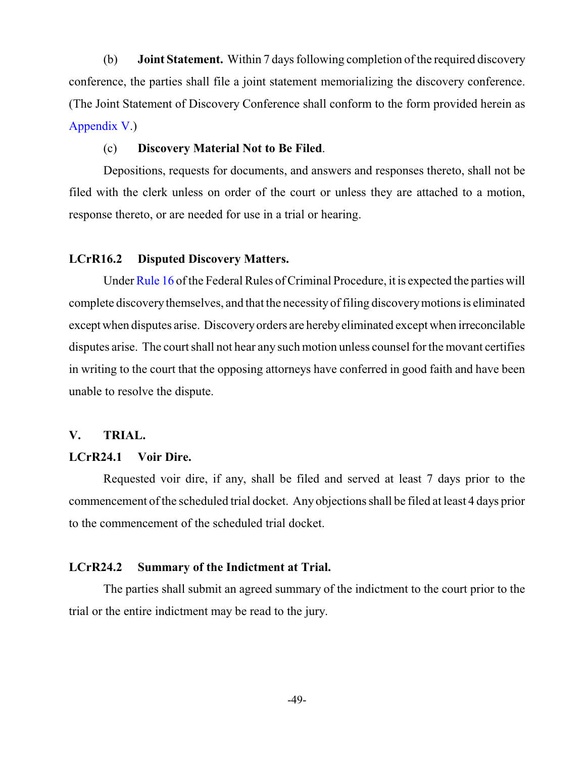(b) **Joint Statement.** Within 7 days following completion of the required discovery conference, the parties shall file a joint statement memorializing the discovery conference. (The Joint Statement of Discovery Conference shall conform to the form provided herein as [Appendix V](#page-84-0).)

#### (c) **Discovery Material Not to Be Filed**.

Depositions, requests for documents, and answers and responses thereto, shall not be filed with the clerk unless on order of the court or unless they are attached to a motion, response thereto, or are needed for use in a trial or hearing.

#### **LCrR16.2 Disputed Discovery Matters.**

Under [Rule 16](http://www.law.cornell.edu/rules/frcrmp/rule_16) of the Federal Rules of Criminal Procedure, it is expected the parties will complete discoverythemselves, and that the necessity of filing discoverymotions is eliminated except when disputes arise. Discoveryorders are herebyeliminated except when irreconcilable disputes arise. The court shall not hear any such motion unless counsel for the movant certifies in writing to the court that the opposing attorneys have conferred in good faith and have been unable to resolve the dispute.

#### **V. TRIAL.**

#### **LCrR24.1 Voir Dire.**

Requested voir dire, if any, shall be filed and served at least 7 days prior to the commencement of the scheduled trial docket. Any objections shall be filed at least 4 days prior to the commencement of the scheduled trial docket.

#### **LCrR24.2 Summary of the Indictment at Trial.**

The parties shall submit an agreed summary of the indictment to the court prior to the trial or the entire indictment may be read to the jury.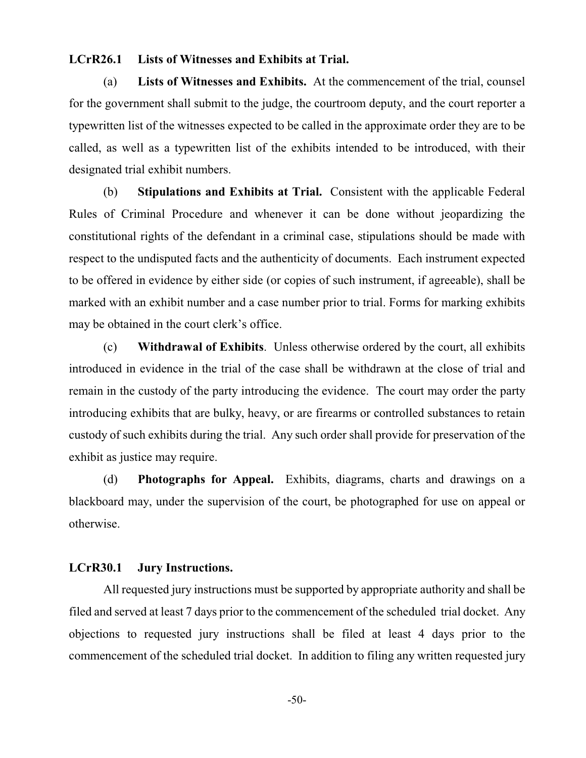#### **LCrR26.1 Lists of Witnesses and Exhibits at Trial.**

(a) **Lists of Witnesses and Exhibits.** At the commencement of the trial, counsel for the government shall submit to the judge, the courtroom deputy, and the court reporter a typewritten list of the witnesses expected to be called in the approximate order they are to be called, as well as a typewritten list of the exhibits intended to be introduced, with their designated trial exhibit numbers.

(b) **Stipulations and Exhibits at Trial.** Consistent with the applicable Federal Rules of Criminal Procedure and whenever it can be done without jeopardizing the constitutional rights of the defendant in a criminal case, stipulations should be made with respect to the undisputed facts and the authenticity of documents. Each instrument expected to be offered in evidence by either side (or copies of such instrument, if agreeable), shall be marked with an exhibit number and a case number prior to trial. Forms for marking exhibits may be obtained in the court clerk's office.

(c) **Withdrawal of Exhibits**. Unless otherwise ordered by the court, all exhibits introduced in evidence in the trial of the case shall be withdrawn at the close of trial and remain in the custody of the party introducing the evidence. The court may order the party introducing exhibits that are bulky, heavy, or are firearms or controlled substances to retain custody of such exhibits during the trial. Any such order shall provide for preservation of the exhibit as justice may require.

(d) **Photographs for Appeal.** Exhibits, diagrams, charts and drawings on a blackboard may, under the supervision of the court, be photographed for use on appeal or otherwise.

#### **LCrR30.1 Jury Instructions.**

All requested jury instructions must be supported by appropriate authority and shall be filed and served at least 7 days prior to the commencement of the scheduled trial docket. Any objections to requested jury instructions shall be filed at least 4 days prior to the commencement of the scheduled trial docket. In addition to filing any written requested jury

-50-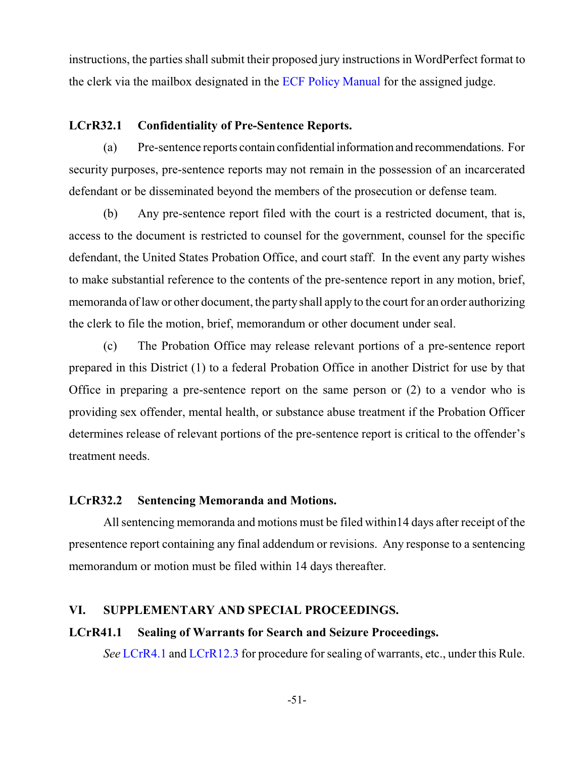instructions, the parties shall submit their proposed jury instructions in WordPerfect format to the clerk via the mailbox designated in the [ECF Policy Manual](http://www.okwd.uscourts.gov/wp-content/uploads/2015/04/ECFPoliciesProceduresManual5-1-15.pdf) for the assigned judge.

#### **LCrR32.1 Confidentiality of Pre-Sentence Reports.**

(a) Pre-sentence reports contain confidentialinformation and recommendations. For security purposes, pre-sentence reports may not remain in the possession of an incarcerated defendant or be disseminated beyond the members of the prosecution or defense team.

(b) Any pre-sentence report filed with the court is a restricted document, that is, access to the document is restricted to counsel for the government, counsel for the specific defendant, the United States Probation Office, and court staff. In the event any party wishes to make substantial reference to the contents of the pre-sentence report in any motion, brief, memoranda of law or other document, the party shall apply to the court for an order authorizing the clerk to file the motion, brief, memorandum or other document under seal.

(c) The Probation Office may release relevant portions of a pre-sentence report prepared in this District (1) to a federal Probation Office in another District for use by that Office in preparing a pre-sentence report on the same person or (2) to a vendor who is providing sex offender, mental health, or substance abuse treatment if the Probation Officer determines release of relevant portions of the pre-sentence report is critical to the offender's treatment needs.

#### **LCrR32.2 Sentencing Memoranda and Motions.**

All sentencing memoranda and motions must be filed within14 days after receipt of the presentence report containing any final addendum or revisions. Any response to a sentencing memorandum or motion must be filed within 14 days thereafter.

#### **VI. SUPPLEMENTARY AND SPECIAL PROCEEDINGS.**

#### **LCrR41.1 Sealing of Warrants for Search and Seizure Proceedings.**

*See* [LCrR4.1](#page-54-0) and [LCrR12.3](#page-60-0) for procedure for sealing of warrants, etc., under this Rule.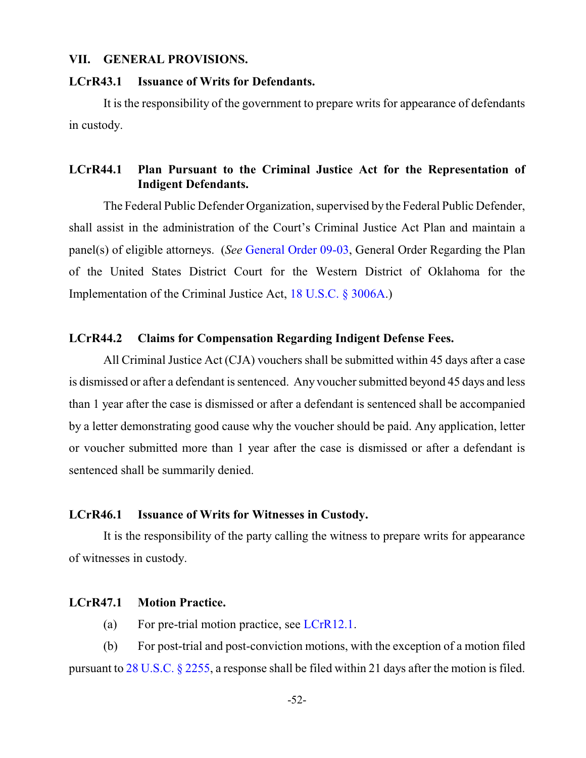#### **VII. GENERAL PROVISIONS.**

#### **LCrR43.1 Issuance of Writs for Defendants.**

It is the responsibility of the government to prepare writs for appearance of defendants in custody.

#### **LCrR44.1 Plan Pursuant to the Criminal Justice Act for the Representation of Indigent Defendants.**

The Federal Public Defender Organization, supervised by the Federal Public Defender, shall assist in the administration of the Court's Criminal Justice Act Plan and maintain a panel(s) of eligible attorneys. (*See* [General Order 09-03](http://www.okwd.uscourts.gov/files/genorders/genord09-3.pdf), General Order Regarding the Plan of the United States District Court for the Western District of Oklahoma for the Implementation of the Criminal Justice Act, [18 U.S.C. § 3006A](http://www.law.cornell.edu/uscode/text/18/3006A).)

#### **LCrR44.2 Claims for Compensation Regarding Indigent Defense Fees.**

All Criminal Justice Act (CJA) vouchers shall be submitted within 45 days after a case is dismissed or after a defendant is sentenced. Any voucher submitted beyond 45 days and less than 1 year after the case is dismissed or after a defendant is sentenced shall be accompanied by a letter demonstrating good cause why the voucher should be paid. Any application, letter or voucher submitted more than 1 year after the case is dismissed or after a defendant is sentenced shall be summarily denied.

#### **LCrR46.1 Issuance of Writs for Witnesses in Custody.**

It is the responsibility of the party calling the witness to prepare writs for appearance of witnesses in custody.

#### **LCrR47.1 Motion Practice.**

(a) For pre-trial motion practice, see [LCrR12.1](#page-58-0).

(b) For post-trial and post-conviction motions, with the exception of a motion filed pursuant to [28 U.S.C. § 2255](http://www.law.cornell.edu/uscode/text/28/2255), a response shall be filed within 21 days after the motion is filed.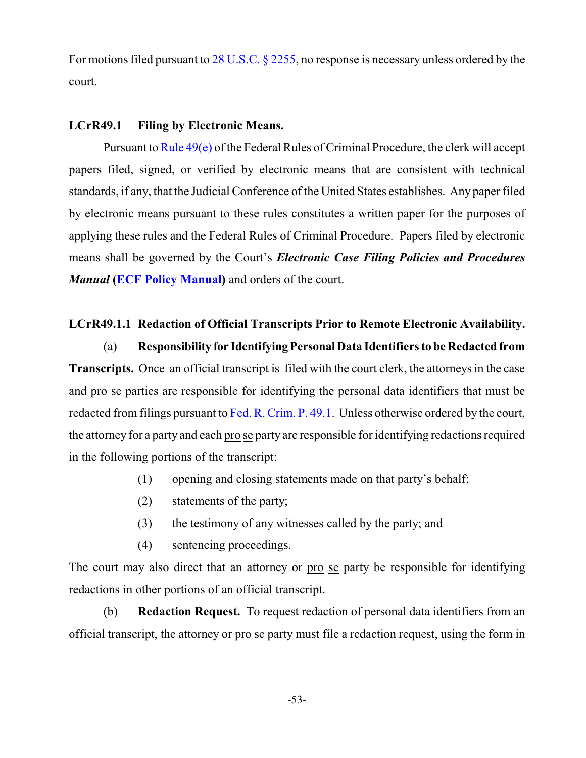For motions filed pursuant to [28 U.S.C. § 2255](http://www.law.cornell.edu/uscode/text/28/2255), no response is necessary unless ordered by the court.

#### **LCrR49.1 Filing by Electronic Means.**

Pursuant to Rule  $49(e)$  of the Federal Rules of Criminal Procedure, the clerk will accept papers filed, signed, or verified by electronic means that are consistent with technical standards, if any, that the Judicial Conference of the United States establishes. Any paper filed by electronic means pursuant to these rules constitutes a written paper for the purposes of applying these rules and the Federal Rules of Criminal Procedure. Papers filed by electronic means shall be governed by the Court's *Electronic Case Filing Policies and Procedures Manual* **[\(ECF Policy Manual](http://www.okwd.uscourts.gov/wp-content/uploads/2015/04/ECFPoliciesProceduresManual5-1-15.pdf))** and orders of the court.

#### **LCrR49.1.1 Redaction of Official Transcripts Prior to Remote Electronic Availability.**

(a) **Responsibility for IdentifyingPersonalData Identifiers to be Redacted from Transcripts.** Once an official transcript is filed with the court clerk, the attorneys in the case and pro se parties are responsible for identifying the personal data identifiers that must be redacted from filings pursuant to [Fed. R. Crim. P. 49.1](http://www.law.cornell.edu/rules/frcrmp/rule_49.1). Unless otherwise ordered by the court, the attorney for a party and each pro se party are responsible for identifying redactions required in the following portions of the transcript:

- (1) opening and closing statements made on that party's behalf;
- (2) statements of the party;
- (3) the testimony of any witnesses called by the party; and
- (4) sentencing proceedings.

The court may also direct that an attorney or pro se party be responsible for identifying redactions in other portions of an official transcript.

(b) **Redaction Request.** To request redaction of personal data identifiers from an official transcript, the attorney or pro se party must file a redaction request, using the form in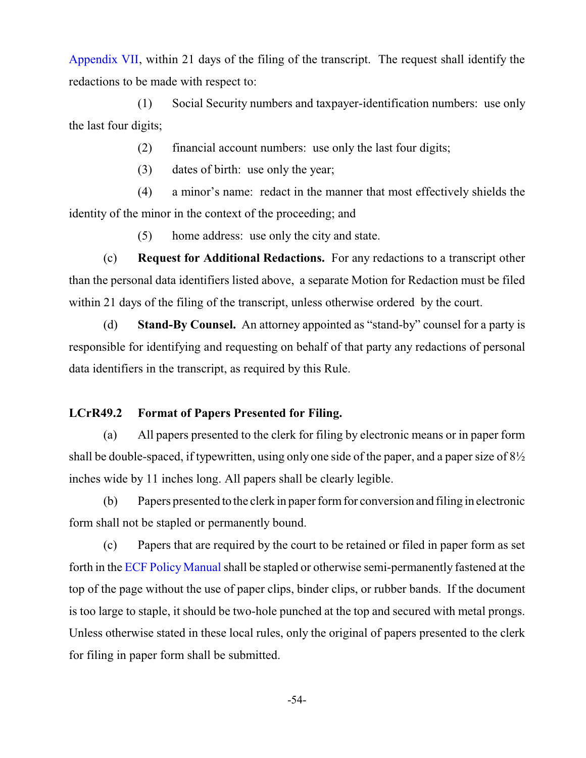[Appendix VII](#page-88-0), within 21 days of the filing of the transcript. The request shall identify the redactions to be made with respect to:

(1) Social Security numbers and taxpayer-identification numbers: use only the last four digits;

(2) financial account numbers: use only the last four digits;

(3) dates of birth: use only the year;

(4) a minor's name: redact in the manner that most effectively shields the identity of the minor in the context of the proceeding; and

(5) home address: use only the city and state.

(c) **Request for Additional Redactions.** For any redactions to a transcript other than the personal data identifiers listed above, a separate Motion for Redaction must be filed within 21 days of the filing of the transcript, unless otherwise ordered by the court.

(d) **Stand-By Counsel.** An attorney appointed as "stand-by" counsel for a party is responsible for identifying and requesting on behalf of that party any redactions of personal data identifiers in the transcript, as required by this Rule.

#### <span id="page-66-0"></span>**LCrR49.2 Format of Papers Presented for Filing.**

(a) All papers presented to the clerk for filing by electronic means or in paper form shall be double-spaced, if typewritten, using only one side of the paper, and a paper size of 8½ inches wide by 11 inches long. All papers shall be clearly legible.

(b) Papers presented to the clerk in paper formfor conversion and filing in electronic form shall not be stapled or permanently bound.

(c) Papers that are required by the court to be retained or filed in paper form as set forth in the [ECF Policy](http://www.okwd.uscourts.gov/wp-content/uploads/2015/04/ECFPoliciesProceduresManual5-1-15.pdf) Manual shall be stapled or otherwise semi-permanently fastened at the top of the page without the use of paper clips, binder clips, or rubber bands. If the document is too large to staple, it should be two-hole punched at the top and secured with metal prongs. Unless otherwise stated in these local rules, only the original of papers presented to the clerk for filing in paper form shall be submitted.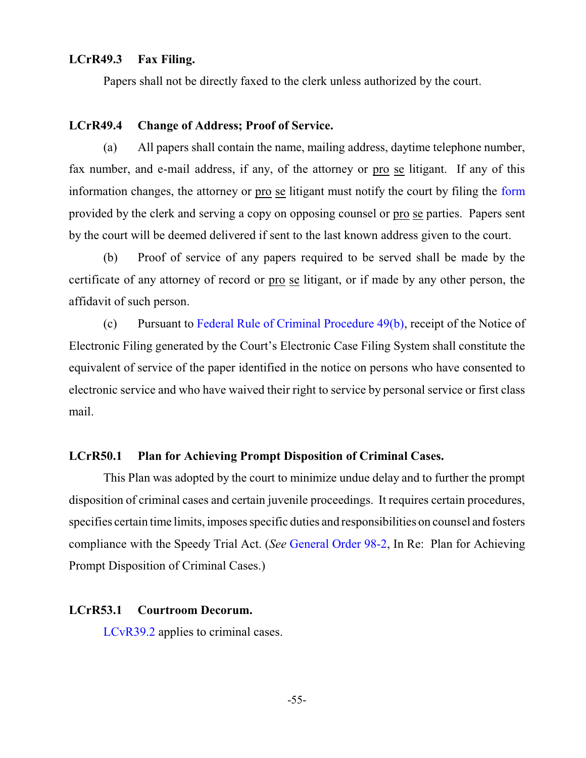#### **LCrR49.3 Fax Filing.**

Papers shall not be directly faxed to the clerk unless authorized by the court.

#### **LCrR49.4 Change of Address; Proof of Service.**

(a) All papers shall contain the name, mailing address, daytime telephone number, fax number, and e-mail address, if any, of the attorney or pro se litigant. If any of this information changes, the attorney or pro se litigant must notify the court by filing the [form](http://www.okwd.uscourts.gov/files/forms/addrchange.pdf) provided by the clerk and serving a copy on opposing counsel or pro se parties. Papers sent by the court will be deemed delivered if sent to the last known address given to the court.

(b) Proof of service of any papers required to be served shall be made by the certificate of any attorney of record or pro se litigant, or if made by any other person, the affidavit of such person.

(c) Pursuant to Federal Rule of [Criminal Procedure 49\(b\)](http://www.law.cornell.edu/rules/frcrmp/rule_49), receipt of the Notice of Electronic Filing generated by the Court's Electronic Case Filing System shall constitute the equivalent of service of the paper identified in the notice on persons who have consented to electronic service and who have waived their right to service by personal service or first class mail.

#### **LCrR50.1 Plan for Achieving Prompt Disposition of Criminal Cases.**

This Plan was adopted by the court to minimize undue delay and to further the prompt disposition of criminal cases and certain juvenile proceedings. It requires certain procedures, specifies certain time limits, imposes specific duties and responsibilities on counsel and fosters compliance with the Speedy Trial Act. (*See* [General Order 98-2](http://www.okwd.uscourts.gov/files/genorders/genord98-2.pdf), In Re: Plan for Achieving Prompt Disposition of Criminal Cases.)

#### **LCrR53.1 Courtroom Decorum.**

[LCvR39.2](#page-34-0) applies to criminal cases.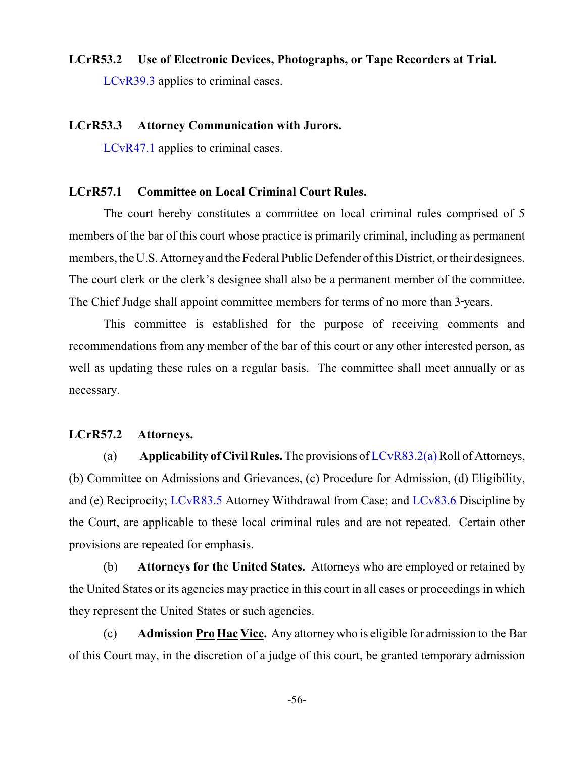### **LCrR53.2 Use of Electronic Devices, Photographs, or Tape Recorders at Trial.** [LCvR39.3](#page-34-1) applies to criminal cases.

#### **LCrR53.3 Attorney Communication with Jurors.**

[LCvR47.1](#page-99-0) applies to criminal cases.

#### **LCrR57.1 Committee on Local Criminal Court Rules.**

The court hereby constitutes a committee on local criminal rules comprised of 5 members of the bar of this court whose practice is primarily criminal, including as permanent members, the U.S. Attorney and the Federal Public Defender of this District, or their designees. The court clerk or the clerk's designee shall also be a permanent member of the committee. The Chief Judge shall appoint committee members for terms of no more than 3 years.

This committee is established for the purpose of receiving comments and recommendations from any member of the bar of this court or any other interested person, as well as updating these rules on a regular basis. The committee shall meet annually or as necessary.

#### **LCrR57.2 Attorneys.**

(a) **Applicability of Civil Rules.** The provisions of [LCvR83.2\(a\)](#page-45-0) Roll of Attorneys, (b) Committee on Admissions and Grievances, (c) Procedure for Admission, (d) Eligibility, and (e) Reciprocity; [LCvR83.5](#page-48-0) Attorney Withdrawal from Case; and [LCv83.6](#page-48-1) Discipline by the Court, are applicable to these local criminal rules and are not repeated. Certain other provisions are repeated for emphasis.

(b) **Attorneys for the United States.** Attorneys who are employed or retained by the United States or its agencies may practice in this court in all cases or proceedings in which they represent the United States or such agencies.

(c) **Admission Pro Hac Vice.** Any attorneywho is eligible for admission to the Bar of this Court may, in the discretion of a judge of this court, be granted temporary admission

-56-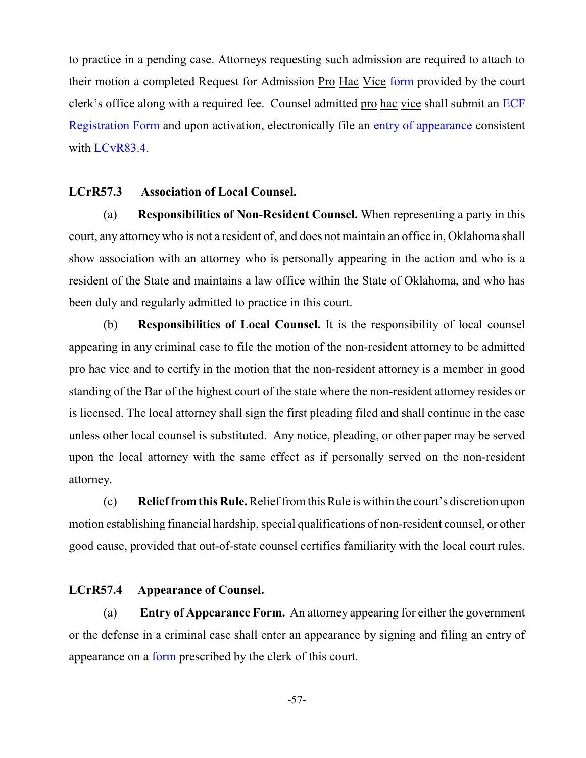to practice in a pending case. Attorneys requesting such admission are required to attach to their motion a completed Request for Admission Pro Hac Vice [form](http://www.okwd.uscourts.gov/wp-content/uploads/2015/03/005.pdf) provided by the court clerk's office along with a required fee. Counsel admitted pro hac vice shall submit an [ECF](http://www.okwd.uscourts.gov/wp-content/uploads/ecf_egistration_form_2017.pdf) [Registration Form](http://www.okwd.uscourts.gov/wp-content/uploads/ecf_egistration_form_2017.pdf) and upon activation, electronically file an entry of [appearance](http://www.okwd.uscourts.gov/files/forms/ao458.pdf) consistent with [LCvR83.4](#page-47-0).

#### **LCrR57.3 Association of Local Counsel.**

(a) **Responsibilities of Non-Resident Counsel.** When representing a party in this court, any attorney who is not a resident of, and does not maintain an office in, Oklahoma shall show association with an attorney who is personally appearing in the action and who is a resident of the State and maintains a law office within the State of Oklahoma, and who has been duly and regularly admitted to practice in this court.

(b) **Responsibilities of Local Counsel.** It is the responsibility of local counsel appearing in any criminal case to file the motion of the non-resident attorney to be admitted pro hac vice and to certify in the motion that the non-resident attorney is a member in good standing of the Bar of the highest court of the state where the non-resident attorney resides or is licensed. The local attorney shall sign the first pleading filed and shall continue in the case unless other local counsel is substituted. Any notice, pleading, or other paper may be served upon the local attorney with the same effect as if personally served on the non-resident attorney.

(c) **Relief from this Rule.** Relieffromthis Rule is within the court's discretion upon motion establishing financial hardship, special qualifications of non-resident counsel, or other good cause, provided that out-of-state counsel certifies familiarity with the local court rules.

#### **LCrR57.4 Appearance of Counsel.**

(a) **Entry of Appearance Form.** An attorney appearing for either the government or the defense in a criminal case shall enter an appearance by signing and filing an entry of appearance on a [form](http://www.okwd.uscourts.gov/files/forms/ao458.pdf) prescribed by the clerk of this court.

-57-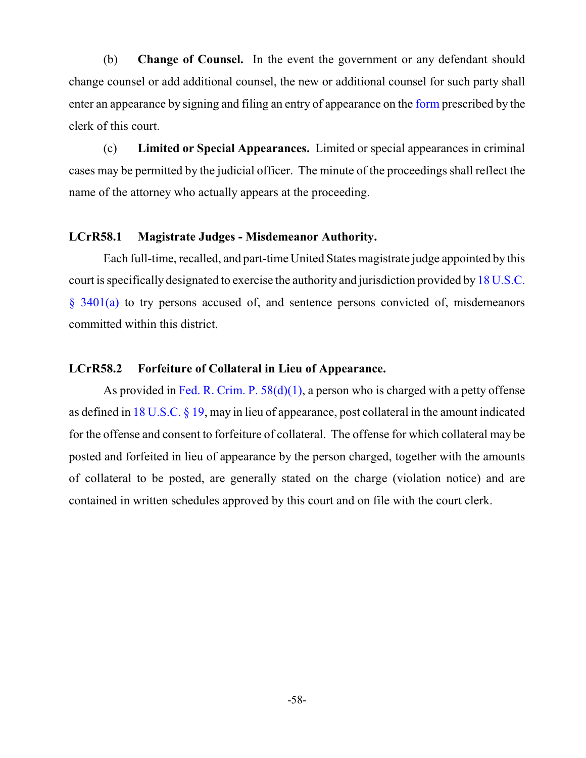(b) **Change of Counsel.** In the event the government or any defendant should change counsel or add additional counsel, the new or additional counsel for such party shall enter an appearance by signing and filing an entry of appearance on the [form](http://www.okwd.uscourts.gov/files/forms/ao458.pdf) prescribed by the clerk of this court.

(c) **Limited or Special Appearances.** Limited or special appearances in criminal cases may be permitted by the judicial officer. The minute of the proceedings shall reflect the name of the attorney who actually appears at the proceeding.

#### **LCrR58.1 Magistrate Judges - Misdemeanor Authority.**

Each full-time, recalled, and part-time United States magistrate judge appointed by this court is specifically designated to exercise the authority and jurisdiction provided by [18 U.S.C.](http://www.law.cornell.edu/uscode/text/18/3401) [§ 3401\(a\)](http://www.law.cornell.edu/uscode/text/18/3401) to try persons accused of, and sentence persons convicted of, misdemeanors committed within this district.

#### **LCrR58.2 Forfeiture of Collateral in Lieu of Appearance.**

As provided in Fed. R. Crim. P.  $58(d)(1)$ , a person who is charged with a petty offense as defined in [18 U.S.C. § 19](http://www.law.cornell.edu/uscode/text/18/19), may in lieu of appearance, post collateral in the amount indicated for the offense and consent to forfeiture of collateral. The offense for which collateral may be posted and forfeited in lieu of appearance by the person charged, together with the amounts of collateral to be posted, are generally stated on the charge (violation notice) and are contained in written schedules approved by this court and on file with the court clerk.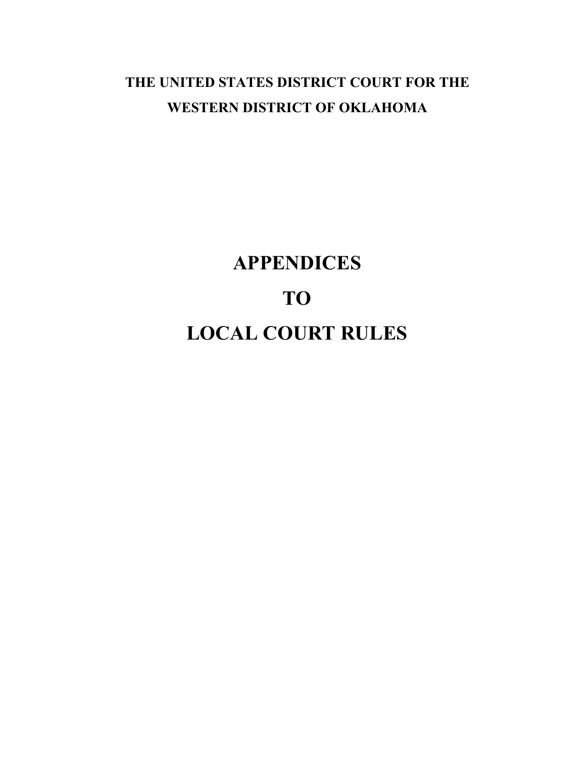## **THE UNITED STATES DISTRICT COURT FOR THE WESTERN DISTRICT OF OKLAHOMA**

# **APPENDICES TO LOCAL COURT RULES**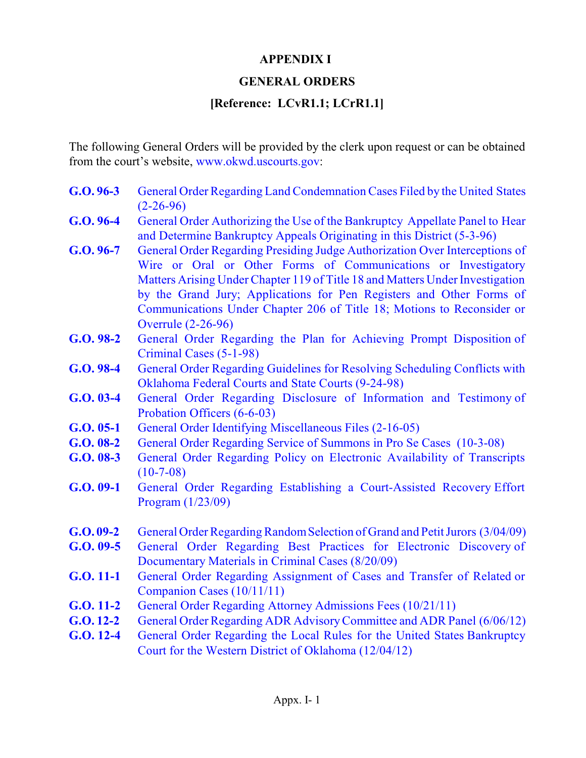# **APPENDIX I**

# **GENERAL ORDERS**

## **[Reference: LCvR1.1; LCrR1.1]**

The following General Orders will be provided by the clerk upon request or can be obtained from the court's website, www.okwd.uscourts.gov:

- **G.O. 96-3** [General Order Regarding](http://www.okwd.uscourts.gov/files/genorders/genord96-3.pdf) Land Condemnation Cases Filed by the United States  $(2 - 26 - 96)$
- **G.O. 96-4** [General Order Authorizing](http://www.okwd.uscourts.gov/files/genorders/genord96-4.pdf) the Use of the Bankruptcy Appellate Panel to Hear and [Determine Bankruptcy Appeals Originating in this District \(5-3-96\)](http://www.okwd.uscourts.gov/files/genorders/genord96-4.pdf)
- **G.O. 96-7** [General Order Regarding](http://www.okwd.uscourts.gov/files/genorders/genord96-7.pdf) Presiding Judge Authorization Over Interceptions of Wire or Oral or Other Forms of [Communications or Investigatory](http://www.okwd.uscourts.gov/files/genorders/genord96-7.pdf) Matters Arising Under Chapter 119 of Title 18 and Matters Under Investigation by the Grand [Jury; Applications for Pen](http://www.okwd.uscourts.gov/files/genorders/genord96-7.pdf) Registers and Other Forms of [Communications Under Chapter 206](http://www.okwd.uscourts.gov/files/genorders/genord96-7.pdf) of Title 18; Motions to Reconsider or [Overrule \(2-26-96\)](http://www.okwd.uscourts.gov/files/genorders/genord96-7.pdf)
- **G.O. 98-2** General Order Regarding the Plan for Achieving [Prompt Disposition of](http://www.okwd.uscourts.gov/files/genorders/genord98-2.pdf) [Criminal Cases \(5-1-98\)](http://www.okwd.uscourts.gov/files/genorders/genord98-2.pdf)
- **G.O. 98-4** [General Order Regarding](http://www.okwd.uscourts.gov/files/genorders/genord98-4.pdf) Guidelines for Resolving Scheduling Conflicts with [Oklahoma Federal Courts and State Courts \(9-24-98\)](http://www.okwd.uscourts.gov/files/genorders/genord98-4.pdf)
- **G.O. 03-4** [General Order Regarding](http://www.okwd.uscourts.gov/files/genorders/genord03-4.pdf) Disclosure of Information and Testimony of [Probation Officers \(6-6-03\)](http://www.okwd.uscourts.gov/files/genorders/genord03-4.pdf)
- **G.O. 05-1** [General Order Identifying Miscellaneous Files \(2-16-05\)](http://www.okwd.uscourts.gov/files/genorders/genord05-1.pdf)
- **G.O. 08-2** General Order Regarding Service of [Summons in Pro Se Cases \(10-3-08\)](http://www.okwd.uscourts.gov/files/genorders/genord08-2.pdf)
- **G.O. 08-3** [General Order Regarding](http://www.okwd.uscourts.gov/files/genorders/genord08-3.pdf) Policy on Electronic Availability of Transcripts  $(10-7-08)$
- **G.O. 09-1** General [Order Regarding](http://www.okwd.uscourts.gov/files/genorders/genord09-1.pdf) Establishing a Court-Assisted Recovery Effort [Program \(1/23/09\)](http://www.okwd.uscourts.gov/files/genorders/genord09-1.pdf)
- **G.O. 09-2** General Order Regarding Random Selection of Grand and Petit Jurors (3/04/09)
- **G.O. 09-5** General Order Regarding [Best Practices](http://www.okwd.uscourts.gov/files/genorders/genord09-5.pdf) for Electronic Discovery of [Documentary Materials in Criminal Cases \(8/20/09\)](http://www.okwd.uscourts.gov/files/genorders/genord09-5.pdf)
- **G.O. 11-1** [General Order Regarding](http://www.okwd.uscourts.gov/wp-content/uploads/2014/09/genord11-1.pdf) Assignment of Cases and Transfer of Related or Companion [Cases \(10/11/11\)](http://www.okwd.uscourts.gov/wp-content/uploads/2014/09/genord11-1.pdf)
- **G.O. 11-2** [General Order Regarding Attorney Admissions Fees \(10/21/11\)](http://www.okwd.uscourts.gov/wp-content/uploads/2014/09/genord11-2.pdf)
- **G.O. 12-2** [General Order Regarding](http://www.okwd.uscourts.gov/wp-content/uploads/2014/09/12-02generalorder.pdf) ADR AdvisoryCommittee and ADR Panel (6/06/12)
- **G.O. 12-4** [General Order Regarding](http://www.okwd.uscourts.gov/wp-content/uploads/2014/09/12-04_genorder.pdf) the Local Rules for the United States Bankruptcy [Court for the Western District of Oklahoma \(12/04/12\)](http://www.okwd.uscourts.gov/wp-content/uploads/2014/09/12-04_genorder.pdf)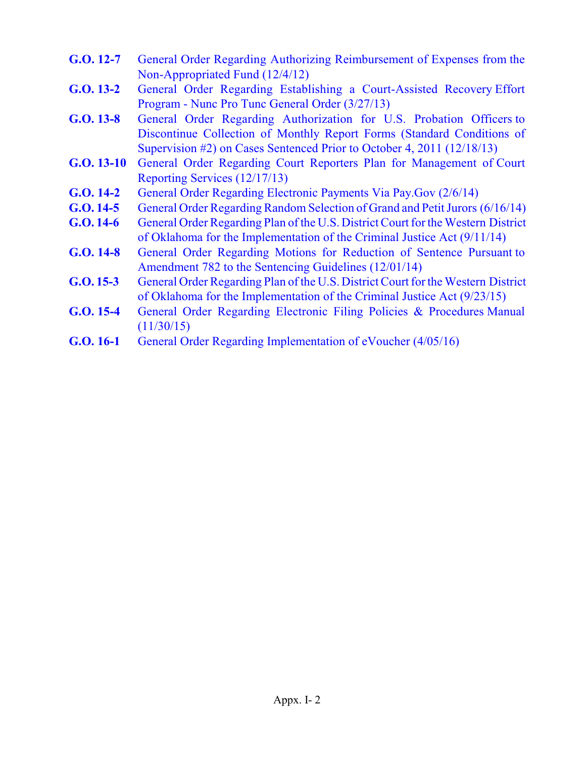- **G.O. 12-7** [General Order Regarding](http://www.okwd.uscourts.gov/wp-content/uploads/2014/09/12-07_genorder.pdf) Authorizing Reimbursement of Expenses from the [Non-Appropriated](http://www.okwd.uscourts.gov/wp-content/uploads/2014/09/12-07_genorder.pdf) Fund (12/4/12)
- **G.O. 13-2** General Order Regarding Establishing a [Court-Assisted Recovery Effort](http://www.okwd.uscourts.gov/files/genorders/13-2_general_order.pdf) Program [- Nunc Pro Tunc General Order \(3/27/13\)](http://www.okwd.uscourts.gov/files/genorders/13-2_general_order.pdf)
- **G.O. 13-8** [General Order Regarding](http://www.okwd.uscourts.gov/files/genorders/13-8_general_order.pdf) Authorization for U.S. Probation Officers to Discontinue Collection of Monthly Report Forms [\(Standard Conditions of](http://www.okwd.uscourts.gov/files/genorders/13-8_general_order.pdf) [Supervision #2\) on Cases Sentenced Prior to October 4, 2011 \(12/18/13\)](http://www.okwd.uscourts.gov/files/genorders/13-8_general_order.pdf)
- **G.O. 13-10** General Order [Regarding Court Reporters Plan for Management](http://www.okwd.uscourts.gov/files/genorders/13-10_general_order.pdf) of Court [Reporting Services \(12/17/13\)](http://www.okwd.uscourts.gov/files/genorders/13-10_general_order.pdf)
- **G.O. 14-2** [General Order Regarding Electronic Payments Via Pay.Gov \(2/6/14\)](http://www.okwd.uscourts.gov/files/genorders/14-2_general_order.pdf)
- **G.O. 14-5** [General Order Regarding Random](http://www.okwd.uscourts.gov/wp-content/uploads/2014/09/14-5_general_order.pdf) Selection of Grand and Petit Jurors (6/16/14)
- **G.O. 14-6** General Order Regarding Plan of [the U.S. District Court for the Western District](http://www.okwd.uscourts.gov/wp-content/uploads/2014/09/14-6_general_order.pdf) [of Oklahoma for the Implementation of the Criminal Justice Act \(9/11/14\)](http://www.okwd.uscourts.gov/wp-content/uploads/2014/09/14-6_general_order.pdf)
- **G.O. 14-8** [General Order Regarding Motions for](http://www.okwd.uscourts.gov/wp-content/uploads/2014/09/14-8_general_order.pdf) Reduction of Sentence Pursuant to [Amendment 782 to the Sentencing Guidelines \(12/01/14\)](http://www.okwd.uscourts.gov/wp-content/uploads/2014/09/14-8_general_order.pdf)
- **G.O. 15-3** General Order Regarding Plan of [the U.S. District Court for the Western District](http://www.okwd.uscourts.gov/wp-content/uploads/15-3_general_order.pdf) [of Oklahoma for the Implementation of the Criminal Justice Act \(9/23/15\)](http://www.okwd.uscourts.gov/wp-content/uploads/15-3_general_order.pdf)
- **G.O. 15-4** General Order Regarding Electronic Filing Policies & [Procedures Manual](http://www.okwd.uscourts.gov/wp-content/uploads/15-4_general_order1.pdf)  $(11/30/15)$
- **G.O. 16-1** [General Order Regarding Implementation of eVoucher \(4/05/16\)](http://www.okwd.uscourts.gov/wp-content/uploads/16-1_general_order.pdf)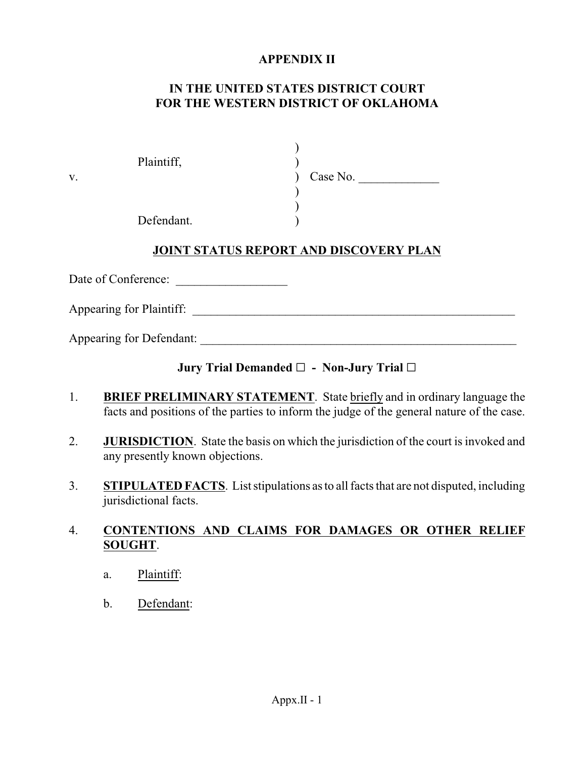# <span id="page-74-0"></span>**APPENDIX II**

# **IN THE UNITED STATES DISTRICT COURT FOR THE WESTERN DISTRICT OF OKLAHOMA**

|    | Plaintiff, |          |
|----|------------|----------|
| v. |            | Case No. |
|    |            |          |
|    |            |          |
|    | Defendant. |          |

# **JOINT STATUS REPORT AND DISCOVERY PLAN**

Date of Conference: \_\_\_\_\_\_\_\_\_\_\_\_\_\_\_\_\_\_

Appearing for Plaintiff: \_\_\_\_\_\_\_\_\_\_\_\_\_\_\_\_\_\_\_\_\_\_\_\_\_\_\_\_\_\_\_\_\_\_\_\_\_\_\_\_\_\_\_\_\_\_\_\_\_\_\_\_

Appearing for Defendant:

# **Jury Trial Demanded □ - Non-Jury Trial □**

- 1. **BRIEF PRELIMINARY STATEMENT**. State briefly and in ordinary language the facts and positions of the parties to inform the judge of the general nature of the case.
- 2. **JURISDICTION**. State the basis on which the jurisdiction of the court is invoked and any presently known objections.
- 3. **STIPULATED FACTS**. List stipulations as to all facts that are not disputed, including jurisdictional facts.

# 4. **CONTENTIONS AND CLAIMS FOR DAMAGES OR OTHER RELIEF SOUGHT**.

- a. Plaintiff:
- b. Defendant: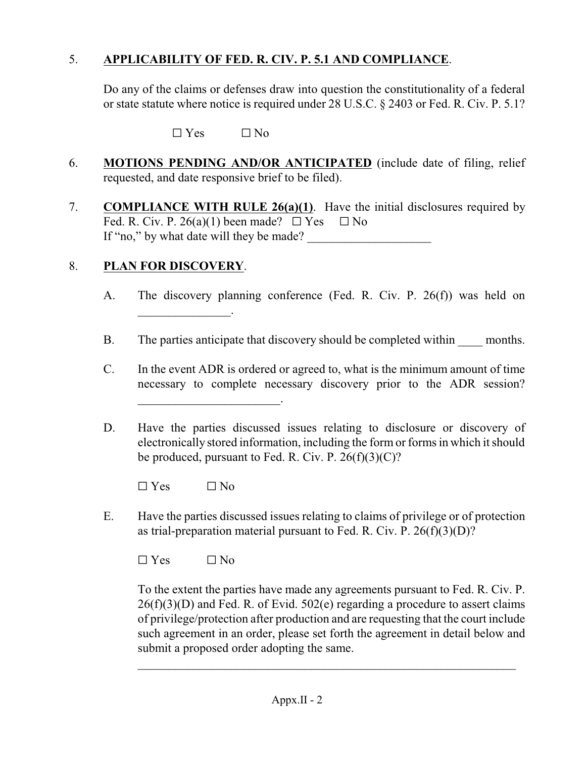# 5. **APPLICABILITY OF FED. R. CIV. P. 5.1 AND COMPLIANCE**.

Do any of the claims or defenses draw into question the constitutionality of a federal or state statute where notice is required under 28 U.S.C. § 2403 or Fed. R. Civ. P. 5.1?

 $\Box$  Yes  $\Box$  No

- 6. **MOTIONS PENDING AND/OR ANTICIPATED** (include date of filing, relief requested, and date responsive brief to be filed).
- 7. **COMPLIANCE WITH RULE 26(a)(1)**. Have the initial disclosures required by Fed. R. Civ. P. 26(a)(1) been made?  $\Box$  Yes  $\Box$  No If "no," by what date will they be made?

## 8. **PLAN FOR DISCOVERY**.

- A. The discovery planning conference (Fed. R. Civ. P. 26(f)) was held on  $\mathcal{L}_{\mathcal{L}}$
- B. The parties anticipate that discovery should be completed within months.
- C. In the event ADR is ordered or agreed to, what is the minimum amount of time necessary to complete necessary discovery prior to the ADR session?
- D. Have the parties discussed issues relating to disclosure or discovery of electronically stored information, including the form or forms in which it should be produced, pursuant to Fed. R. Civ. P.  $26(f)(3)(C)$ ?
	- $\Box$  Yes  $\Box$  No

\_\_\_\_\_\_\_\_\_\_\_\_\_\_\_\_\_\_\_\_\_\_\_.

E. Have the parties discussed issues relating to claims of privilege or of protection as trial-preparation material pursuant to Fed. R. Civ. P.  $26(f)(3)(D)$ ?

 $\Box$  Yes  $\Box$  No

To the extent the parties have made any agreements pursuant to Fed. R. Civ. P.  $26(f)(3)(D)$  and Fed. R. of Evid. 502(e) regarding a procedure to assert claims of privilege/protection after production and are requesting that the court include such agreement in an order, please set forth the agreement in detail below and submit a proposed order adopting the same.

 $\mathcal{L}_\text{max} = \mathcal{L}_\text{max} = \mathcal{L}_\text{max} = \mathcal{L}_\text{max} = \mathcal{L}_\text{max} = \mathcal{L}_\text{max} = \mathcal{L}_\text{max} = \mathcal{L}_\text{max} = \mathcal{L}_\text{max} = \mathcal{L}_\text{max} = \mathcal{L}_\text{max} = \mathcal{L}_\text{max} = \mathcal{L}_\text{max} = \mathcal{L}_\text{max} = \mathcal{L}_\text{max} = \mathcal{L}_\text{max} = \mathcal{L}_\text{max} = \mathcal{L}_\text{max} = \mathcal{$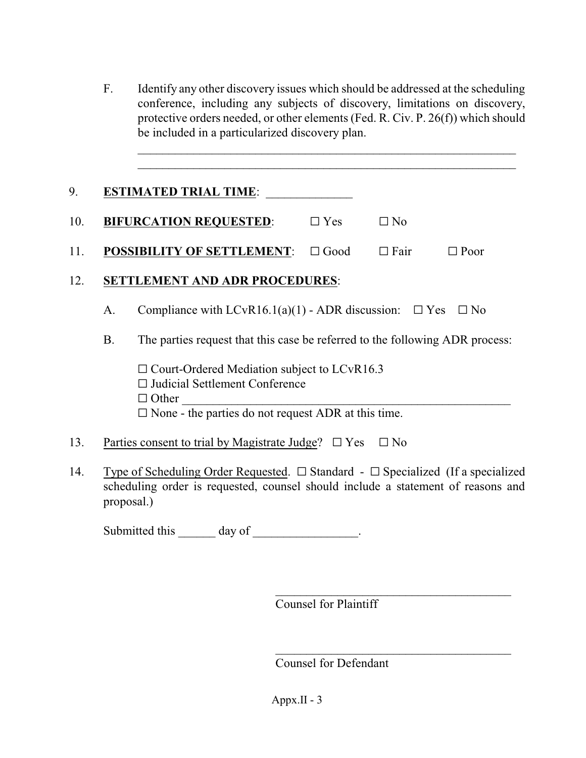F. Identify any other discovery issues which should be addressed at the scheduling conference, including any subjects of discovery, limitations on discovery, protective orders needed, or other elements (Fed. R. Civ. P. 26(f)) which should be included in a particularized discovery plan.

\_\_\_\_\_\_\_\_\_\_\_\_\_\_\_\_\_\_\_\_\_\_\_\_\_\_\_\_\_\_\_\_\_\_\_\_\_\_\_\_\_\_\_\_\_\_\_\_\_\_\_\_\_\_\_\_\_\_\_\_\_ \_\_\_\_\_\_\_\_\_\_\_\_\_\_\_\_\_\_\_\_\_\_\_\_\_\_\_\_\_\_\_\_\_\_\_\_\_\_\_\_\_\_\_\_\_\_\_\_\_\_\_\_\_\_\_\_\_\_\_\_\_

# 9. **ESTIMATED TRIAL TIME**:

- 10. **BIFURCATION REQUESTED:**  $\Box$  Yes  $\Box$  No
- 11. **POSSIBILITY OF SETTLEMENT**:  $\Box$  Good  $\Box$  Fair  $\Box$  Poor

## 12. **SETTLEMENT AND ADR PROCEDURES**:

- A. Compliance with  $LCvR16.1(a)(1)$  ADR discussion:  $\Box$  Yes  $\Box$  No
- B. The parties request that this case be referred to the following ADR process:

 $\Box$  Court-Ordered Mediation subject to LCvR16.3  $\Box$  Judicial Settlement Conference G Other \_\_\_\_\_\_\_\_\_\_\_\_\_\_\_\_\_\_\_\_\_\_\_\_\_\_\_\_\_\_\_\_\_\_\_\_\_\_\_\_\_\_\_\_\_\_\_\_\_\_\_\_\_  $\square$  None - the parties do not request ADR at this time.

- 13. Parties consent to trial by Magistrate Judge?  $\Box$  Yes  $\Box$  No
- 14. Type of Scheduling Order Requested.  $\Box$  Standard  $\Box$  Specialized (If a specialized scheduling order is requested, counsel should include a statement of reasons and proposal.)

Submitted this day of cases.

 $\mathcal{L}_\text{max}$  and  $\mathcal{L}_\text{max}$  and  $\mathcal{L}_\text{max}$  and  $\mathcal{L}_\text{max}$ Counsel for Plaintiff

Counsel for Defendant

 $\mathcal{L}_\text{max}$  and  $\mathcal{L}_\text{max}$  and  $\mathcal{L}_\text{max}$  and  $\mathcal{L}_\text{max}$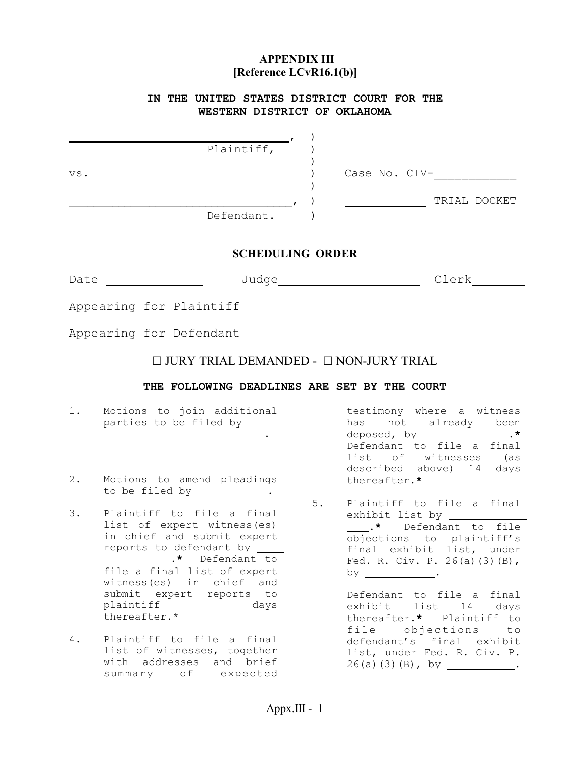#### <span id="page-77-0"></span>**APPENDIX III [Reference LCvR16.1(b)]**

#### **IN THE UNITED STATES DISTRICT COURT FOR THE WESTERN DISTRICT OF OKLAHOMA**

| Date | <b>SCHEDULING ORDER</b><br>Judge |               | Clerk        |
|------|----------------------------------|---------------|--------------|
| VS.  | Defendant.                       | Case No. CIV- | TRIAL DOCKET |
|      | Plaintiff,                       |               |              |

Appearing for Plaintiff

Appearing for Defendant

### $\Box$  JURY TRIAL DEMANDED -  $\Box$  NON-JURY TRIAL

#### **THE FOLLOWING DEADLINES ARE SET BY THE COURT**

- 1. Motions to join additional testimony where a witness parties to be filed by .
- 2. Motions to amend pleadings to be filed by \_\_\_\_\_\_\_\_\_.
- 3. Plaintiff to file a final list of expert witness(es) in chief and submit expert reports to defendant by **.\*** Defendant to file a final list of expert witness(es) in chief and submit expert reports to plaintiff \_\_\_\_\_\_\_\_\_\_\_\_\_\_ days thereafter.\*
- 4. Plaintiff to file a final list of witnesses, together with addresses and brief summary of expected

has not already been<br>deposed.bv \_\_\_\_\_\_.\* deposed, by **.\*** Defendant to file a final list of witnesses (as described above) 14 days thereafter.**\***

5. Plaintiff to file a final exhibit list by .**\*** Defendant to file objections to plaintiff's final exhibit list, under Fed. R. Civ. P. 26(a)(3)(B), by \_\_\_\_\_\_\_\_\_\_\_\_\_\_\_\_\_\_\_.

Defendant to file a final exhibit list 14 days thereafter.**\*** Plaintiff to file objections to defendant's final exhibit list, under Fed. R. Civ. P.  $26(a)(3)(B)$ , by \_\_\_\_\_\_\_\_\_\_\_.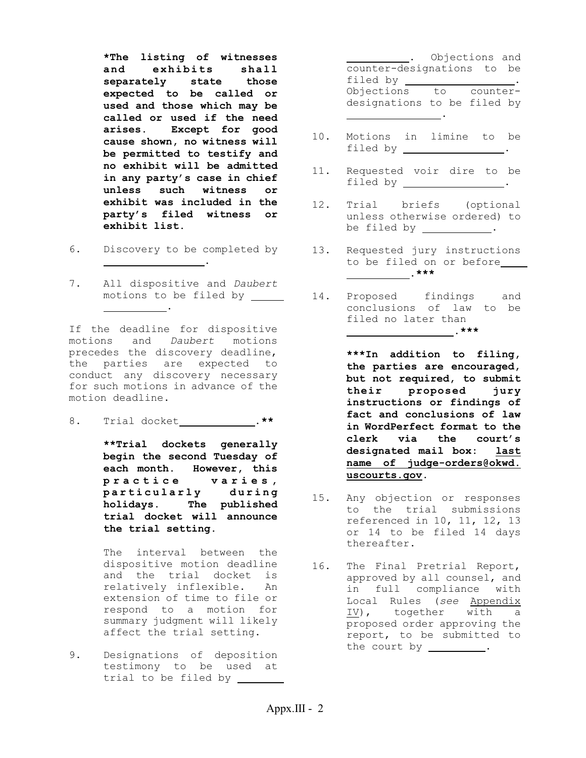**\*The listing of witnesses and exhibits shall separately state those expected to be called or used and those which may be called or used if the need arises. Except for good cause shown, no witness will be permitted to testify and no exhibit will be admitted in any party's case in chief unless such witness or exhibit was included in the party's filed witness or exhibit list.**

- 6. Discovery to be completed by .
- 7. All dispositive and *Daubert* motions to be filed by .

If the deadline for dispositive motions and *Daubert* motions precedes the discovery deadline, the parties are expected to conduct any discovery necessary for such motions in advance of the motion deadline.

8. Trial docket\_\_\_\_\_ **.\*\*** 

**\*\*Trial dockets generally begin the second Tuesday of each month. However, this p r a c t i c e v a r i e s , p a r t i c u l a r l y d u r i n g holidays. The published trial docket will announce the trial setting.**

The interval between the dispositive motion deadline and the trial docket is relatively inflexible. An extension of time to file or respond to a motion for summary judgment will likely affect the trial setting.

9. Designations of deposition testimony to be used at trial to be filed by \_\_\_\_\_\_\_\_

. Objections and counter-designations to be filed by . Objections to counterdesignations to be filed by .

- 10. Motions in limine to be filed by .
- 11. Requested voir dire to be filed by .
- 12. Trial briefs (optional unless otherwise ordered) to be filed by \_\_\_\_\_\_\_\_\_.
- 13. Requested jury instructions to be filed on or before .**\*\*\***
- 14. Proposed findings and conclusions of law to be filed no later than .**\*\*\***

**\*\*\*In addition to filing, the parties are encouraged, but not required, to submit their proposed jury instructions or findings of fact and conclusions of law in WordPerfect format to the clerk via the court's designated mail box: last name of judge-orders@okwd. uscourts.gov.**

- 15. Any objection or responses to the trial submissions referenced in 10, 11, 12, 13 or 14 to be filed 14 days thereafter.
- 16. The Final Pretrial Report, approved by all counsel, and in full compliance with Local Rules (*see* Appendix IV), together with a proposed order approving the report, to be submitted to the court by \_\_\_\_\_\_\_.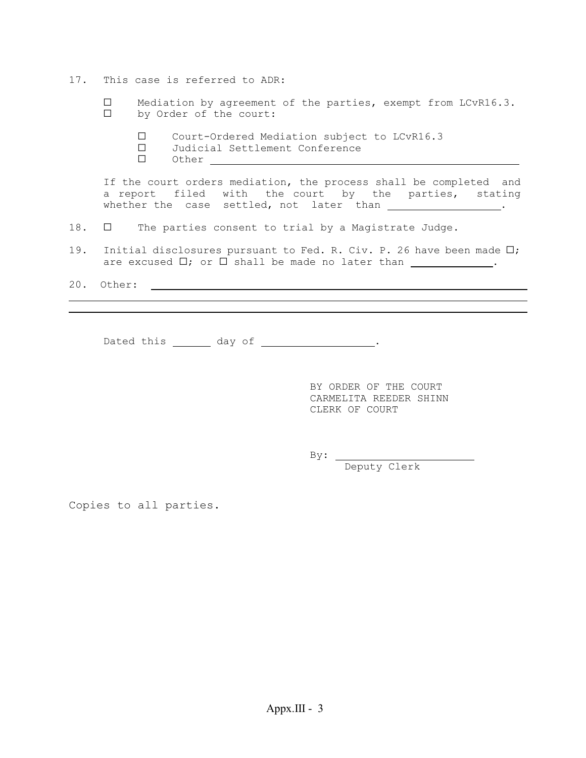17. This case is referred to ADR:

 $\square$  Mediation by agreement of the parties, exempt from LCvR16.3.<br>  $\square$  by Order of the court: by Order of the court:

- □ Court-Ordered Mediation subject to LCvR16.3<br>□ Judicial Settlement Conference
- Judicial Settlement Conference
- $\square$  Other  $\square$

If the court orders mediation, the process shall be completed and a report filed with the court by the parties, stating whether the case settled, not later than \_\_\_\_\_\_\_\_\_\_\_\_\_\_\_\_\_.

- 18.  $\Box$  The parties consent to trial by a Magistrate Judge.
- 19. Initial disclosures pursuant to Fed. R. Civ. P. 26 have been made  $\square$ ; are excused  $\Box$ ; or  $\Box$  shall be made no later than  $\Box$ .

20. Other:

i i

Dated this \_\_\_\_\_\_ day of \_\_\_\_\_\_\_\_\_\_\_\_\_\_\_\_\_.

BY ORDER OF THE COURT CARMELITA REEDER SHINN CLERK OF COURT

By:

Deputy Clerk

Copies to all parties.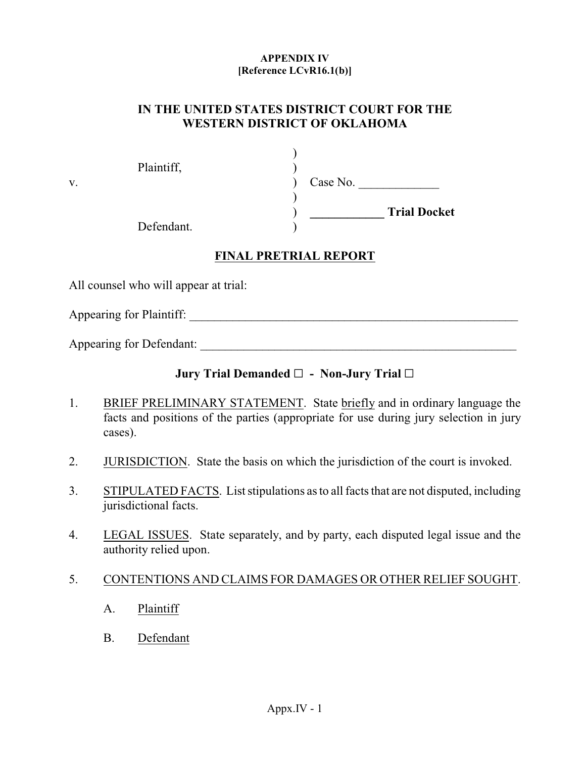#### <span id="page-80-0"></span>**APPENDIX IV [Reference LCvR16.1(b)]**

## **IN THE UNITED STATES DISTRICT COURT FOR THE WESTERN DISTRICT OF OKLAHOMA**

|    | Plaintiff, |                     |
|----|------------|---------------------|
| v. |            | Case No.            |
|    |            |                     |
|    |            | <b>Trial Docket</b> |
|    | Defendant. |                     |

# **FINAL PRETRIAL REPORT**

All counsel who will appear at trial:

Appearing for Plaintiff:

Appearing for Defendant: \_\_\_\_\_\_\_\_\_\_\_\_\_\_\_\_\_\_\_\_\_\_\_\_\_\_\_\_\_\_\_\_\_\_\_\_\_\_\_\_\_\_\_\_\_\_\_\_\_\_\_

# **Jury Trial Demanded □ - Non-Jury Trial □**

- 1. BRIEF PRELIMINARY STATEMENT. State briefly and in ordinary language the facts and positions of the parties (appropriate for use during jury selection in jury cases).
- 2. JURISDICTION. State the basis on which the jurisdiction of the court is invoked.
- 3. STIPULATED FACTS. List stipulations as to all facts that are not disputed, including jurisdictional facts.
- 4. LEGAL ISSUES. State separately, and by party, each disputed legal issue and the authority relied upon.

## 5. CONTENTIONS AND CLAIMS FOR DAMAGES OR OTHER RELIEF SOUGHT.

- A. Plaintiff
- B. Defendant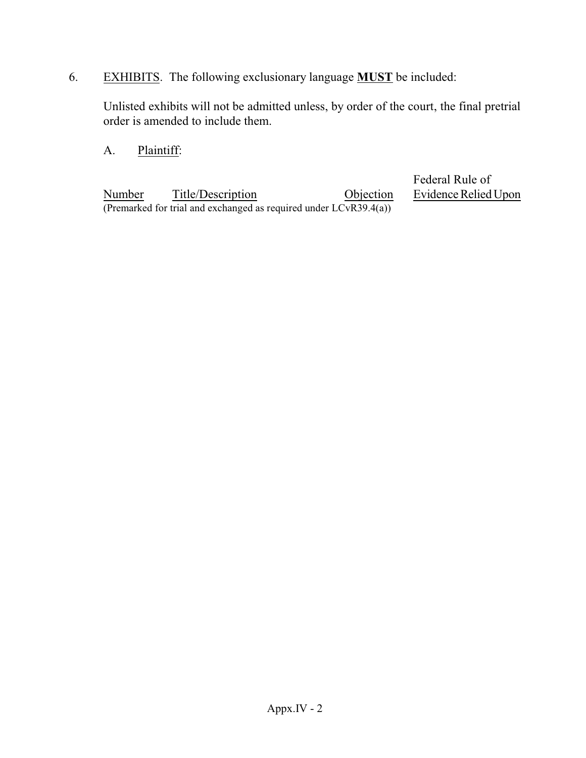6. EXHIBITS. The following exclusionary language **MUST** be included:

Unlisted exhibits will not be admitted unless, by order of the court, the final pretrial order is amended to include them.

A. Plaintiff:

Number Title/Description Objection Evidence Relied Upon (Premarked for trial and exchanged as required under  $LCvR39.4(a)$ )

Federal Rule of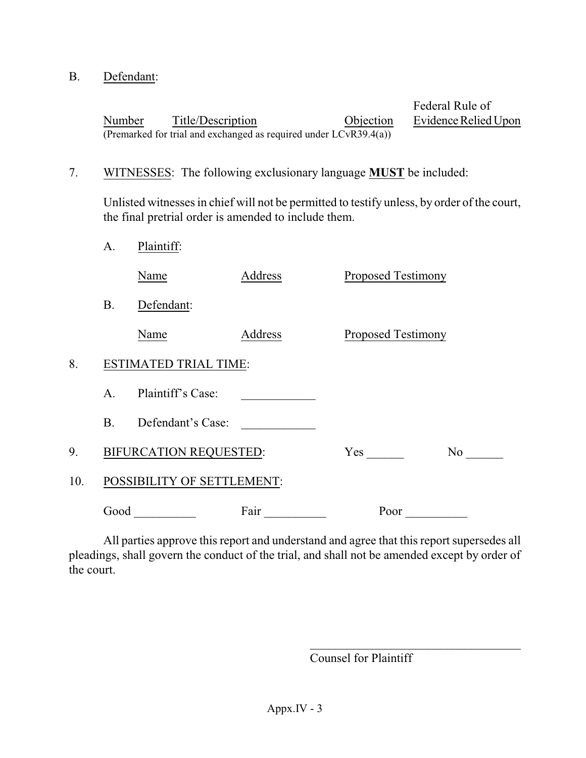B. Defendant:

Federal Rule of Number Title/Description Objection Evidence Relied Upon (Premarked for trial and exchanged as required under LCvR39.4(a))

## 7. WITNESSES: The following exclusionary language **MUST** be included:

Unlisted witnesses in chief will not be permitted to testify unless, by order of the court, the final pretrial order is amended to include them.

A. Plaintiff:

|     |           | Name                         | Address | <b>Proposed Testimony</b> |                |
|-----|-----------|------------------------------|---------|---------------------------|----------------|
|     | <b>B.</b> | Defendant:                   |         |                           |                |
|     |           | Name                         | Address | <b>Proposed Testimony</b> |                |
| 8.  |           | <b>ESTIMATED TRIAL TIME:</b> |         |                           |                |
|     | A.        | Plaintiff's Case:            |         |                           |                |
|     | <b>B.</b> | Defendant's Case:            |         |                           |                |
| 9.  |           | BIFURCATION REQUESTED:       |         | $Yes \t —$                | N <sub>0</sub> |
| 10. |           | POSSIBILITY OF SETTLEMENT:   |         |                           |                |
|     | Good      |                              | Fair    | Poor                      |                |

All parties approve this report and understand and agree that this report supersedes all pleadings, shall govern the conduct of the trial, and shall not be amended except by order of the court.

Counsel for Plaintiff

 $\mathcal{L}_\text{max}$  and  $\mathcal{L}_\text{max}$  and  $\mathcal{L}_\text{max}$  and  $\mathcal{L}_\text{max}$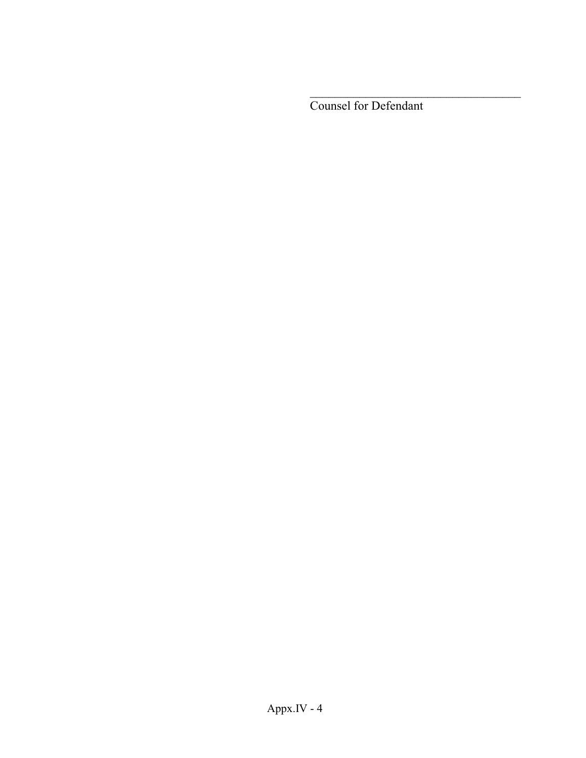Counsel for Defendant

 $\mathcal{L}_\text{max}$  , where  $\mathcal{L}_\text{max}$  and  $\mathcal{L}_\text{max}$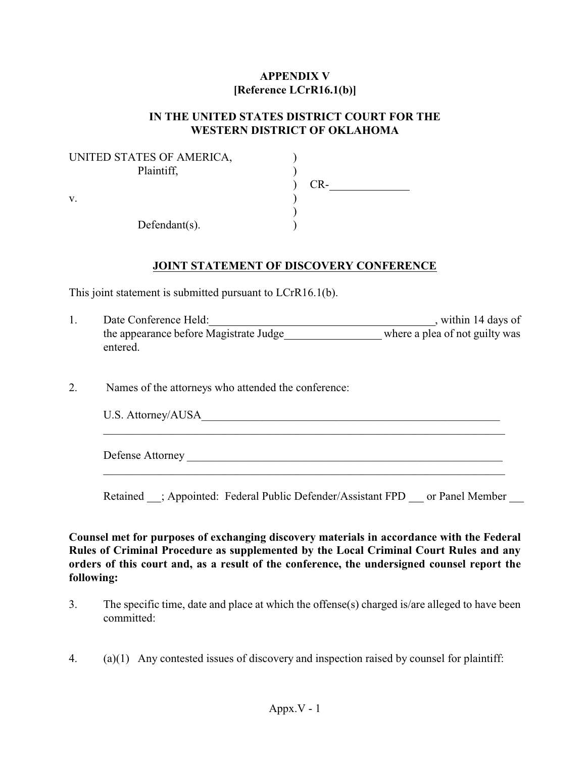## <span id="page-84-0"></span>**APPENDIX V [Reference LCrR16.1(b)]**

#### **IN THE UNITED STATES DISTRICT COURT FOR THE WESTERN DISTRICT OF OKLAHOMA**

| UNITED STATES OF AMERICA, |     |
|---------------------------|-----|
| Plaintiff,                |     |
|                           | CR- |
| V.                        |     |
|                           |     |
| Defendant $(s)$ .         |     |

#### **JOINT STATEMENT OF DISCOVERY CONFERENCE**

This joint statement is submitted pursuant to LCrR16.1(b).

| Date Conference Held:                  | , within 14 days of            |
|----------------------------------------|--------------------------------|
| the appearance before Magistrate Judge | where a plea of not guilty was |
| entered.                               |                                |

2. Names of the attorneys who attended the conference:

| U.S. Attorney/AUSA |  |
|--------------------|--|
|                    |  |

Defense Attorney \_\_\_\_\_\_\_\_\_\_\_\_\_\_\_\_\_\_\_\_\_\_\_\_\_\_\_\_\_\_\_\_\_\_\_\_\_\_\_\_\_\_\_\_\_\_\_\_\_\_\_\_\_\_\_

Retained \_; Appointed: Federal Public Defender/Assistant FPD \_\_ or Panel Member \_\_

**Counsel met for purposes of exchanging discovery materials in accordance with the Federal Rules of Criminal Procedure as supplemented by the Local Criminal Court Rules and any orders of this court and, as a result of the conference, the undersigned counsel report the following:**

- 3. The specific time, date and place at which the offense(s) charged is/are alleged to have been committed:
- 4. (a)(1) Any contested issues of discovery and inspection raised by counsel for plaintiff: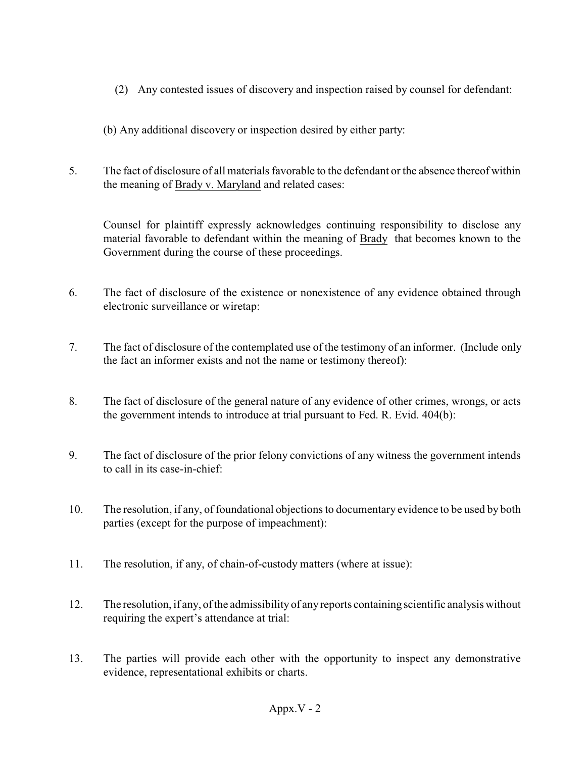- (2) Any contested issues of discovery and inspection raised by counsel for defendant:
- (b) Any additional discovery or inspection desired by either party:
- 5. The fact of disclosure of all materials favorable to the defendant or the absence thereof within the meaning of Brady v. Maryland and related cases:

Counsel for plaintiff expressly acknowledges continuing responsibility to disclose any material favorable to defendant within the meaning of Brady that becomes known to the Government during the course of these proceedings.

- 6. The fact of disclosure of the existence or nonexistence of any evidence obtained through electronic surveillance or wiretap:
- 7. The fact of disclosure of the contemplated use of the testimony of an informer. (Include only the fact an informer exists and not the name or testimony thereof):
- 8. The fact of disclosure of the general nature of any evidence of other crimes, wrongs, or acts the government intends to introduce at trial pursuant to Fed. R. Evid. 404(b):
- 9. The fact of disclosure of the prior felony convictions of any witness the government intends to call in its case-in-chief:
- 10. The resolution, if any, of foundational objections to documentary evidence to be used by both parties (except for the purpose of impeachment):
- 11. The resolution, if any, of chain-of-custody matters (where at issue):
- 12. The resolution, if any, of the admissibility of anyreports containing scientific analysis without requiring the expert's attendance at trial:
- 13. The parties will provide each other with the opportunity to inspect any demonstrative evidence, representational exhibits or charts.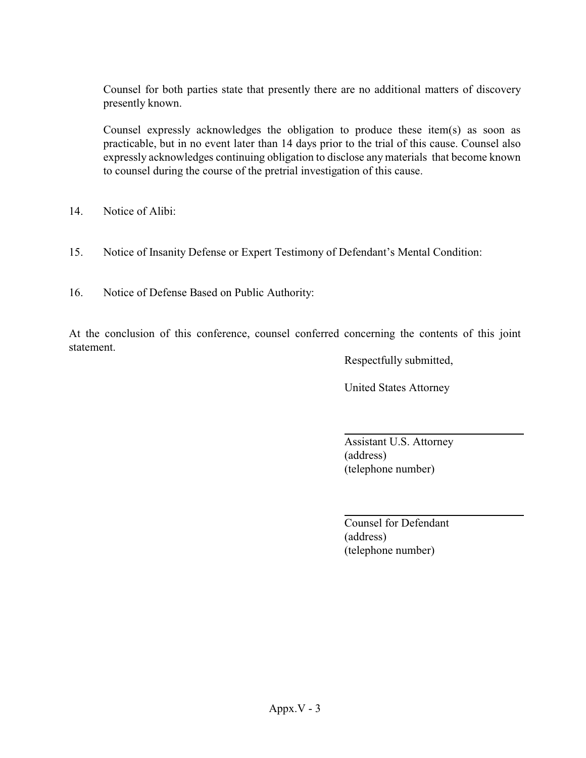Counsel for both parties state that presently there are no additional matters of discovery presently known.

Counsel expressly acknowledges the obligation to produce these item(s) as soon as practicable, but in no event later than 14 days prior to the trial of this cause. Counsel also expressly acknowledges continuing obligation to disclose any materials that become known to counsel during the course of the pretrial investigation of this cause.

- 14. Notice of Alibi:
- 15. Notice of Insanity Defense or Expert Testimony of Defendant's Mental Condition:
- 16. Notice of Defense Based on Public Authority:

At the conclusion of this conference, counsel conferred concerning the contents of this joint statement.

Respectfully submitted,

United States Attorney

Assistant U.S. Attorney (address) (telephone number)

l

 $\overline{a}$ 

Counsel for Defendant (address) (telephone number)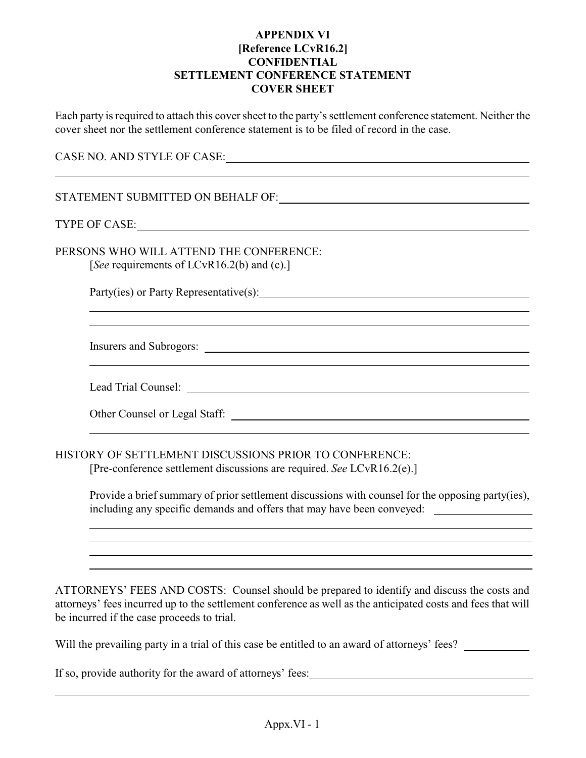#### **APPENDIX VI [Reference LCvR16.2] CONFIDENTIAL SETTLEMENT CONFERENCE STATEMENT COVER SHEET**

Each party is required to attach this cover sheet to the party's settlement conference statement. Neither the cover sheet nor the settlement conference statement is to be filed of record in the case.

| CASE NO. AND STYLE OF CASE: University of the STYLE OF CASE And All Contracts and All Contracts of the STYLE OF CASE:                                                                                                            |
|----------------------------------------------------------------------------------------------------------------------------------------------------------------------------------------------------------------------------------|
|                                                                                                                                                                                                                                  |
| STATEMENT SUBMITTED ON BEHALF OF: University of the STATEMENT SUBMITTED ON BEHALF OF:                                                                                                                                            |
| TYPE OF CASE: New York CASE And The CASE And The CASE And The CASE And The CASE And The CASE And The CASE And The CASE And The CASE And The CASE And The CASE And The CASE And The CASE And The CASE And The CASE And The CASE   |
| PERSONS WHO WILL ATTEND THE CONFERENCE:<br>[See requirements of LCvR16.2(b) and (c).]                                                                                                                                            |
|                                                                                                                                                                                                                                  |
|                                                                                                                                                                                                                                  |
| Insurers and Subrogors: <u>and Subrogors:</u> and Subrogors: <b>and Subrogors:</b> and Subrogors: <b>and Subrogors: and Subrogors: and Subrogors: and Subrogors: and Subrogors: and Subrogors: and Subrogors: and Subrogors:</b> |
| Lead Trial Counsel: New York 1988. The Counsel of the Counsel of the Counsel of the Counsel of the Counsel of the Counsel of the Counsel of the Counsel of the Counsel of the Counsel of the Counsel of the Counsel of the Cou   |
|                                                                                                                                                                                                                                  |
| HISTORY OF SETTLEMENT DISCUSSIONS PRIOR TO CONFERENCE:<br>[Pre-conference settlement discussions are required. See LCvR16.2(e).]                                                                                                 |

Provide a brief summary of prior settlement discussions with counsel for the opposing party(ies), including any specific demands and offers that may have been conveyed:

ATTORNEYS' FEES AND COSTS: Counsel should be prepared to identify and discuss the costs and attorneys' fees incurred up to the settlement conference as well as the anticipated costs and fees that will be incurred if the case proceeds to trial.

Will the prevailing party in a trial of this case be entitled to an award of attorneys' fees?

If so, provide authority for the award of attorneys' fees:

l l l  $\overline{a}$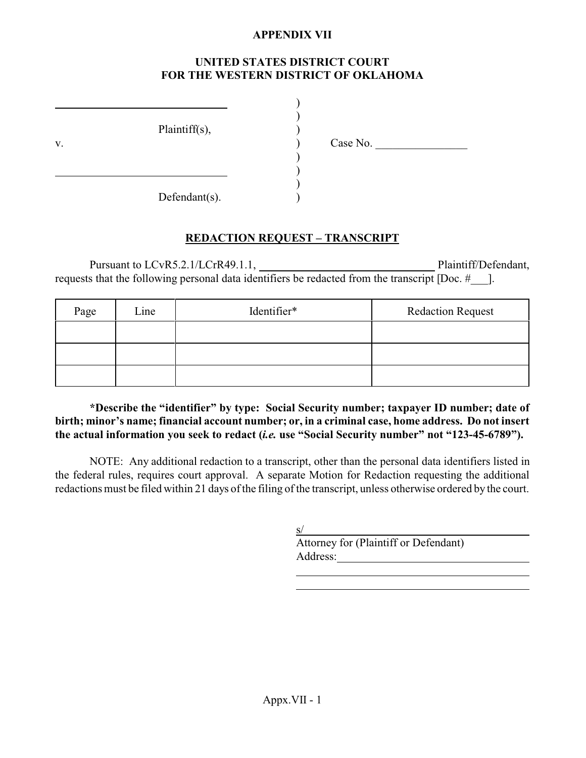#### **APPENDIX VII**

#### **UNITED STATES DISTRICT COURT FOR THE WESTERN DISTRICT OF OKLAHOMA**

| V. | Plaintiff(s),     | Case No. |
|----|-------------------|----------|
|    | Defendant $(s)$ . |          |

#### **REDACTION REQUEST – TRANSCRIPT**

Pursuant to LCvR5.2.1/LCrR49.1.1, Plaintiff/Defendant, requests that the following personal data identifiers be redacted from the transcript [Doc. #\_\_\_].

| Page | Line | Identifier* | <b>Redaction Request</b> |
|------|------|-------------|--------------------------|
|      |      |             |                          |
|      |      |             |                          |
|      |      |             |                          |

**\*Describe the "identifier" by type: Social Security number; taxpayer ID number; date of birth; minor's name; financial account number; or, in a criminal case, home address. Do not insert the actual information you seek to redact (***i.e.* **use "Social Security number" not "123-45-6789").**

NOTE: Any additional redaction to a transcript, other than the personal data identifiers listed in the federal rules, requires court approval. A separate Motion for Redaction requesting the additional redactions must be filed within 21 days of the filing of the transcript, unless otherwise ordered by the court.

 $s/$ 

Attorney for (Plaintiff or Defendant) Address: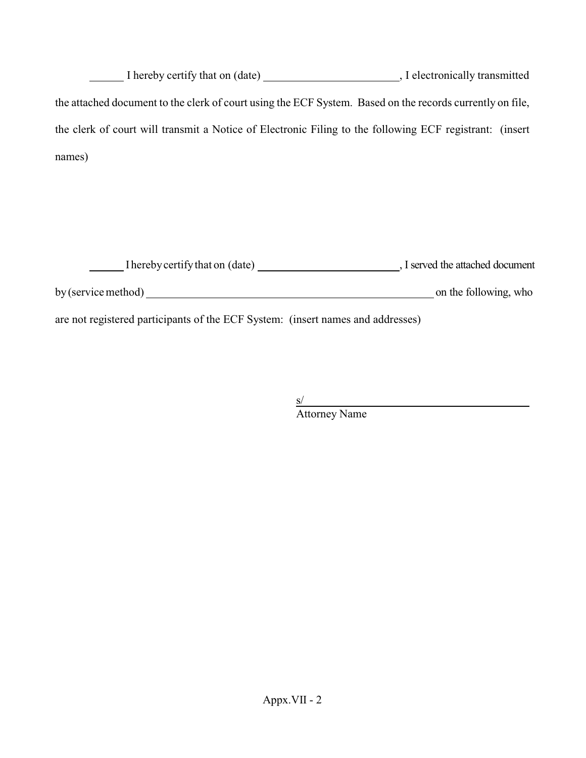I hereby certify that on (date) Same School (date) Separate Left and Theorem 2011, I electronically transmitted the attached document to the clerk of court using the ECF System. Based on the records currently on file, the clerk of court will transmit a Notice of Electronic Filing to the following ECF registrant: (insert names)

| I hereby certify that on (date) | I served the attached document |
|---------------------------------|--------------------------------|
| by (service method)             | on the following, who          |
|                                 |                                |

are not registered participants of the ECF System: (insert names and addresses)

 $s/$ Attorney Name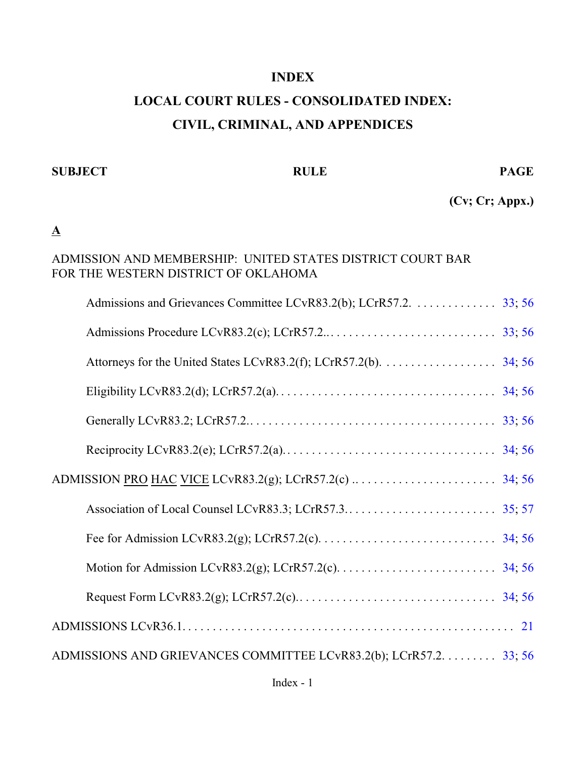## **INDEX**

# **LOCAL COURT RULES - CONSOLIDATED INDEX: CIVIL, CRIMINAL, AND APPENDICES**

# **SUBJECT RULE PAGE**

**(Cv; Cr; Appx.)**

**A**

# ADMISSION AND MEMBERSHIP: UNITED STATES DISTRICT COURT BAR FOR THE WESTERN DISTRICT OF OKLAHOMA

| Admissions and Grievances Committee LCvR83.2(b); LCrR57.2. 33; 56 |  |
|-------------------------------------------------------------------|--|
|                                                                   |  |
|                                                                   |  |
|                                                                   |  |
|                                                                   |  |
|                                                                   |  |
|                                                                   |  |
|                                                                   |  |
|                                                                   |  |
|                                                                   |  |
|                                                                   |  |
|                                                                   |  |
| ADMISSIONS AND GRIEVANCES COMMITTEE LCvR83.2(b); LCrR57.2. 33; 56 |  |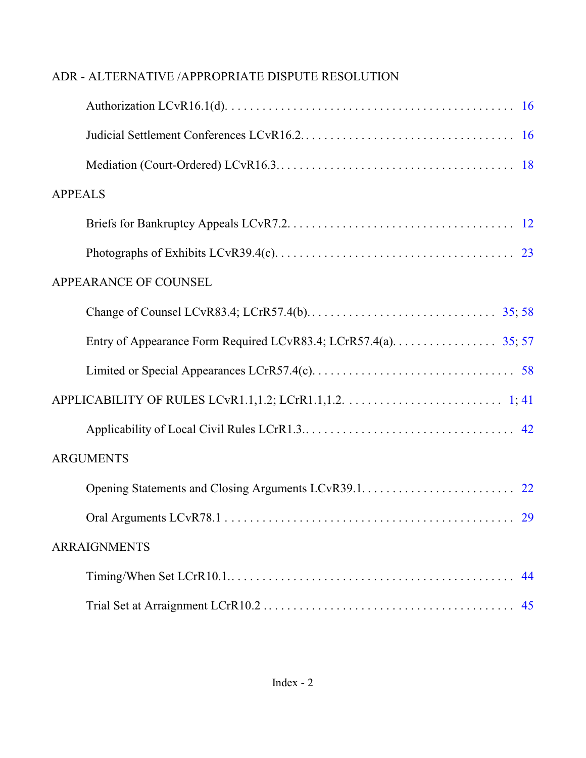| ADR - ALTERNATIVE / APPROPRIATE DISPUTE RESOLUTION              |
|-----------------------------------------------------------------|
|                                                                 |
|                                                                 |
|                                                                 |
| <b>APPEALS</b>                                                  |
|                                                                 |
|                                                                 |
| APPEARANCE OF COUNSEL                                           |
|                                                                 |
| Entry of Appearance Form Required LCvR83.4; LCrR57.4(a). 35; 57 |
|                                                                 |
|                                                                 |
|                                                                 |
| <b>ARGUMENTS</b>                                                |
|                                                                 |
|                                                                 |
| <b>ARRAIGNMENTS</b>                                             |
| 44                                                              |
|                                                                 |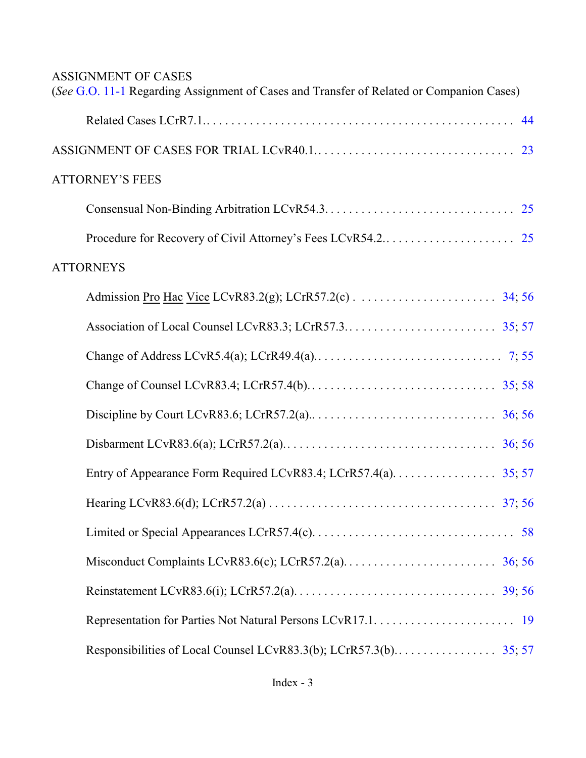| <b>ASSIGNMENT OF CASES</b><br>(See G.O. 11-1 Regarding Assignment of Cases and Transfer of Related or Companion Cases) |
|------------------------------------------------------------------------------------------------------------------------|
|                                                                                                                        |
|                                                                                                                        |
| <b>ATTORNEY'S FEES</b>                                                                                                 |
|                                                                                                                        |
|                                                                                                                        |
| <b>ATTORNEYS</b>                                                                                                       |
|                                                                                                                        |
|                                                                                                                        |
|                                                                                                                        |
|                                                                                                                        |
|                                                                                                                        |
|                                                                                                                        |
|                                                                                                                        |
|                                                                                                                        |
|                                                                                                                        |
|                                                                                                                        |
|                                                                                                                        |
|                                                                                                                        |
|                                                                                                                        |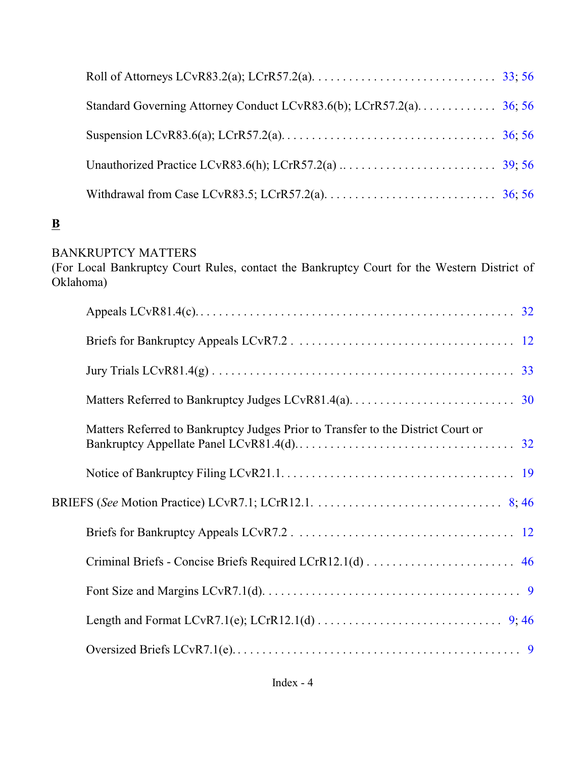# **B**

## BANKRUPTCY MATTERS

(For Local Bankruptcy Court Rules, contact the Bankruptcy Court for the Western District of Oklahoma)

| Jury Trials LCvR81.4(g) $\ldots$ $\ldots$ $\ldots$ $\ldots$ $\ldots$ $\ldots$ $\ldots$ $\ldots$ $\ldots$ $\ldots$ $\ldots$ $\ldots$ $\ldots$ 33 |  |
|-------------------------------------------------------------------------------------------------------------------------------------------------|--|
|                                                                                                                                                 |  |
| Matters Referred to Bankruptcy Judges Prior to Transfer to the District Court or                                                                |  |
|                                                                                                                                                 |  |
|                                                                                                                                                 |  |
|                                                                                                                                                 |  |
|                                                                                                                                                 |  |
|                                                                                                                                                 |  |
|                                                                                                                                                 |  |
|                                                                                                                                                 |  |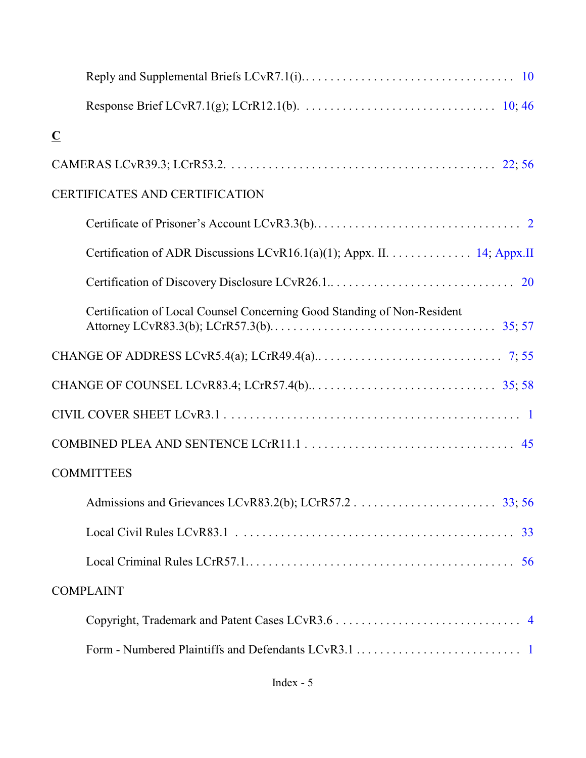| $\underline{\mathbf{C}}$                                                |
|-------------------------------------------------------------------------|
|                                                                         |
| <b>CERTIFICATES AND CERTIFICATION</b>                                   |
|                                                                         |
| Certification of ADR Discussions LCvR16.1(a)(1); Appx. II. 14; Appx. II |
|                                                                         |
| Certification of Local Counsel Concerning Good Standing of Non-Resident |
|                                                                         |
|                                                                         |
|                                                                         |
|                                                                         |
| <b>COMMITTEES</b>                                                       |
|                                                                         |
|                                                                         |
|                                                                         |
| <b>COMPLAINT</b>                                                        |
|                                                                         |
|                                                                         |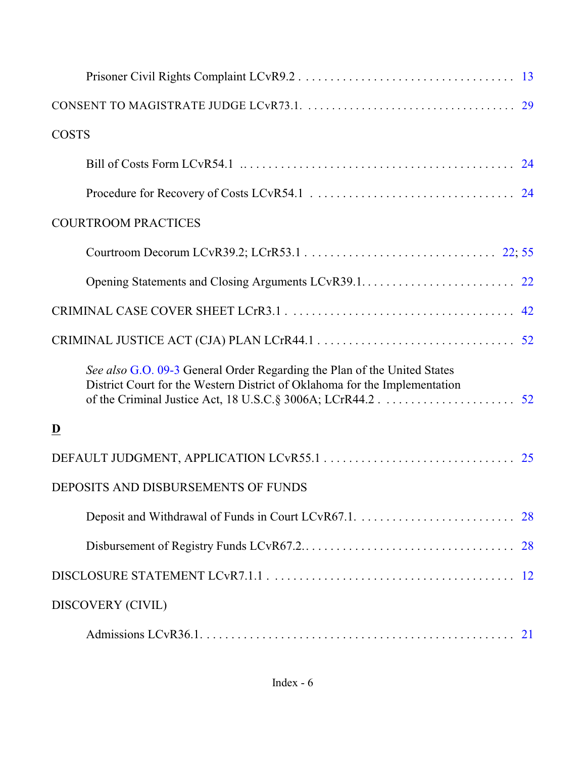| <b>COSTS</b>                                                                                                                                           |
|--------------------------------------------------------------------------------------------------------------------------------------------------------|
|                                                                                                                                                        |
|                                                                                                                                                        |
| <b>COURTROOM PRACTICES</b>                                                                                                                             |
|                                                                                                                                                        |
|                                                                                                                                                        |
|                                                                                                                                                        |
|                                                                                                                                                        |
| See also G.O. 09-3 General Order Regarding the Plan of the United States<br>District Court for the Western District of Oklahoma for the Implementation |
| $\underline{\mathbf{D}}$                                                                                                                               |
|                                                                                                                                                        |
| DEPOSITS AND DISBURSEMENTS OF FUNDS                                                                                                                    |
| Deposit and Withdrawal of Funds in Court LCvR67.1.<br>28                                                                                               |
| 28                                                                                                                                                     |
|                                                                                                                                                        |
| DISCOVERY (CIVIL)                                                                                                                                      |
|                                                                                                                                                        |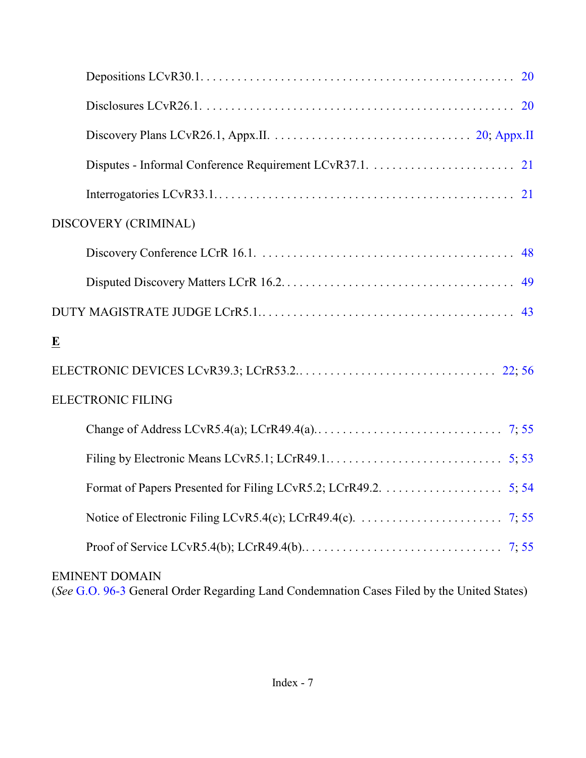| Discovery Plans LCvR26.1, Appx.II. $\dots \dots \dots \dots \dots \dots \dots \dots \dots \dots \dots \dots \dots \dots \dots \dots$ |
|--------------------------------------------------------------------------------------------------------------------------------------|
|                                                                                                                                      |
|                                                                                                                                      |
| DISCOVERY (CRIMINAL)                                                                                                                 |
|                                                                                                                                      |
|                                                                                                                                      |
|                                                                                                                                      |
| $\overline{\mathbf{E}}$                                                                                                              |
|                                                                                                                                      |
| <b>ELECTRONIC FILING</b>                                                                                                             |
|                                                                                                                                      |
|                                                                                                                                      |
|                                                                                                                                      |
|                                                                                                                                      |
|                                                                                                                                      |
| <b>EMINENT DOMAIN</b><br>(See G.O. 96-3 General Order Regarding Land Condemnation Cases Filed by the United States)                  |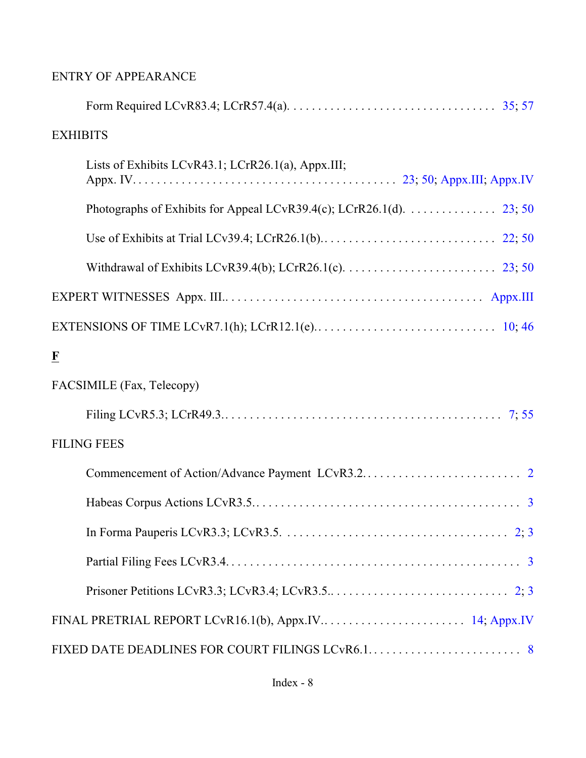# ENTRY OF APPEARANCE

|           | <b>EXHIBITS</b>                                                     |
|-----------|---------------------------------------------------------------------|
|           | Lists of Exhibits LCvR43.1; LCrR26.1(a), Appx.III;                  |
|           | Photographs of Exhibits for Appeal LCvR39.4(c); LCrR26.1(d). 23; 50 |
|           |                                                                     |
|           |                                                                     |
|           |                                                                     |
|           |                                                                     |
| ${\bf F}$ |                                                                     |
|           | FACSIMILE (Fax, Telecopy)                                           |
|           |                                                                     |
|           | <b>FILING FEES</b>                                                  |
|           |                                                                     |
|           |                                                                     |
|           |                                                                     |
|           |                                                                     |
|           |                                                                     |
|           |                                                                     |
|           |                                                                     |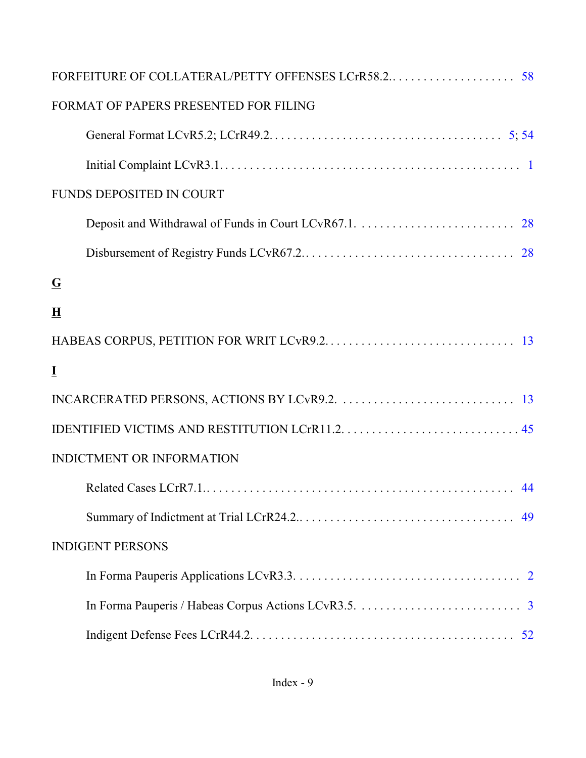| FORMAT OF PAPERS PRESENTED FOR FILING |
|---------------------------------------|
|                                       |
|                                       |
| <b>FUNDS DEPOSITED IN COURT</b>       |
|                                       |
|                                       |
| $\overline{G}$                        |
| $\mathbf H$                           |
|                                       |
| $\bf{I}$                              |
|                                       |
|                                       |
| <b>INDICTMENT OR INFORMATION</b>      |
|                                       |
| 49                                    |
| <b>INDIGENT PERSONS</b>               |
|                                       |
|                                       |
|                                       |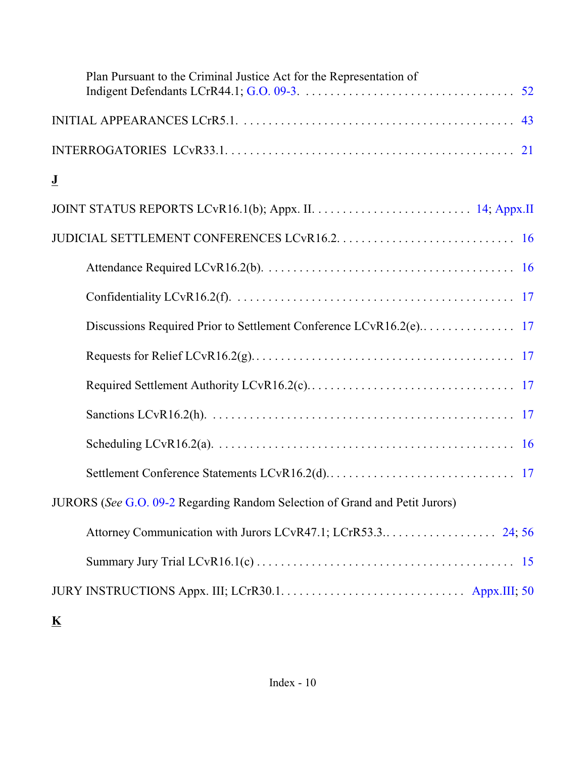<span id="page-99-0"></span>

| Plan Pursuant to the Criminal Justice Act for the Representation of         |
|-----------------------------------------------------------------------------|
|                                                                             |
|                                                                             |
| $\overline{\mathbf{I}}$                                                     |
|                                                                             |
|                                                                             |
|                                                                             |
|                                                                             |
|                                                                             |
|                                                                             |
|                                                                             |
|                                                                             |
|                                                                             |
|                                                                             |
| JURORS (See G.O. 09-2 Regarding Random Selection of Grand and Petit Jurors) |
|                                                                             |
|                                                                             |
|                                                                             |
| $\overline{\mathbf{K}}$                                                     |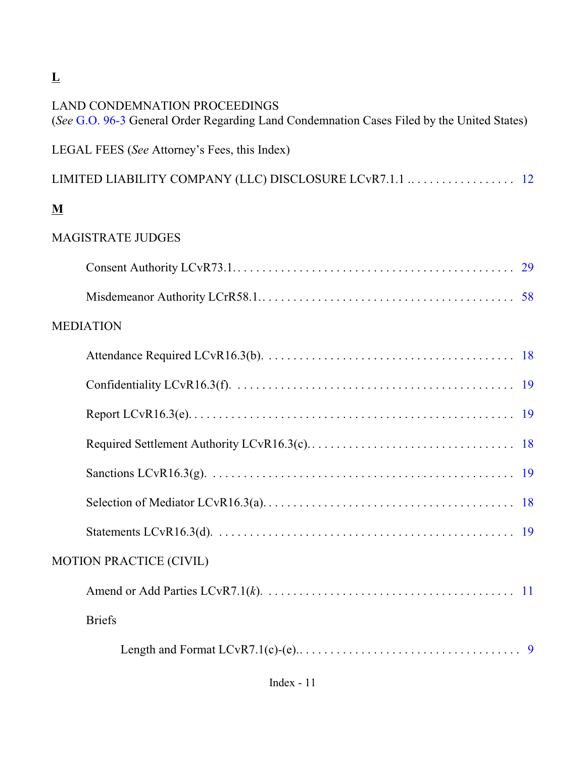# **L**

# LAND CONDEMNATION PROCEEDINGS

(*See* [G.O. 96-3](http://www.okwd.uscourts.gov/files/genorders/genord96-3.pdf) General Order Regarding Land Condemnation Cases Filed by the United States)

LEGAL FEES (*See* Attorney's Fees, this Index)

# **M**

# MAGISTRATE JUDGES

| <b>MEDIATION</b>                                                                                                                     |  |
|--------------------------------------------------------------------------------------------------------------------------------------|--|
|                                                                                                                                      |  |
|                                                                                                                                      |  |
| Report LCvR16.3(e). $\ldots$ . $\ldots$ . $\ldots$ . $\ldots$ . $\ldots$ . $\ldots$ . $\ldots$ . $\ldots$ . $\ldots$ . $\ldots$ . 19 |  |
|                                                                                                                                      |  |
|                                                                                                                                      |  |
|                                                                                                                                      |  |
|                                                                                                                                      |  |
| <b>MOTION PRACTICE (CIVIL)</b>                                                                                                       |  |
|                                                                                                                                      |  |
| <b>Briefs</b>                                                                                                                        |  |
|                                                                                                                                      |  |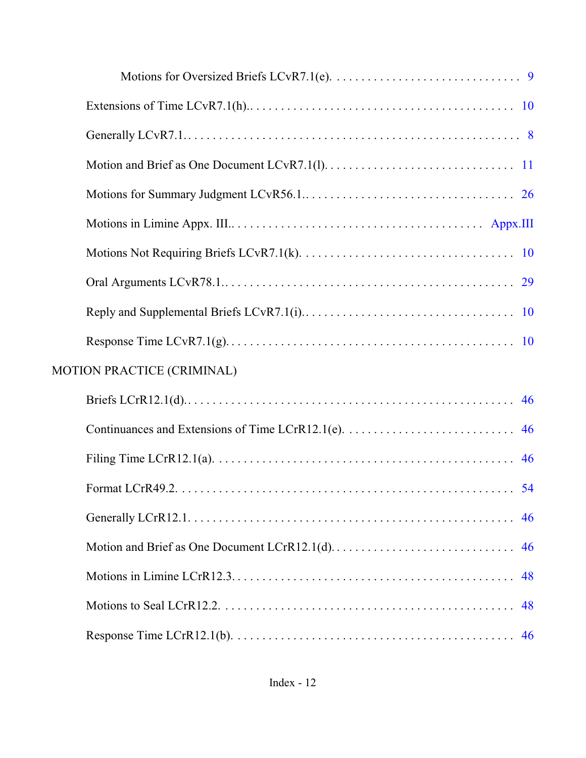<span id="page-101-0"></span>

| MOTION PRACTICE (CRIMINAL) |                                                                                                                              |    |  |
|----------------------------|------------------------------------------------------------------------------------------------------------------------------|----|--|
|                            |                                                                                                                              |    |  |
|                            |                                                                                                                              |    |  |
|                            |                                                                                                                              |    |  |
|                            |                                                                                                                              |    |  |
|                            |                                                                                                                              | 46 |  |
|                            |                                                                                                                              | 46 |  |
|                            |                                                                                                                              | 48 |  |
|                            |                                                                                                                              | 48 |  |
|                            | Response Time LCrR12.1(b). $\dots \dots \dots \dots \dots \dots \dots \dots \dots \dots \dots \dots \dots \dots \dots \dots$ | 46 |  |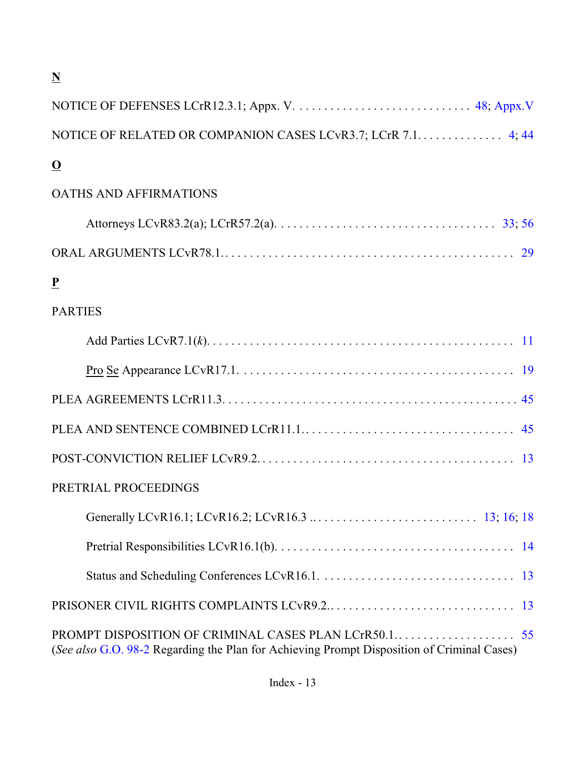# **N**

| NOTICE OF RELATED OR COMPANION CASES LCvR3.7; LCrR 7.1. 4; 44                              |  |  |
|--------------------------------------------------------------------------------------------|--|--|
| $\overline{\mathbf{O}}$                                                                    |  |  |
| OATHS AND AFFIRMATIONS                                                                     |  |  |
|                                                                                            |  |  |
|                                                                                            |  |  |
| $\underline{\mathbf{P}}$                                                                   |  |  |
| <b>PARTIES</b>                                                                             |  |  |
|                                                                                            |  |  |
|                                                                                            |  |  |
|                                                                                            |  |  |
|                                                                                            |  |  |
|                                                                                            |  |  |
| PRETRIAL PROCEEDINGS                                                                       |  |  |
|                                                                                            |  |  |
|                                                                                            |  |  |
|                                                                                            |  |  |
|                                                                                            |  |  |
| (See also G.O. 98-2 Regarding the Plan for Achieving Prompt Disposition of Criminal Cases) |  |  |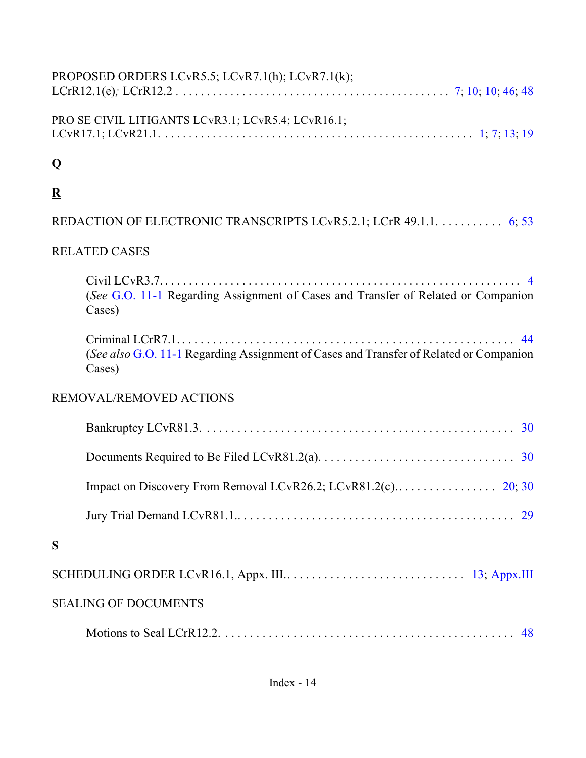| PROPOSED ORDERS LCvR5.5; LCvR7.1(h); LCvR7.1(k);                                                 |
|--------------------------------------------------------------------------------------------------|
| PRO SE CIVIL LITIGANTS LCvR3.1; LCvR5.4; LCvR16.1;                                               |
| $\overline{\mathbf{Q}}$                                                                          |
| $\underline{\mathbf{R}}$                                                                         |
| REDACTION OF ELECTRONIC TRANSCRIPTS LCvR5.2.1; LCrR 49.1.1. 6; 53                                |
| <b>RELATED CASES</b>                                                                             |
| (See G.O. 11-1 Regarding Assignment of Cases and Transfer of Related or Companion<br>Cases)      |
| (See also G.O. 11-1 Regarding Assignment of Cases and Transfer of Related or Companion<br>Cases) |
| <b>REMOVAL/REMOVED ACTIONS</b>                                                                   |
|                                                                                                  |
|                                                                                                  |
|                                                                                                  |
|                                                                                                  |
| S                                                                                                |
|                                                                                                  |
| <b>SEALING OF DOCUMENTS</b>                                                                      |
| 48                                                                                               |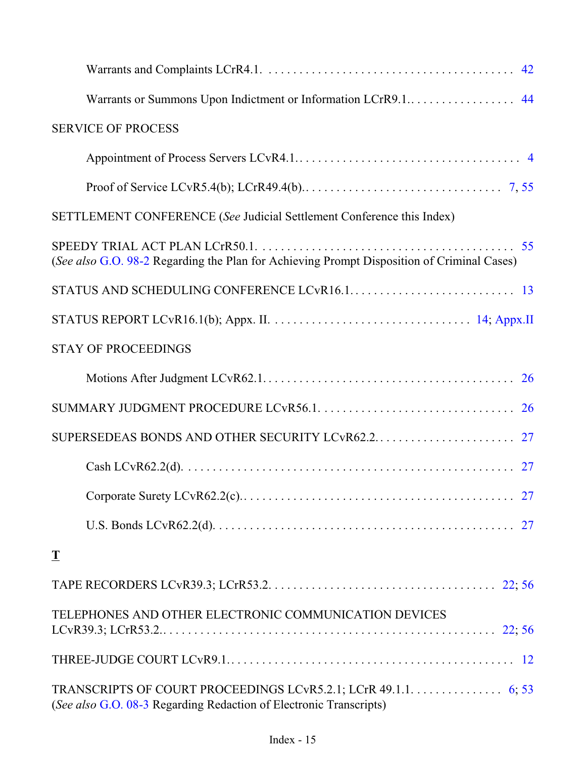| Warrants or Summons Upon Indictment or Information LCrR9.1 44                                                                        |
|--------------------------------------------------------------------------------------------------------------------------------------|
| <b>SERVICE OF PROCESS</b>                                                                                                            |
|                                                                                                                                      |
|                                                                                                                                      |
| SETTLEMENT CONFERENCE (See Judicial Settlement Conference this Index)                                                                |
| (See also G.O. 98-2 Regarding the Plan for Achieving Prompt Disposition of Criminal Cases)                                           |
|                                                                                                                                      |
|                                                                                                                                      |
| <b>STAY OF PROCEEDINGS</b>                                                                                                           |
|                                                                                                                                      |
|                                                                                                                                      |
|                                                                                                                                      |
|                                                                                                                                      |
|                                                                                                                                      |
|                                                                                                                                      |
| $\mathbf T$                                                                                                                          |
|                                                                                                                                      |
| TELEPHONES AND OTHER ELECTRONIC COMMUNICATION DEVICES                                                                                |
|                                                                                                                                      |
| TRANSCRIPTS OF COURT PROCEEDINGS LCvR5.2.1; LCrR 49.1.1. 6; 53<br>(See also G.O. 08-3 Regarding Redaction of Electronic Transcripts) |